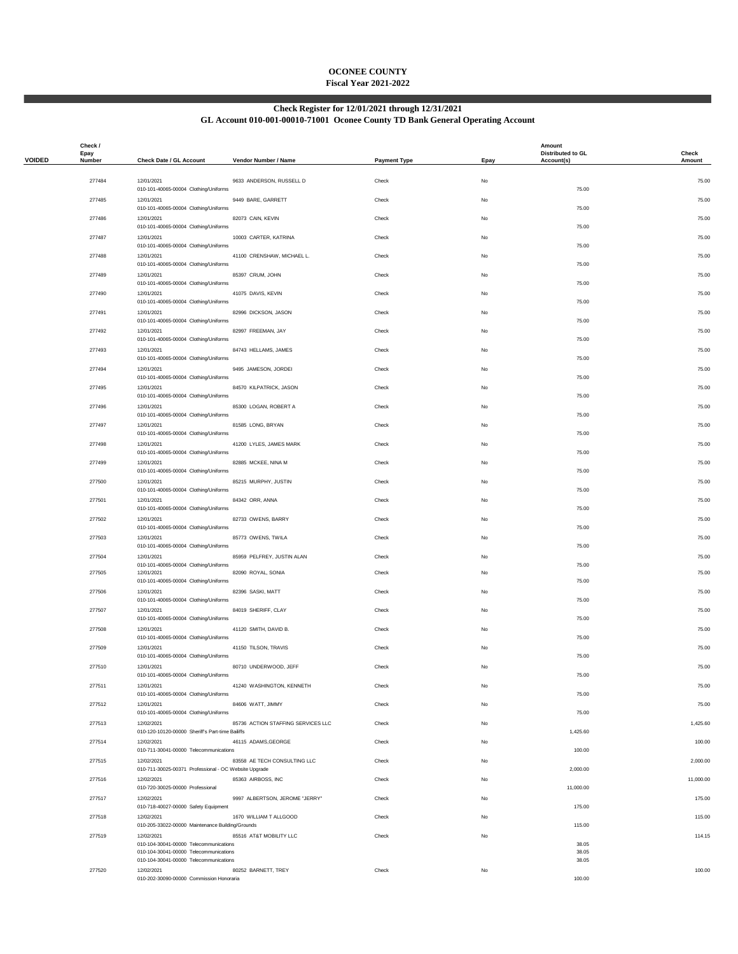## **OCONEE COUNTY Fiscal Year 2021-2022**

### **Check Register for 12/01/2021 through 12/31/2021**

#### **GL Account 010-001-00010-71001 Oconee County TD Bank General Operating Account**

|               | Check /<br>Epay |                                                                                  |                                    |                     |           | Amount<br>Distributed to GL | Check     |
|---------------|-----------------|----------------------------------------------------------------------------------|------------------------------------|---------------------|-----------|-----------------------------|-----------|
| <b>VOIDED</b> | Number          | Check Date / GL Account                                                          | Vendor Number / Name               | <b>Payment Type</b> | Epay      | Account(s)                  | Amount    |
|               | 277484          | 12/01/2021                                                                       | 9633 ANDERSON, RUSSELL D           | Check               | No        |                             | 75.00     |
|               | 277485          | 010-101-40065-00004 Clothing/Uniforms<br>12/01/2021                              | 9449 BARE, GARRETT                 | Check               | <b>No</b> | 75.00                       | 75.00     |
|               | 277486          | 010-101-40065-00004 Clothing/Uniforms<br>12/01/2021                              | 82073 CAIN, KEVIN                  | Check               | No        | 75.00                       | 75.00     |
|               | 277487          | 010-101-40065-00004 Clothing/Uniforms                                            |                                    | Check               | <b>No</b> | 75.00                       | 75.00     |
|               |                 | 12/01/2021<br>010-101-40065-00004 Clothing/Uniforms                              | 10003 CARTER, KATRINA              |                     |           | 75.00                       |           |
|               | 277488          | 12/01/2021<br>010-101-40065-00004 Clothing/Uniforms                              | 41100 CRENSHAW, MICHAEL L.         | Check               | No        | 75.00                       | 75.00     |
|               | 277489          | 12/01/2021<br>010-101-40065-00004 Clothing/Uniforms                              | 85397 CRUM, JOHN                   | Check               | No        | 75.00                       | 75.00     |
|               | 277490          | 12/01/2021<br>010-101-40065-00004 Clothing/Uniforms                              | 41075 DAVIS, KEVIN                 | Check               | No        | 75.00                       | 75.00     |
|               | 277491          | 12/01/2021<br>010-101-40065-00004 Clothing/Uniforms                              | 82996 DICKSON, JASON               | Check               | No        | 75.00                       | 75.00     |
|               | 277492          | 12/01/2021                                                                       | 82997 FREEMAN, JAY                 | Check               | <b>No</b> |                             | 75.00     |
|               | 277493          | 010-101-40065-00004 Clothing/Uniforms<br>12/01/2021                              | 84743 HELLAMS, JAMES               | Check               | No        | 75.00                       | 75.00     |
|               | 277494          | 010-101-40065-00004 Clothing/Uniforms<br>12/01/2021                              | 9495 JAMESON, JORDEI               | Check               | No        | 75.00                       | 75.00     |
|               |                 | 010-101-40065-00004 Clothing/Uniforms                                            |                                    |                     |           | 75.00                       |           |
|               | 277495          | 12/01/2021<br>010-101-40065-00004 Clothing/Uniforms                              | 84570 KILPATRICK, JASON            | Check               | No        | 75.00                       | 75.00     |
|               | 277496          | 12/01/2021<br>010-101-40065-00004 Clothing/Uniforms                              | 85300 LOGAN, ROBERT A              | Check               | No        | 75.00                       | 75.00     |
|               | 277497          | 12/01/2021<br>010-101-40065-00004 Clothing/Uniforms                              | 81585 LONG, BRYAN                  | Check               | <b>No</b> | 75.00                       | 75.00     |
|               | 277498          | 12/01/2021<br>010-101-40065-00004 Clothing/Uniforms                              | 41200 LYLES, JAMES MARK            | Check               | No        | 75.00                       | 75.00     |
|               | 277499          | 12/01/2021                                                                       | 82885 MCKEE, NINA M                | Check               | No        |                             | 75.00     |
|               | 277500          | 010-101-40065-00004 Clothing/Uniforms<br>12/01/2021                              | 85215 MURPHY, JUSTIN               | Check               | No        | 75.00                       | 75.00     |
|               | 277501          | 010-101-40065-00004 Clothing/Uniforms<br>12/01/2021                              | 84342 ORR, ANNA                    | Check               | No        | 75.00                       | 75.00     |
|               | 277502          | 010-101-40065-00004 Clothing/Uniforms<br>12/01/2021                              | 82733 OWENS, BARRY                 | Check               | <b>No</b> | 75.00                       | 75.00     |
|               |                 | 010-101-40065-00004 Clothing/Uniforms                                            |                                    |                     |           | 75.00                       |           |
|               | 277503          | 12/01/2021<br>010-101-40065-00004 Clothing/Uniforms                              | 85773 OWENS, TWILA                 | Check               | No        | 75.00                       | 75.00     |
|               | 277504          | 12/01/2021<br>010-101-40065-00004 Clothing/Uniforms                              | 85959 PELFREY, JUSTIN ALAN         | Check               | No        | 75.00                       | 75.00     |
|               | 277505          | 12/01/2021<br>010-101-40065-00004 Clothing/Uniforms                              | 82090 ROYAL, SONIA                 | Check               | No        | 75.00                       | 75.00     |
|               | 277506          | 12/01/2021<br>010-101-40065-00004 Clothing/Uniforms                              | 82396 SASKI, MATT                  | Check               | <b>No</b> | 75.00                       | 75.00     |
|               | 277507          | 12/01/2021<br>010-101-40065-00004 Clothing/Uniforms                              | 84019 SHERIFF, CLAY                | Check               | No        | 75.00                       | 75.00     |
|               | 277508          | 12/01/2021                                                                       | 41120 SMITH, DAVID B.              | Check               | No        |                             | 75.00     |
|               | 277509          | 010-101-40065-00004 Clothing/Uniforms<br>12/01/2021                              | 41150 TILSON, TRAVIS               | Check               | No        | 75.00                       | 75.00     |
|               | 277510          | 010-101-40065-00004 Clothing/Uniforms<br>12/01/2021                              | 80710 UNDERWOOD, JEFF              | Check               | No        | 75.00                       | 75.00     |
|               | 277511          | 010-101-40065-00004 Clothing/Uniforms<br>12/01/2021                              | 41240 WASHINGTON, KENNETH          | Check               | No.       | 75.00                       | 75.00     |
|               |                 | 010-101-40065-00004 Clothing/Uniforms                                            |                                    |                     |           | 75.00                       |           |
|               | 277512          | 12/01/2021<br>010-101-40065-00004 Clothing/Uniforms                              | 84606 WATT, JIMMY                  | Check               | No        | 75.00                       | 75.00     |
|               | 277513          | 12/02/2021<br>010-120-10120-00000 Sheriff's Part-time Bailiffs                   | 85736 ACTION STAFFING SERVICES LLC | Check               | No        | 1,425.60                    | 1,425.60  |
|               | 277514          | 12/02/2021<br>010-711-30041-00000 Telecommunications                             | 46115 ADAMS, GEORGE                | Check               | No        | 100.00                      | 100.00    |
|               | 277515          | 12/02/2021<br>010-711-30025-00371 Professional - OC Website Upgrade              | 83558 AE TECH CONSULTING LLC       | Check               | No        | 2,000.00                    | 2,000.00  |
|               | 277516          | 12/02/2021<br>010-720-30025-00000 Professional                                   | 85363 AIRBOSS, INC                 | Check               | No.       | 11,000.00                   | 11,000.00 |
|               | 277517          | 12/02/2021                                                                       | 9997 ALBERTSON, JEROME "JERRY"     | Check               | No        |                             | 175.00    |
|               | 277518          | 010-718-40027-00000 Safety Equipment<br>12/02/2021                               | 1670 WILLIAM T ALLGOOD             | Check               | No        | 175.00                      | 115.00    |
|               | 277519          | 010-205-33022-00000 Maintenance Building/Grounds<br>12/02/2021                   | 85516 AT&T MOBILITY LLC            | Check               | No        | 115.00                      | 114.15    |
|               |                 | 010-104-30041-00000 Telecommunications<br>010-104-30041-00000 Telecommunications |                                    |                     |           | 38.05<br>38.05              |           |
|               | 277520          | 010-104-30041-00000 Telecommunications<br>12/02/2021                             | 80252 BARNETT, TREY                | Check               | No        | 38.05                       | 100.00    |
|               |                 | 010-202-30090-00000 Commission Honoraria                                         |                                    |                     |           | 100.00                      |           |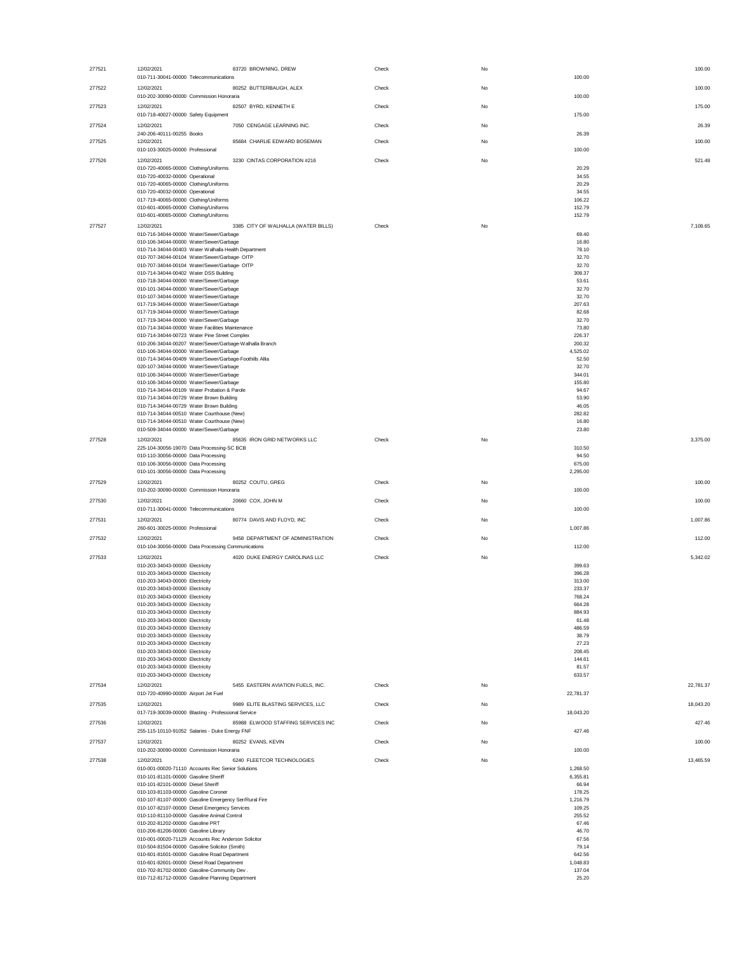| 277521 | 12/02/2021<br>83720 BROWNING, DREW                                                                                                            | Check | No |                             | 100.00    |
|--------|-----------------------------------------------------------------------------------------------------------------------------------------------|-------|----|-----------------------------|-----------|
| 277522 | 010-711-30041-00000 Telecommunications<br>80252 BUTTERBAUGH, ALEX<br>12/02/2021                                                               | Check | No | 100.00                      | 100.00    |
|        | 010-202-30090-00000 Commission Honoraria                                                                                                      |       |    | 100.00                      |           |
| 277523 | 12/02/2021<br>82507 BYRD, KENNETH E<br>010-718-40027-00000 Safety Equipment                                                                   | Check | No | 175.00                      | 175.00    |
| 277524 | 12/02/2021<br>7050 CENGAGE LEARNING INC.                                                                                                      | Check | No |                             | 26.39     |
|        | 240-206-40111-00255 Books<br>85684 CHARLIE EDWARD BOSEMAN                                                                                     |       |    | 26.39                       |           |
| 277525 | 12/02/2021<br>010-103-30025-00000 Professional                                                                                                | Check | No | 100.00                      | 100.00    |
| 277526 | 12/02/2021<br>3230 CINTAS CORPORATION #216                                                                                                    | Check | No |                             | 521.48    |
|        | 010-720-40065-00000 Clothing/Uniforms<br>010-720-40032-00000 Operational                                                                      |       |    | 20.29<br>34.55              |           |
|        | 010-720-40065-00000 Clothing/Uniforms                                                                                                         |       |    | 20.29                       |           |
|        | 010-720-40032-00000 Operational<br>017-719-40065-00000 Clothing/Uniforms                                                                      |       |    | 34.55<br>106.22             |           |
|        | 010-601-40065-00000 Clothing/Uniforms<br>010-601-40065-00000 Clothing/Uniforms                                                                |       |    | 152.79<br>152.79            |           |
| 277527 | 12/02/2021<br>3385 CITY OF WALHALLA (WATER BILLS)                                                                                             | Check | No |                             | 7,108.65  |
|        | 010-716-34044-00000 Water/Sewer/Garbage<br>010-106-34044-00000 Water/Sewer/Garbage                                                            |       |    | 69.40<br>16.80              |           |
|        | 010-714-34044-00403 Water Walhalla Health Department                                                                                          |       |    | 78.10                       |           |
|        | 010-707-34044-00104 Water/Sewer/Garbage- OITP<br>010-707-34044-00104 Water/Sewer/Garbage- OITP                                                |       |    | 32.70<br>32.70              |           |
|        | 010-714-34044-00402 Water DSS Building                                                                                                        |       |    | 308.37                      |           |
|        | 010-718-34044-00000 Water/Sewer/Garbage<br>010-101-34044-00000 Water/Sewer/Garbage                                                            |       |    | 53.61<br>32.70              |           |
|        | 010-107-34044-00000 Water/Sewer/Garbage<br>017-719-34044-00000 Water/Sewer/Garbage                                                            |       |    | 32.70<br>207.63             |           |
|        | 017-719-34044-00000 Water/Sewer/Garbage                                                                                                       |       |    | 82.68                       |           |
|        | 017-719-34044-00000 Water/Sewer/Garbage<br>010-714-34044-00000 Water Facilities Maintenance                                                   |       |    | 32.70<br>73.80              |           |
|        | 010-714-34044-00723 Water Pine Street Complex                                                                                                 |       |    | 226.37                      |           |
|        | 010-206-34044-00207 Water/Sewer/Garbage-Walhalla Branch<br>010-106-34044-00000 Water/Sewer/Garbage                                            |       |    | 200.32<br>4,525.02          |           |
|        | 010-714-34044-00409 Water/Sewer/Garbage-Foothills Allia<br>020-107-34044-00000 Water/Sewer/Garbage                                            |       |    | 52.50<br>32.70              |           |
|        | 010-106-34044-00000 Water/Sewer/Garbage                                                                                                       |       |    | 344.01                      |           |
|        | 010-106-34044-00000 Water/Sewer/Garbage<br>010-714-34044-00109 Water Probation & Parole                                                       |       |    | 155.80<br>94.67             |           |
|        | 010-714-34044-00729 Water Brown Building                                                                                                      |       |    | 53.90                       |           |
|        | 010-714-34044-00729 Water Brown Building<br>010-714-34044-00510 Water Courthouse (New)                                                        |       |    | 46.05<br>282.82             |           |
|        | 010-714-34044-00510 Water Courthouse (New)<br>010-509-34044-00000 Water/Sewer/Garbage                                                         |       |    | 16.80<br>23.80              |           |
| 277528 | 85635 IRON GRID NETWORKS LLC<br>12/02/2021                                                                                                    | Check | No |                             | 3,375.00  |
|        | 225-104-30056-19070 Data Processing-SC BCB<br>010-110-30056-00000 Data Processing                                                             |       |    | 310.50<br>94.50             |           |
|        | 010-106-30056-00000 Data Processing                                                                                                           |       |    | 675.00                      |           |
| 277529 | 010-101-30056-00000 Data Processing<br>12/02/2021<br>80252 COUTU, GREG                                                                        | Check | No | 2,295.00                    | 100.00    |
|        | 010-202-30090-00000 Commission Honoraria                                                                                                      |       |    | 100.00                      |           |
| 277530 | 12/02/2021<br>20660 COX, JOHN M                                                                                                               | Check | No |                             | 100.00    |
| 277531 | 010-711-30041-00000 Telecommunications<br>12/02/2021<br>80774 DAVIS AND FLOYD, INC                                                            | Check | No | 100.00                      | 1,007.86  |
|        | 260-601-30025-00000 Professional                                                                                                              |       |    | 1,007.86                    |           |
| 277532 | 12/02/2021<br>9458 DEPARTMENT OF ADMINISTRATION                                                                                               | Check | No |                             | 112.00    |
| 277533 | 010-104-30056-00000 Data Processing Communications<br>12/02/2021<br>4020 DUKE ENERGY CAROLINAS LLC                                            | Check | No | 112.00                      | 5,342.02  |
|        | 010-203-34043-00000 Electricity                                                                                                               |       |    | 399.63                      |           |
|        | 010-203-34043-00000 Electricity<br>010-203-34043-00000 Electricity                                                                            |       |    | 396.28<br>313.00            |           |
|        | 010-203-34043-00000 Electricity<br>010-203-34043-00000 Electricity                                                                            |       |    | 233.37<br>768.24            |           |
|        | 010-203-34043-00000 Electricity                                                                                                               |       |    | 664.28                      |           |
|        | 010-203-34043-00000 Electricity<br>010-203-34043-00000 Electricity                                                                            |       |    | 884.93<br>61.48             |           |
|        | 010-203-34043-00000 Electricity                                                                                                               |       |    | 486.59                      |           |
|        | 010-203-34043-00000 Electricity<br>010-203-34043-00000 Electricity                                                                            |       |    | 38.79<br>27.23              |           |
|        | 010-203-34043-00000 Electricity<br>010-203-34043-00000 Electricity                                                                            |       |    | 208.45<br>144.61            |           |
|        | 010-203-34043-00000 Electricity                                                                                                               |       |    | 81.57                       |           |
| 277534 | 010-203-34043-00000 Electricity<br>12/02/2021<br>5455 EASTERN AVIATION FUELS, INC.                                                            | Check | No | 633.57                      | 22,781.37 |
|        | 010-720-40990-00000 Airport Jet Fuel                                                                                                          |       |    | 22,781.37                   |           |
| 277535 | 12/02/2021<br>9989 ELITE BLASTING SERVICES, LLC                                                                                               | Check | No |                             | 18,043.20 |
| 277536 | 017-719-30039-00000 Blasting - Professional Service<br>85988 ELWOOD STAFFING SERVICES INC<br>12/02/2021                                       | Check | No | 18,043.20                   | 427.46    |
|        | 255-115-10110-91052 Salaries - Duke Energy FNF                                                                                                |       |    | 427.46                      |           |
| 277537 | 12/02/2021<br>80252 EVANS, KEVIN<br>010-202-30090-00000 Commission Honoraria                                                                  | Check | No | 100.00                      | 100.00    |
| 277538 | 12/02/2021<br>6240 FLEETCOR TECHNOLOGIES                                                                                                      | Check | No |                             | 13,465.59 |
|        | 010-001-00020-71110 Accounts Rec Senior Solutions<br>010-101-81101-00000 Gasoline Sheriff                                                     |       |    | 1,268.50<br>6,355.81        |           |
|        | 010-101-82101-00000 Diesel Sheriff                                                                                                            |       |    | 66.94                       |           |
|        | 010-103-81103-00000 Gasoline Coroner<br>010-107-81107-00000 Gasoline Emergency Ser/Rural Fire                                                 |       |    | 178.25<br>1,216.79          |           |
|        | 010-107-82107-00000 Diesel Emergency Services                                                                                                 |       |    | 109.25                      |           |
|        | 010-110-81110-00000 Gasoline Animal Control<br>010-202-81202-00000 Gasoline PRT                                                               |       |    | 255.52<br>67.46             |           |
|        | 010-206-81206-00000 Gasoline Library                                                                                                          |       |    | 46.70                       |           |
|        | 010-001-00020-71129 Accounts Rec Anderson Solicitor<br>010-504-81504-00000 Gasoline Solicitor (Smith)                                         |       |    | 67.56<br>79.14              |           |
|        | 010-601-81601-00000 Gasoline Road Department                                                                                                  |       |    | 642.56                      |           |
|        |                                                                                                                                               |       |    |                             |           |
|        | 010-601-82601-00000 Diesel Road Department<br>010-702-81702-00000 Gasoline-Community Dev.<br>010-712-81712-00000 Gasoline Planning Department |       |    | 1,048.83<br>137.04<br>25.20 |           |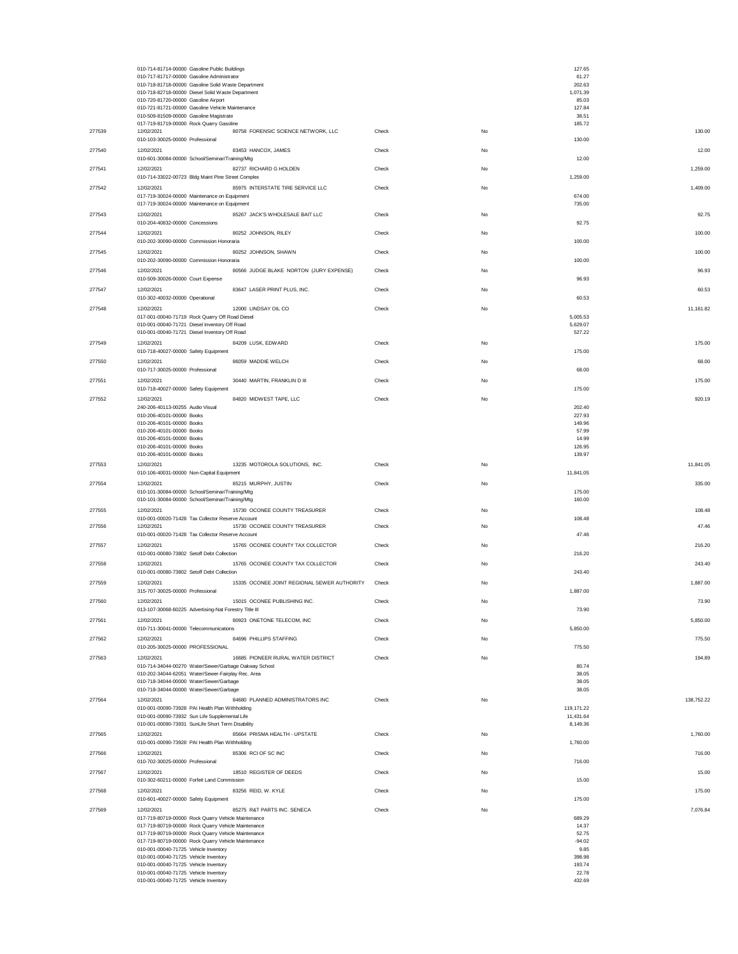|                  | 010-714-81714-00000 Gasoline Public Buildings<br>010-717-81717-00000 Gasoline Administrator<br>010-718-81718-00000 Gasoline Solid Waste Department<br>010-718-82718-00000 Diesel Solid Waste Department |                |          | 127.65<br>61.27<br>202.63<br>1,071.39 |                 |
|------------------|---------------------------------------------------------------------------------------------------------------------------------------------------------------------------------------------------------|----------------|----------|---------------------------------------|-----------------|
|                  | 010-720-81720-00000 Gasoline Airport<br>010-721-81721-00000 Gasoline Vehicle Maintenance<br>010-509-81509-00000 Gasoline Magistrate                                                                     |                |          | 85.03<br>127.84<br>38.51              |                 |
| 277539           | 017-719-81719-00000 Rock Quarry Gasoline<br>80758 FORENSIC SCIENCE NETWORK, LLC<br>12/02/2021                                                                                                           | Check          | No       | 185.72                                | 130.00          |
| 277540           | 010-103-30025-00000 Professional<br>12/02/2021<br>83453 HANCOX, JAMES                                                                                                                                   | Check          | No       | 130.00                                | 12.00           |
| 277541           | 010-601-30084-00000 School/Seminar/Training/Mtg<br>12/02/2021<br>82737 RICHARD G HOLDEN                                                                                                                 | Check          | No       | 12.00                                 | 1,259.00        |
| 277542           | 010-714-33022-00723 Bldg Maint Pine Street Complex<br>12/02/2021<br>85975 INTERSTATE TIRE SERVICE LLC                                                                                                   | Check          | No       | 1,259.00                              | 1,409.00        |
|                  | 017-719-30024-00000 Maintenance on Equipment<br>017-719-30024-00000 Maintenance on Equipment                                                                                                            |                |          | 674.00<br>735.00                      |                 |
| 277543           | 85267 JACK'S WHOLESALE BAIT LLC<br>12/02/2021<br>010-204-40832-00000 Concessions                                                                                                                        | Check          | No       | 92.75                                 | 92.75           |
| 277544           | 12/02/2021<br>80252 JOHNSON, RILEY<br>010-202-30090-00000 Commission Honoraria                                                                                                                          | Check          | No       | 100.00                                | 100.00          |
| 277545           | 12/02/2021<br>80252 JOHNSON, SHAWN<br>010-202-30090-00000 Commission Honoraria                                                                                                                          | Check          | No       | 100.00                                | 100.00          |
| 277546           | 12/02/2021<br>80566 JUDGE BLAKE NORTON (JURY EXPENSE)                                                                                                                                                   | Check          | No       |                                       | 96.93           |
| 277547           | 010-509-30026-00000 Court Expense<br>12/02/2021<br>83647 LASER PRINT PLUS, INC.                                                                                                                         | Check          | No       | 96.93                                 | 60.53           |
| 277548           | 010-302-40032-00000 Operational<br>12/02/2021<br>12000 LINDSAY OIL CO                                                                                                                                   | Check          | No       | 60.53                                 | 11,161.82       |
|                  | 017-001-00040-71719 Rock Quarry Off Road Diesel<br>010-001-00040-71721 Diesel Inventory Off Road                                                                                                        |                |          | 5,005.53<br>5,629.07                  |                 |
| 277549           | 010-001-00040-71721 Diesel Inventory Off Road<br>12/02/2021<br>84209 LUSK, EDWARD                                                                                                                       | Check          | No       | 527.22                                | 175.00          |
|                  | 010-718-40027-00000 Safety Equipment                                                                                                                                                                    |                |          | 175.00                                |                 |
| 277550           | 86059 MADDIE WELCH<br>12/02/2021<br>010-717-30025-00000 Professional                                                                                                                                    | Check          | No       | 68.00                                 | 68.00           |
| 277551           | 12/02/2021<br>30440 MARTIN, FRANKLIN D III<br>010-718-40027-00000 Safety Equipment                                                                                                                      | Check          | No       | 175.00                                | 175.00          |
| 277552           | 12/02/2021<br>84820 MIDWEST TAPE, LLC<br>240-206-40113-00255 Audio Visual                                                                                                                               | Check          | No       | 202.40                                | 920.19          |
|                  | 010-206-40101-00000 Books<br>010-206-40101-00000 Books                                                                                                                                                  |                |          | 227.93<br>149.96                      |                 |
|                  | 010-206-40101-00000 Books<br>010-206-40101-00000 Books                                                                                                                                                  |                |          | 57.99<br>14.99                        |                 |
|                  | 010-206-40101-00000 Books<br>010-206-40101-00000 Books                                                                                                                                                  |                |          | 126.95<br>139.97                      |                 |
| 277553           | 12/02/2021<br>13235 MOTOROLA SOLUTIONS, INC.<br>010-106-40031-00000 Non-Capital Equipment                                                                                                               | Check          | No       | 11,841.05                             | 11,841.05       |
| 277554           | 12/02/2021<br>85215 MURPHY, JUSTIN<br>010-101-30084-00000 School/Seminar/Training/Mtg                                                                                                                   | Check          | No       | 175.00                                | 335.00          |
|                  | 010-101-30084-00000 School/Seminar/Training/Mtg                                                                                                                                                         |                |          | 160.00                                |                 |
| 277555<br>277556 | 15730 OCONEE COUNTY TREASURER<br>12/02/2021<br>010-001-00020-71428 Tax Collector Reserve Account<br>12/02/2021<br>15730 OCONEE COUNTY TREASURER                                                         | Check<br>Check | No<br>No | 108.48                                | 108.48<br>47.46 |
|                  | 010-001-00020-71428 Tax Collector Reserve Account                                                                                                                                                       |                |          | 47.46                                 |                 |
| 277557           | 12/02/2021<br>15765 OCONEE COUNTY TAX COLLECTOR<br>010-001-00080-73802 Setoff Debt Collection                                                                                                           | Check          | No       | 216.20                                | 216.20          |
| 277558           | 12/02/2021<br>15765 OCONEE COUNTY TAX COLLECTOR<br>010-001-00080-73802 Setoff Debt Collection                                                                                                           | Check          | No       | 243.40                                | 243.40          |
| 277559           | 15335 OCONEE JOINT REGIONAL SEWER AUTHORITY<br>12/02/2021<br>315-707-30025-00000 Professional                                                                                                           | Check          | No       | 1,887.00                              | 1,887.00        |
| 277560           | 12/02/2021<br>15015 OCONEE PUBLISHING INC.<br>013-107-30068-60225 Advertising-Nat Forestry Title III                                                                                                    | Check          | No       | 73.90                                 | 73.90           |
| 277561           | 12/02/2021<br>80923 ONETONE TELECOM, INC                                                                                                                                                                | Check          | No       |                                       | 5,850.00        |
| 277562           | 010-711-30041-00000 Telecommunications<br>12/02/2021<br>84696 PHILLIPS STAFFING                                                                                                                         | Check          | No       | 5,850.00                              | 775.50          |
| 277563           | 010-205-30025-00000 PROFESSIONAL<br>16685 PIONEER RURAL WATER DISTRICT<br>12/02/2021                                                                                                                    | Check          | No       | 775.50                                | 194.89          |
|                  | 010-714-34044-00270 Water/Sewer/Garbage Oakway School<br>010-202-34044-62051 Water/Sewer-Fairplay Rec. Area                                                                                             |                |          | 80.74<br>38.05                        |                 |
|                  | 010-718-34044-00000 Water/Sewer/Garbage<br>010-718-34044-00000 Water/Sewer/Garbage                                                                                                                      |                |          | 38.05<br>38.05                        |                 |
| 277564           | 12/02/2021<br>84680 PLANNED ADMINISTRATORS INC<br>010-001-00090-73928 PAI Health Plan Withholding                                                                                                       | Check          | No       | 119,171.22                            | 138,752.22      |
|                  | 010-001-00090-73932 Sun Life Supplemental Life<br>010-001-00090-73931 SunLife Short Term Disability                                                                                                     |                |          | 11,431.64<br>8,149.36                 |                 |
| 277565           | 85664 PRISMA HEALTH - UPSTATE<br>12/02/2021<br>010-001-00090-73928 PAI Health Plan Withholding                                                                                                          | Check          | No       | 1,760.00                              | 1,760.00        |
| 277566           | 12/02/2021<br>85306 RCI OF SC INC                                                                                                                                                                       | Check          | No       |                                       | 716.00          |
| 277567           | 010-702-30025-00000 Professional<br>12/02/2021<br>18510 REGISTER OF DEEDS                                                                                                                               | Check          | No       | 716.00                                | 15.00           |
| 277568           | 010-302-60211-00000 Forfeit Land Commission<br>12/02/2021<br>83256 REID, W. KYLE                                                                                                                        | Check          | No       | 15.00                                 | 175.00          |
| 277569           | 010-601-40027-00000 Safety Equipment<br>12/02/2021<br>85275 R&T PARTS INC. SENECA                                                                                                                       | Check          | No       | 175.00                                | 7,076.84        |
|                  | 017-719-80719-00000 Rock Quarry Vehicle Maintenance<br>017-719-80719-00000 Rock Quarry Vehicle Maintenance                                                                                              |                |          | 689.29<br>14.37                       |                 |
|                  | 017-719-80719-00000 Rock Quarry Vehicle Maintenance<br>017-719-80719-00000 Rock Quarry Vehicle Maintenance                                                                                              |                |          | 52.75<br>$-94.02$                     |                 |
|                  | 010-001-00040-71725 Vehicle Inventory<br>010-001-00040-71725 Vehicle Inventory                                                                                                                          |                |          | 9.85<br>398.98                        |                 |
|                  | 010-001-00040-71725 Vehicle Inventory<br>010-001-00040-71725 Vehicle Inventory                                                                                                                          |                |          | 193.74<br>22.78                       |                 |
|                  | 010-001-00040-71725 Vehicle Inventory                                                                                                                                                                   |                |          | 432.69                                |                 |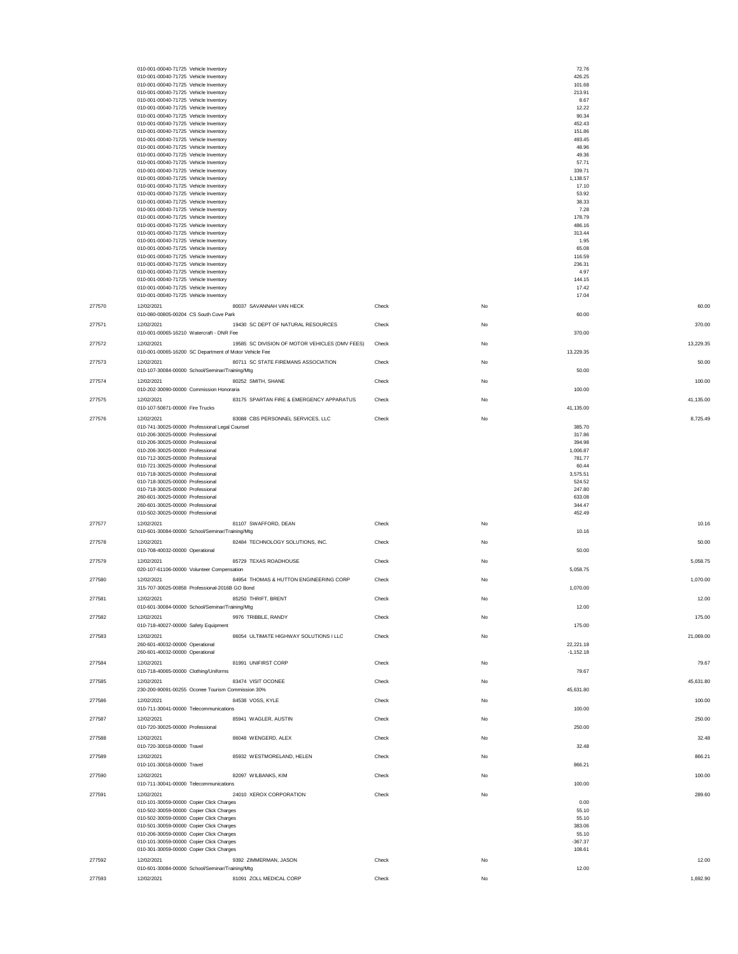|        | 010-001-00040-71725 Vehicle Inventory                                                |                                                |       |           | 72.76                    |           |
|--------|--------------------------------------------------------------------------------------|------------------------------------------------|-------|-----------|--------------------------|-----------|
|        | 010-001-00040-71725 Vehicle Inventory<br>010-001-00040-71725 Vehicle Inventory       |                                                |       |           | 426.25<br>101.68         |           |
|        | 010-001-00040-71725 Vehicle Inventory                                                |                                                |       |           | 213.91                   |           |
|        | 010-001-00040-71725 Vehicle Inventory                                                |                                                |       |           | 8.67                     |           |
|        | 010-001-00040-71725 Vehicle Inventory<br>010-001-00040-71725 Vehicle Inventory       |                                                |       |           | 12.22<br>90.34           |           |
|        | 010-001-00040-71725 Vehicle Inventory                                                |                                                |       |           | 452.43                   |           |
|        | 010-001-00040-71725 Vehicle Inventory                                                |                                                |       |           | 151.86                   |           |
|        | 010-001-00040-71725 Vehicle Inventory<br>010-001-00040-71725 Vehicle Inventory       |                                                |       |           | 493.45<br>48.96          |           |
|        | 010-001-00040-71725 Vehicle Inventory                                                |                                                |       |           | 49.36                    |           |
|        | 010-001-00040-71725 Vehicle Inventory                                                |                                                |       |           | 57.71                    |           |
|        | 010-001-00040-71725 Vehicle Inventory                                                |                                                |       |           | 339.71                   |           |
|        | 010-001-00040-71725 Vehicle Inventory<br>010-001-00040-71725 Vehicle Inventory       |                                                |       |           | 1,138.57<br>17.10        |           |
|        | 010-001-00040-71725 Vehicle Inventory                                                |                                                |       |           | 53.92                    |           |
|        | 010-001-00040-71725 Vehicle Inventory                                                |                                                |       |           | 38.33                    |           |
|        | 010-001-00040-71725 Vehicle Inventory<br>010-001-00040-71725 Vehicle Inventory       |                                                |       |           | 7.28<br>178.79           |           |
|        | 010-001-00040-71725 Vehicle Inventory                                                |                                                |       |           | 486.16                   |           |
|        | 010-001-00040-71725 Vehicle Inventory                                                |                                                |       |           | 313.44                   |           |
|        | 010-001-00040-71725 Vehicle Inventory<br>010-001-00040-71725 Vehicle Inventory       |                                                |       |           | 1.95<br>65.08            |           |
|        | 010-001-00040-71725 Vehicle Inventory                                                |                                                |       |           | 116.59                   |           |
|        | 010-001-00040-71725 Vehicle Inventory                                                |                                                |       |           | 236.31                   |           |
|        | 010-001-00040-71725 Vehicle Inventory                                                |                                                |       |           | 4.97                     |           |
|        | 010-001-00040-71725 Vehicle Inventory<br>010-001-00040-71725 Vehicle Inventory       |                                                |       |           | 144.15<br>17.42          |           |
|        | 010-001-00040-71725 Vehicle Inventory                                                |                                                |       |           | 17.04                    |           |
| 277570 | 12/02/2021                                                                           | 80037 SAVANNAH VAN HECK                        | Check | No        |                          | 60.00     |
|        | 010-080-00805-00204 CS South Cove Park                                               |                                                |       |           | 60.00                    |           |
| 277571 | 12/02/2021                                                                           | 19430 SC DEPT OF NATURAL RESOURCES             | Check | <b>No</b> |                          | 370.00    |
|        | 010-001-00065-16210 Watercraft - DNR Fee                                             |                                                |       |           | 370.00                   |           |
| 277572 | 12/02/2021                                                                           | 19585 SC DIVISION OF MOTOR VEHICLES (DMV FEES) | Check | No        |                          | 13,229.35 |
|        | 010-001-00065-16200 SC Department of Motor Vehicle Fee                               |                                                |       |           | 13,229.35                |           |
| 277573 | 12/02/2021<br>010-107-30084-00000 School/Seminar/Training/Mtg                        | 80711 SC STATE FIREMANS ASSOCIATION            | Check | <b>No</b> | 50.00                    | 50.00     |
|        | 12/02/2021                                                                           | 80252 SMITH, SHANE                             |       |           |                          |           |
| 277574 | 010-202-30090-00000 Commission Honoraria                                             |                                                | Check | No        | 100.00                   | 100.00    |
| 277575 | 12/02/2021                                                                           | 83175 SPARTAN FIRE & EMERGENCY APPARATUS       | Check | No        |                          | 41.135.00 |
|        | 010-107-50871-00000 Fire Trucks                                                      |                                                |       |           | 41,135.00                |           |
| 277576 | 12/02/2021                                                                           | 83088 CBS PERSONNEL SERVICES, LLC              | Check | No        |                          | 8,725.49  |
|        | 010-741-30025-00000 Professional Legal Counsel                                       |                                                |       |           | 385.70                   |           |
|        | 010-206-30025-00000 Professional                                                     |                                                |       |           | 317.86                   |           |
|        | 010-206-30025-00000 Professional<br>010-206-30025-00000 Professional                 |                                                |       |           | 394.98<br>1,006.87       |           |
|        | 010-712-30025-00000 Professional                                                     |                                                |       |           | 781.77                   |           |
|        | 010-721-30025-00000 Professional                                                     |                                                |       |           | 60.44                    |           |
|        | 010-718-30025-00000 Professional<br>010-718-30025-00000 Professional                 |                                                |       |           | 3,575.51<br>524.52       |           |
|        | 010-718-30025-00000 Professional                                                     |                                                |       |           | 247.80                   |           |
|        | 260-601-30025-00000 Professional                                                     |                                                |       |           | 633.08                   |           |
|        | 260-601-30025-00000 Professional                                                     |                                                |       |           | 344.47                   |           |
|        | 010-502-30025-00000 Professional                                                     |                                                |       |           | 452.49                   |           |
| 277577 | 12/02/2021<br>010-601-30084-00000 School/Seminar/Training/Mtg                        | 81107 SWAFFORD, DEAN                           | Check | No        | 10.16                    | 10.16     |
| 277578 | 12/02/2021                                                                           | 82484 TECHNOLOGY SOLUTIONS, INC.               | Check | No        |                          | 50.00     |
|        | 010-708-40032-00000 Operational                                                      |                                                |       |           | 50.00                    |           |
| 277579 | 12/02/2021                                                                           | 85729 TEXAS ROADHOUSE                          | Check | No        |                          | 5,058.75  |
|        | 020-107-61106-00000 Volunteer Compensation                                           |                                                |       |           | 5,058.75                 |           |
| 277580 | 12/02/2021                                                                           | 84954 THOMAS & HUTTON ENGINEERING CORP         | Check | No        |                          | 1,070.00  |
|        | 315-707-30025-00858 Professional-2016B GO Bond                                       |                                                |       |           | 1,070.00                 |           |
| 277581 | 12/02/2021                                                                           | 85250 THRIFT, BRENT                            | Check | No        |                          | 12.00     |
|        | 010-601-30084-00000 School/Seminar/Training/Mtg                                      |                                                |       |           | 12.00                    |           |
| 277582 | 12/02/2021                                                                           | 9976 TRIBBLE, RANDY                            | Check | No        |                          | 175.00    |
|        | 010-718-40027-00000 Safety Equipment                                                 |                                                |       |           | 175.00                   |           |
| 277583 | 12/02/2021                                                                           | 86054 ULTIMATE HIGHWAY SOLUTIONS I LLC         | Check | No        |                          | 21,069.00 |
|        | 260-601-40032-00000 Operational<br>260-601-40032-00000 Operational                   |                                                |       |           | 22,221.18<br>$-1,152.18$ |           |
| 277584 | 12/02/2021                                                                           | 81991 UNIFIRST CORP                            | Check | No        |                          | 79.67     |
|        | 010-718-40065-00000 Clothing/Uniforms                                                |                                                |       |           | 79.67                    |           |
| 277585 | 12/02/2021                                                                           | 83474 VISIT OCONEE                             | Check | No        |                          | 45,631.80 |
|        | 230-200-90091-00255 Oconee Tourism Commission 30%                                    |                                                |       |           |                          |           |
|        |                                                                                      |                                                |       |           | 45,631.80                |           |
| 277586 | 12/02/2021                                                                           | 84538 VOSS, KYLE                               | Check | No        |                          | 100.00    |
|        | 010-711-30041-00000 Telecommunications                                               |                                                |       |           | 100.00                   |           |
| 277587 | 12/02/2021                                                                           | 85941 WAGLER, AUSTIN                           | Check | No        |                          | 250.00    |
|        | 010-720-30025-00000 Professional                                                     |                                                |       |           | 250.00                   |           |
| 277588 | 12/02/2021                                                                           | 86048 WENGERD, ALEX                            | Check | No        |                          | 32.48     |
|        | 010-720-30018-00000 Travel                                                           |                                                |       |           | 32.48                    |           |
| 277589 | 12/02/2021                                                                           | 85932 WESTMORELAND, HELEN                      | Check | No        |                          | 866.21    |
|        | 010-101-30018-00000 Travel                                                           |                                                |       |           | 866.21                   |           |
| 277590 | 12/02/2021                                                                           | 82097 WILBANKS, KIM                            | Check | No        |                          | 100.00    |
|        | 010-711-30041-00000 Telecommunications                                               |                                                |       |           | 100.00                   |           |
| 277591 | 12/02/2021<br>010-101-30059-00000 Copier Click Charges                               | 24010 XEROX CORPORATION                        | Check | No        | 0.00                     | 289.60    |
|        | 010-502-30059-00000 Copier Click Charges                                             |                                                |       |           | 55.10                    |           |
|        | 010-502-30059-00000 Copier Click Charges                                             |                                                |       |           | 55.10                    |           |
|        | 010-501-30059-00000 Copier Click Charges                                             |                                                |       |           | 383.06<br>55.10          |           |
|        | 010-206-30059-00000 Copier Click Charges<br>010-101-30059-00000 Copier Click Charges |                                                |       |           | $-367.37$                |           |
|        | 010-301-30059-00000 Copier Click Charges                                             |                                                |       |           | 108.61                   |           |
| 277592 | 12/02/2021                                                                           | 9392 ZIMMERMAN, JASON                          | Check | No        |                          | 12.00     |
| 277593 | 010-601-30084-00000 School/Seminar/Training/Mtg<br>12/02/2021                        | 81091 ZOLL MEDICAL CORP                        | Check | No        | 12.00                    | 1,692.90  |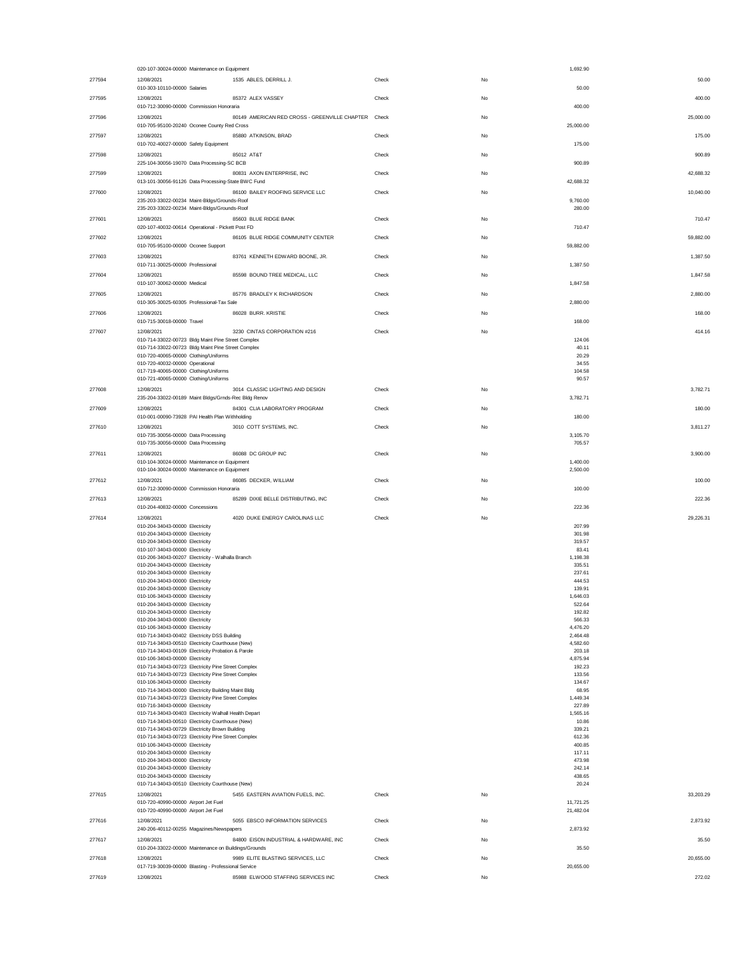|        | 020-107-30024-00000 Maintenance on Equipment                                                              |       |    | 1,692.90           |           |
|--------|-----------------------------------------------------------------------------------------------------------|-------|----|--------------------|-----------|
| 277594 | 12/08/2021<br>1535 ABLES, DERRILL J.                                                                      | Check | No |                    | 50.00     |
|        | 010-303-10110-00000 Salaries                                                                              |       |    | 50.00              |           |
| 277595 | 12/08/2021<br>85372 ALEX VASSEY                                                                           | Check | No |                    | 400.00    |
|        | 010-712-30090-00000 Commission Honoraria                                                                  |       |    | 400.00             |           |
| 277596 | 12/08/2021<br>80149 AMERICAN RED CROSS - GREENVILLE CHAPTER Check                                         |       | No |                    | 25,000.00 |
|        | 010-705-95100-20240 Oconee County Red Cross                                                               |       |    | 25,000.00          |           |
| 277597 | 12/08/2021<br>85880 ATKINSON, BRAD                                                                        | Check | No |                    | 175.00    |
|        | 010-702-40027-00000 Safety Equipment                                                                      |       |    | 175.00             |           |
| 277598 | 12/08/2021<br>85012 AT&T                                                                                  | Check | No |                    | 900.89    |
|        | 225-104-30056-19070 Data Processing-SC BCB                                                                |       |    | 900.89             |           |
| 277599 | 12/08/2021<br>80831 AXON ENTERPRISE, INC                                                                  | Check | No |                    | 42,688.32 |
|        | 013-101-30056-91126 Data Processing-State BWC Fund                                                        |       |    | 42,688.32          |           |
| 277600 | 86100 BAILEY ROOFING SERVICE LLC<br>12/08/2021                                                            | Check | No |                    | 10,040.00 |
|        | 235-203-33022-00234 Maint-Bldgs/Grounds-Roof                                                              |       |    | 9,760.00           |           |
|        | 235-203-33022-00234 Maint-Bldgs/Grounds-Roof                                                              |       |    | 280.00             |           |
| 277601 | 85603 BLUE RIDGE BANK<br>12/08/2021                                                                       | Check | No |                    | 710.47    |
|        | 020-107-40032-00614 Operational - Pickett Post FD                                                         |       |    | 710.47             |           |
| 277602 | 86105 BLUE RIDGE COMMUNITY CENTER<br>12/08/2021                                                           | Check | No |                    | 59,882.00 |
|        | 010-705-95100-00000 Oconee Support                                                                        |       |    | 59,882.00          |           |
| 277603 | 12/08/2021<br>83761 KENNETH EDWARD BOONE, JR.                                                             | Check | No |                    | 1,387.50  |
|        | 010-711-30025-00000 Professional                                                                          |       |    | 1,387.50           |           |
| 277604 | 12/08/2021<br>85598 BOUND TREE MEDICAL, LLC                                                               | Check | No |                    | 1,847.58  |
|        | 010-107-30062-00000 Medical                                                                               |       |    | 1,847.58           |           |
| 277605 | 12/08/2021<br>85776 BRADLEY K RICHARDSON                                                                  | Check | No |                    | 2,880.00  |
|        | 010-305-30025-60305 Professional-Tax Sale                                                                 |       |    | 2,880.00           |           |
| 277606 | 12/08/2021<br>86028 BURR. KRISTIE                                                                         | Check | No |                    | 168.00    |
|        | 010-715-30018-00000 Travel                                                                                |       |    | 168.00             |           |
| 277607 | 3230 CINTAS CORPORATION #216<br>12/08/2021                                                                | Check | No |                    | 414.16    |
|        | 010-714-33022-00723 Bldg Maint Pine Street Complex                                                        |       |    | 124.06             |           |
|        | 010-714-33022-00723 Bldg Maint Pine Street Complex                                                        |       |    | 40.11              |           |
|        | 010-720-40065-00000 Clothing/Uniforms<br>010-720-40032-00000 Operational                                  |       |    | 20.29<br>34.55     |           |
|        | 017-719-40065-00000 Clothing/Uniforms                                                                     |       |    | 104.58             |           |
|        | 010-721-40065-00000 Clothing/Uniforms                                                                     |       |    | 90.57              |           |
| 277608 | 3014 CLASSIC LIGHTING AND DESIGN<br>12/08/2021                                                            | Check | No |                    | 3,782.71  |
|        | 235-204-33022-00189 Maint Bldgs/Grnds-Rec Bldg Renov                                                      |       |    | 3,782.71           |           |
| 277609 | 12/08/2021<br>84301 CLIA LABORATORY PROGRAM                                                               | Check | No |                    | 180.00    |
|        | 010-001-00090-73928 PAI Health Plan Withholding                                                           |       |    | 180.00             |           |
| 277610 | 12/08/2021<br>3010 COTT SYSTEMS, INC.                                                                     | Check | No |                    | 3,811.27  |
|        | 010-735-30056-00000 Data Processing                                                                       |       |    | 3,105.70           |           |
|        | 010-735-30056-00000 Data Processing                                                                       |       |    | 705.57             |           |
| 277611 | 12/08/2021<br>86088 DC GROUP INC                                                                          | Check | No |                    | 3,900.00  |
|        | 010-104-30024-00000 Maintenance on Equipment                                                              |       |    | 1,400.00           |           |
|        |                                                                                                           |       |    |                    |           |
|        | 010-104-30024-00000 Maintenance on Equipment                                                              |       |    | 2,500.00           |           |
|        |                                                                                                           |       |    |                    |           |
| 277612 | 12/08/2021<br>86085 DECKER, WILLIAM<br>010-712-30090-00000 Commission Honoraria                           | Check | No | 100.00             | 100.00    |
|        |                                                                                                           | Check |    |                    |           |
| 277613 | 12/08/2021<br>85289 DIXIE BELLE DISTRIBUTING, INC<br>010-204-40832-00000 Concessions                      |       | No | 222.36             | 222.36    |
|        |                                                                                                           |       |    |                    |           |
| 277614 | 4020 DUKE ENERGY CAROLINAS LLC<br>12/08/2021<br>010-204-34043-00000 Electricity                           | Check | No | 207.99             | 29,226.31 |
|        | 010-204-34043-00000 Electricity                                                                           |       |    | 301.98             |           |
|        | 010-204-34043-00000 Electricity                                                                           |       |    | 319.57             |           |
|        | 010-107-34043-00000 Electricity                                                                           |       |    | 83.41              |           |
|        | 010-206-34043-00207 Electricity - Walhalla Branch                                                         |       |    | 1,198.38           |           |
|        | 010-204-34043-00000 Electricity                                                                           |       |    | 335.51             |           |
|        | 010-204-34043-00000 Electricity                                                                           |       |    | 237.61             |           |
|        | 010-204-34043-00000 Electricity<br>010-204-34043-00000 Electricity                                        |       |    | 444.53             |           |
|        | 010-106-34043-00000 Electricity                                                                           |       |    | 139.91<br>1,646.03 |           |
|        | 010-204-34043-00000 Electricity                                                                           |       |    | 522.64             |           |
|        | 010-204-34043-00000 Electricity                                                                           |       |    | 192.82             |           |
|        | 010-204-34043-00000 Electricity                                                                           |       |    | 566.33             |           |
|        | 010-106-34043-00000 Electricity                                                                           |       |    | 4,476.20           |           |
|        | 010-714-34043-00402 Electricity DSS Building                                                              |       |    | 2,464.48           |           |
|        | 010-714-34043-00510 Electricity Courthouse (New)                                                          |       |    | 4,582.60           |           |
|        | 010-714-34043-00109 Electricity Probation & Parole                                                        |       |    | 203.18             |           |
|        | 010-106-34043-00000 Electricity<br>010-714-34043-00723 Electricity Pine Street Complex                    |       |    | 4,875.94<br>192.23 |           |
|        | 010-714-34043-00723 Electricity Pine Street Complex                                                       |       |    | 133.56             |           |
|        | 010-106-34043-00000 Electricity                                                                           |       |    | 134.67             |           |
|        | 010-714-34043-00000 Electricity Building Maint Bldg                                                       |       |    | 68.95              |           |
|        | 010-714-34043-00723 Electricity Pine Street Complex                                                       |       |    | 1,449.34           |           |
|        | 010-716-34043-00000 Electricity                                                                           |       |    | 227.89             |           |
|        | 010-714-34043-00403 Electricity Walhall Health Depart<br>010-714-34043-00510 Electricity Courthouse (New) |       |    | 1,565.16<br>10.86  |           |
|        | 010-714-34043-00729 Electricity Brown Building                                                            |       |    | 339.21             |           |
|        | 010-714-34043-00723 Electricity Pine Street Complex                                                       |       |    | 612.36             |           |
|        | 010-106-34043-00000 Electricity                                                                           |       |    | 400.85             |           |
|        | 010-204-34043-00000 Electricity                                                                           |       |    | 117.11             |           |
|        | 010-204-34043-00000 Electricity<br>010-204-34043-00000 Electricity                                        |       |    | 473.98<br>242.14   |           |
|        | 010-204-34043-00000 Electricity                                                                           |       |    | 438.65             |           |
|        | 010-714-34043-00510 Electricity Courthouse (New)                                                          |       |    | 20.24              |           |
| 277615 | 5455 EASTERN AVIATION FUELS, INC.<br>12/08/2021                                                           | Check | No |                    | 33,203.29 |
|        | 010-720-40990-00000 Airport Jet Fuel                                                                      |       |    | 11,721.25          |           |
|        | 010-720-40990-00000 Airport Jet Fuel                                                                      |       |    | 21,482.04          |           |
| 277616 | 12/08/2021<br>5055 EBSCO INFORMATION SERVICES                                                             | Check | No |                    | 2,873.92  |
|        | 240-206-40112-00255 Magazines/Newspapers                                                                  |       |    | 2,873.92           |           |
| 277617 | 12/08/2021<br>84800 EISON INDUSTRIAL & HARDWARE, INC                                                      | Check | No |                    | 35.50     |
|        | 010-204-33022-00000 Maintenance on Buildings/Grounds                                                      |       |    | 35.50              |           |
| 277618 | 12/08/2021<br>9989 ELITE BLASTING SERVICES, LLC                                                           | Check | No |                    | 20,655.00 |
|        | 017-719-30039-00000 Blasting - Professional Service                                                       |       |    | 20,655.00          |           |
| 277619 | 12/08/2021<br>85988 ELWOOD STAFFING SERVICES INC                                                          | Check | No |                    | 272.02    |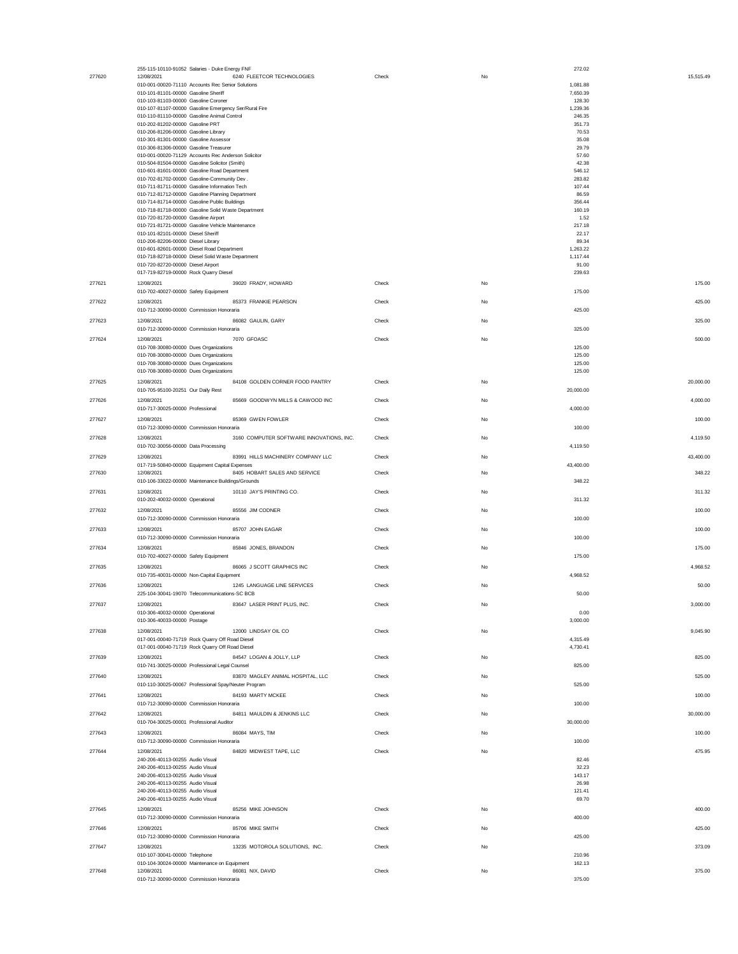|        | 255-115-10110-91052 Salaries - Duke Energy FNF                                                |       |    | 272.02         |           |
|--------|-----------------------------------------------------------------------------------------------|-------|----|----------------|-----------|
| 277620 | 12/08/2021<br>6240 FLEETCOR TECHNOLOGIES                                                      | Check | No |                | 15,515.49 |
|        | 010-001-00020-71110 Accounts Rec Senior Solutions                                             |       |    | 1,081.88       |           |
|        | 010-101-81101-00000 Gasoline Sheriff                                                          |       |    | 7,650.39       |           |
|        | 010-103-81103-00000 Gasoline Coroner                                                          |       |    | 128.30         |           |
|        | 010-107-81107-00000 Gasoline Emergency Ser/Rural Fire                                         |       |    | 1,239.36       |           |
|        | 010-110-81110-00000 Gasoline Animal Control                                                   |       |    | 246.35         |           |
|        | 010-202-81202-00000 Gasoline PRT                                                              |       |    | 351.73         |           |
|        | 010-206-81206-00000 Gasoline Library                                                          |       |    | 70.53          |           |
|        | 010-301-81301-00000 Gasoline Assessor                                                         |       |    | 35.08          |           |
|        | 010-306-81306-00000 Gasoline Treasurer<br>010-001-00020-71129 Accounts Rec Anderson Solicitor |       |    | 29.79          |           |
|        |                                                                                               |       |    | 57.60<br>42.38 |           |
|        | 010-504-81504-00000 Gasoline Solicitor (Smith)                                                |       |    |                |           |
|        | 010-601-81601-00000 Gasoline Road Department                                                  |       |    | 546.12         |           |
|        | 010-702-81702-00000 Gasoline-Community Dev .                                                  |       |    | 283.82         |           |
|        | 010-711-81711-00000 Gasoline Information Tech                                                 |       |    | 107.44         |           |
|        | 010-712-81712-00000 Gasoline Planning Department                                              |       |    | 86.59          |           |
|        | 010-714-81714-00000 Gasoline Public Buildings                                                 |       |    | 356.44         |           |
|        | 010-718-81718-00000 Gasoline Solid Waste Department                                           |       |    | 160.19         |           |
|        | 010-720-81720-00000 Gasoline Airport                                                          |       |    | 1.52           |           |
|        | 010-721-81721-00000 Gasoline Vehicle Maintenance                                              |       |    | 217.18         |           |
|        | 010-101-82101-00000 Diesel Sheriff                                                            |       |    | 22.17          |           |
|        | 010-206-82206-00000 Diesel Library                                                            |       |    | 89.34          |           |
|        | 010-601-82601-00000 Diesel Road Department                                                    |       |    | 1,263.22       |           |
|        | 010-718-82718-00000 Diesel Solid Waste Department                                             |       |    | 1,117.44       |           |
|        | 010-720-82720-00000 Diesel Airport                                                            |       |    | 91.00          |           |
|        | 017-719-82719-00000 Rock Quarry Diesel                                                        |       |    | 239.63         |           |
| 277621 | 12/08/2021<br>39020 FRADY, HOWARD                                                             | Check | No |                | 175.00    |
|        | 010-702-40027-00000 Safety Equipment                                                          |       |    | 175.00         |           |
| 277622 | 12/08/2021<br>85373 FRANKIE PEARSON                                                           | Check | No |                | 425.00    |
|        | 010-712-30090-00000 Commission Honoraria                                                      |       |    | 425.00         |           |
|        |                                                                                               |       |    |                |           |
| 277623 | 12/08/2021<br>86082 GAULIN, GARY                                                              | Check | No |                | 325.00    |
|        | 010-712-30090-00000 Commission Honoraria                                                      |       |    | 325.00         |           |
| 277624 | 12/08/2021<br>7070 GFOASC                                                                     | Check | No |                | 500.00    |
|        | 010-708-30080-00000 Dues Organizations                                                        |       |    | 125.00         |           |
|        | 010-708-30080-00000 Dues Organizations                                                        |       |    | 125.00         |           |
|        | 010-708-30080-00000 Dues Organizations                                                        |       |    | 125.00         |           |
|        | 010-708-30080-00000 Dues Organizations                                                        |       |    | 125.00         |           |
| 277625 | 12/08/2021<br>84108 GOLDEN CORNER FOOD PANTRY                                                 | Check | No |                | 20,000.00 |
|        | 010-705-95100-20251 Our Daily Rest                                                            |       |    | 20,000.00      |           |
|        |                                                                                               |       |    |                |           |
| 277626 | 12/08/2021<br>85669 GOODWYN MILLS & CAWOOD INC                                                | Check | No |                | 4,000.00  |
|        | 010-717-30025-00000 Professional                                                              |       |    | 4,000.00       |           |
| 277627 | 12/08/2021<br>85369 GWEN FOWLER                                                               | Check | No |                | 100.00    |
|        | 010-712-30090-00000 Commission Honoraria                                                      |       |    | 100.00         |           |
|        | 12/08/2021                                                                                    |       |    |                |           |
| 277628 | 3160 COMPUTER SOFTWARE INNOVATIONS, INC.                                                      | Check | No |                | 4,119.50  |
|        | 010-702-30056-00000 Data Processing                                                           |       |    | 4,119.50       |           |
| 277629 | 12/08/2021<br>83991 HILLS MACHINERY COMPANY LLC                                               | Check | No |                | 43,400.00 |
|        | 017-719-50840-00000 Equipment Capital Expenses                                                |       |    | 43,400.00      |           |
| 277630 | 8405 HOBART SALES AND SERVICE<br>12/08/2021                                                   | Check | No |                | 348.22    |
|        | 010-106-33022-00000 Maintenance Buildings/Grounds                                             |       |    | 348.22         |           |
| 277631 | 12/08/2021<br>10110 JAY'S PRINTING CO.                                                        | Check | No |                | 311.32    |
|        | 010-202-40032-00000 Operational                                                               |       |    | 311.32         |           |
|        |                                                                                               |       |    |                |           |
| 277632 | 12/08/2021<br>85556 JIM CODNER                                                                | Check | No |                | 100.00    |
|        | 010-712-30090-00000 Commission Honoraria                                                      |       |    | 100.00         |           |
| 277633 | 12/08/2021<br>85707 JOHN EAGAR                                                                | Check | No |                | 100.00    |
|        | 010-712-30090-00000 Commission Honoraria                                                      |       |    | 100.00         |           |
|        | 85846 JONES, BRANDON                                                                          |       | No |                |           |
| 277634 | 12/08/2021                                                                                    | Check |    |                | 175.00    |
|        | 010-702-40027-00000 Safety Equipment                                                          |       |    | 175.00         |           |
| 277635 | 86065 J SCOTT GRAPHICS INC<br>12/08/2021                                                      | Check | No |                | 4,968.52  |
|        | 010-735-40031-00000 Non-Capital Equipment                                                     |       |    | 4,968.52       |           |
| 277636 | 1245 LANGUAGE LINE SERVICES<br>12/08/2021                                                     | Check | No |                | 50.00     |
|        | 225-104-30041-19070 Telecommunications-SC BCB                                                 |       |    | 50.00          |           |
|        |                                                                                               |       |    |                |           |
| 277637 | 83647 LASER PRINT PLUS, INC.<br>12/08/2021                                                    | Check | No |                | 3,000.00  |
|        | 010-306-40032-00000 Operational                                                               |       |    | 0.00           |           |
|        | 010-306-40033-00000 Postage                                                                   |       |    | 3,000.00       |           |
| 277638 | 12/08/2021<br>12000 LINDSAY OIL CO                                                            | Check | No |                | 9,045.90  |
|        | 017-001-00040-71719 Rock Quarry Off Road Diesel                                               |       |    | 4,315.49       |           |
|        | 017-001-00040-71719 Rock Quarry Off Road Diesel                                               |       |    | 4,730.41       |           |
| 277639 | 12/08/2021<br>84547 LOGAN & JOLLY, LLP                                                        | Check | No |                | 825.00    |
|        | 010-741-30025-00000 Professional Legal Counsel                                                |       |    | 825.00         |           |
|        |                                                                                               |       |    |                |           |
| 277640 | 83870 MAGLEY ANIMAL HOSPITAL, LLC<br>12/08/2021                                               | Check | No |                | 525.00    |
|        | 010-110-30025-00067 Professional Spay/Neuter Program                                          |       |    | 525.00         |           |
| 277641 | 12/08/2021<br>84193 MARTY MCKEE                                                               | Check | No |                | 100.00    |
|        | 010-712-30090-00000 Commission Honoraria                                                      |       |    | 100.00         |           |
| 277642 | 12/08/2021<br>84811 MAULDIN & JENKINS LLC                                                     | Check | No |                | 30,000.00 |
|        | 010-704-30025-00001 Professional Auditor                                                      |       |    | 30,000.00      |           |
|        |                                                                                               |       |    |                |           |
| 277643 | 12/08/2021<br>86084 MAYS, TIM                                                                 | Check | No |                | 100.00    |
|        | 010-712-30090-00000 Commission Honoraria                                                      |       |    | 100.00         |           |
| 277644 | 12/08/2021<br>84820 MIDWEST TAPE, LLC                                                         | Check | No |                | 475.95    |
|        | 240-206-40113-00255 Audio Visual                                                              |       |    | 82.46          |           |
|        | 240-206-40113-00255 Audio Visual                                                              |       |    | 32.23          |           |
|        | 240-206-40113-00255 Audio Visual                                                              |       |    | 143.17         |           |
|        | 240-206-40113-00255 Audio Visual                                                              |       |    | 26.98          |           |
|        | 240-206-40113-00255 Audio Visual                                                              |       |    | 121.41         |           |
|        | 240-206-40113-00255 Audio Visual                                                              |       |    | 69.70          |           |
|        |                                                                                               |       |    |                |           |
| 277645 | 12/08/2021<br>85256 MIKE JOHNSON                                                              | Check | No |                | 400.00    |
|        | 010-712-30090-00000 Commission Honoraria                                                      |       |    | 400.00         |           |
| 277646 | 85706 MIKE SMITH<br>12/08/2021                                                                | Check | No |                | 425.00    |
|        | 010-712-30090-00000 Commission Honoraria                                                      |       |    | 425.00         |           |
| 277647 | 12/08/2021<br>13235 MOTOROLA SOLUTIONS, INC.                                                  | Check | No |                | 373.09    |
|        | 010-107-30041-00000 Telephone                                                                 |       |    | 210.96         |           |
|        | 010-104-30024-00000 Maintenance on Equipment                                                  |       |    | 162.13         |           |
| 277648 | 86081 NIX, DAVID<br>12/08/2021                                                                | Check | No |                | 375.00    |
|        | 010-712-30090-00000 Commission Honoraria                                                      |       |    | 375.00         |           |
|        |                                                                                               |       |    |                |           |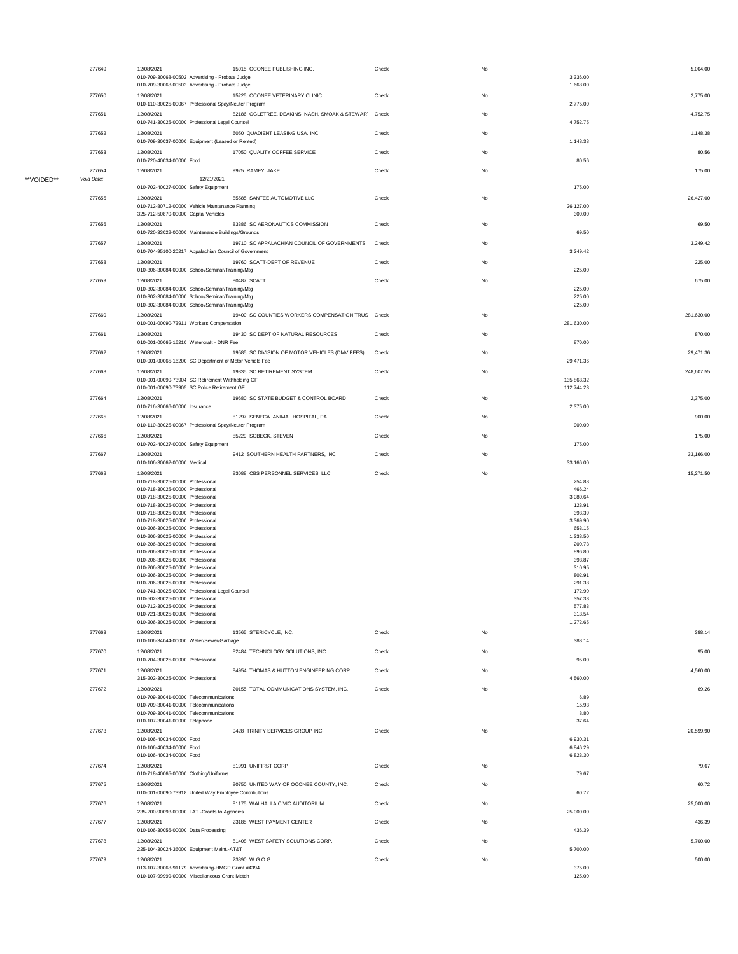|            | 277649     | 12/08/2021<br>010-709-30068-00502 Advertising - Probate Judge                                                         | 15015 OCONEE PUBLISHING INC.                         | Check | No | 3,336.00             | 5,004.00   |
|------------|------------|-----------------------------------------------------------------------------------------------------------------------|------------------------------------------------------|-------|----|----------------------|------------|
|            | 277650     | 010-709-30068-00502 Advertising - Probate Judge<br>12/08/2021<br>010-110-30025-00067 Professional Spay/Neuter Program | 15225 OCONEE VETERINARY CLINIC                       | Check | No | 1,668.00<br>2,775.00 | 2,775.00   |
|            | 277651     | 12/08/2021                                                                                                            | 82186 OGLETREE, DEAKINS, NASH, SMOAK & STEWAR' Check |       | No |                      | 4,752.75   |
|            | 277652     | 010-741-30025-00000 Professional Legal Counsel<br>12/08/2021                                                          | 6050 QUADIENT LEASING USA, INC.                      | Check | No | 4,752.75             | 1,148.38   |
|            | 277653     | 010-709-30037-00000 Equipment (Leased or Rented)<br>12/08/2021                                                        | 17050 QUALITY COFFEE SERVICE                         | Check | No | 1,148.38             | 80.56      |
|            | 277654     | 010-720-40034-00000 Food<br>12/08/2021                                                                                | 9925 RAMEY, JAKE                                     | Check | No | 80.56                | 175.00     |
| **VOIDED** | Void Date: | 12/21/2021<br>010-702-40027-00000 Safety Equipment                                                                    |                                                      |       |    | 175.00               |            |
|            | 277655     | 12/08/2021                                                                                                            | 85585 SANTEE AUTOMOTIVE LLC                          | Check | No |                      | 26,427.00  |
|            |            | 010-712-80712-00000 Vehicle Maintenance Planning<br>325-712-50870-00000 Capital Vehicles                              |                                                      |       |    | 26,127.00<br>300.00  |            |
|            | 277656     | 12/08/2021<br>010-720-33022-00000 Maintenance Buildings/Grounds                                                       | 83386 SC AERONAUTICS COMMISSION                      | Check | No | 69.50                | 69.50      |
|            | 277657     | 12/08/2021<br>010-704-95100-20217 Appalachian Council of Government                                                   | 19710 SC APPALACHIAN COUNCIL OF GOVERNMENTS          | Check | No | 3,249.42             | 3,249.42   |
|            | 277658     | 12/08/2021<br>010-306-30084-00000 School/Seminar/Training/Mtg                                                         | 19760 SCATT-DEPT OF REVENUE                          | Check | No | 225.00               | 225.00     |
|            | 277659     | 12/08/2021                                                                                                            | 80487 SCATT                                          | Check | No |                      | 675.00     |
|            |            | 010-302-30084-00000 School/Seminar/Training/Mtg<br>010-302-30084-00000 School/Seminar/Training/Mtg                    |                                                      |       |    | 225.00<br>225.00     |            |
|            | 277660     | 010-302-30084-00000 School/Seminar/Training/Mtg<br>12/08/2021                                                         | 19400 SC COUNTIES WORKERS COMPENSATION TRUS Check    |       | No | 225.00               | 281,630.00 |
|            | 277661     | 010-001-00090-73911 Workers Compensation<br>12/08/2021                                                                | 19430 SC DEPT OF NATURAL RESOURCES                   | Check | No | 281,630.00           | 870.00     |
|            |            | 010-001-00065-16210 Watercraft - DNR Fee                                                                              |                                                      |       |    | 870.00               |            |
|            | 277662     | 12/08/2021<br>010-001-00065-16200 SC Department of Motor Vehicle Fee                                                  | 19585 SC DIVISION OF MOTOR VEHICLES (DMV FEES)       | Check | No | 29,471.36            | 29,471.36  |
|            | 277663     | 12/08/2021<br>010-001-00090-73904 SC Retirement Withholding GF                                                        | 19335 SC RETIREMENT SYSTEM                           | Check | No | 135,863.32           | 248,607.55 |
|            | 277664     | 010-001-00090-73905 SC Police Retirement GF<br>12/08/2021                                                             | 19680 SC STATE BUDGET & CONTROL BOARD                | Check | No | 112,744.23           | 2,375.00   |
|            | 277665     | 010-716-30066-00000 Insurance<br>12/08/2021                                                                           | 81297 SENECA ANIMAL HOSPITAL, PA                     | Check | No | 2,375.00             | 900.00     |
|            |            | 010-110-30025-00067 Professional Spay/Neuter Program                                                                  |                                                      |       |    | 900.00               |            |
|            | 277666     | 12/08/2021<br>010-702-40027-00000 Safety Equipment                                                                    | 85229 SOBECK, STEVEN                                 | Check | No | 175.00               | 175.00     |
|            | 277667     | 12/08/2021<br>010-106-30062-00000 Medical                                                                             | 9412 SOUTHERN HEALTH PARTNERS, INC                   | Check | No | 33,166.00            | 33,166.00  |
|            | 277668     | 12/08/2021<br>010-718-30025-00000 Professional                                                                        | 83088 CBS PERSONNEL SERVICES, LLC                    | Check | No | 254.88               | 15,271.50  |
|            |            | 010-718-30025-00000 Professional<br>010-718-30025-00000 Professional                                                  |                                                      |       |    | 466.24<br>3,080.64   |            |
|            |            | 010-718-30025-00000 Professional<br>010-718-30025-00000 Professional                                                  |                                                      |       |    | 123.91<br>393.39     |            |
|            |            | 010-718-30025-00000 Professional<br>010-206-30025-00000 Professional                                                  |                                                      |       |    | 3,369.90<br>653.15   |            |
|            |            | 010-206-30025-00000 Professional<br>010-206-30025-00000 Professional                                                  |                                                      |       |    | 1,338.50<br>200.73   |            |
|            |            | 010-206-30025-00000 Professional<br>010-206-30025-00000 Professional                                                  |                                                      |       |    | 896.80<br>393.87     |            |
|            |            | 010-206-30025-00000 Professional                                                                                      |                                                      |       |    | 310.95               |            |
|            |            | 010-206-30025-00000 Professional<br>010-206-30025-00000 Professional                                                  |                                                      |       |    | 802.91<br>291.38     |            |
|            |            | 010-741-30025-00000 Professional Legal Counsel<br>010-502-30025-00000 Professional                                    |                                                      |       |    | 172.90<br>357.33     |            |
|            |            | 010-712-30025-00000 Professional                                                                                      |                                                      |       |    | 577.83               |            |
|            |            | 010-721-30025-00000 Professional<br>010-206-30025-00000 Professional                                                  |                                                      |       |    | 313.54<br>1,272.65   |            |
|            | 277669     | 12/08/2021                                                                                                            | 13565 STERICYCLE, INC.                               | Check | No |                      | 388.14     |
|            | 277670     | 010-106-34044-00000 Water/Sewer/Garbage<br>12/08/2021                                                                 | 82484 TECHNOLOGY SOLUTIONS, INC.                     | Check | No | 388.14               | 95.00      |
|            | 277671     | 010-704-30025-00000 Professional<br>12/08/2021                                                                        | 84954 THOMAS & HUTTON ENGINEERING CORP               | Check | No | 95.00                | 4,560.00   |
|            |            | 315-202-30025-00000 Professional                                                                                      |                                                      |       |    | 4,560.00             |            |
|            | 277672     | 12/08/2021<br>010-709-30041-00000 Telecommunications                                                                  | 20155 TOTAL COMMUNICATIONS SYSTEM, INC.              | Check | No | 6.89                 | 69.26      |
|            |            | 010-709-30041-00000 Telecommunications<br>010-709-30041-00000 Telecommunications                                      |                                                      |       |    | 15.93<br>8.80        |            |
|            | 277673     | 010-107-30041-00000 Telephone<br>12/08/2021                                                                           | 9428 TRINITY SERVICES GROUP INC                      | Check | No | 37.64                | 20,599.90  |
|            |            | 010-106-40034-00000 Food                                                                                              |                                                      |       |    | 6,930.31             |            |
|            |            | 010-106-40034-00000 Food<br>010-106-40034-00000 Food                                                                  |                                                      |       |    | 6,846.29<br>6,823.30 |            |
|            | 277674     | 12/08/2021                                                                                                            | 81991 UNIFIRST CORP                                  | Check | No |                      | 79.67      |
|            | 277675     | 010-718-40065-00000 Clothing/Uniforms<br>12/08/2021                                                                   | 80750 UNITED WAY OF OCONEE COUNTY, INC.              | Check | No | 79.67                | 60.72      |
|            | 277676     | 010-001-00090-73918 United Way Employee Contributions<br>12/08/2021                                                   | 81175 WALHALLA CIVIC AUDITORIUM                      | Check | No | 60.72                | 25,000.00  |
|            | 277677     | 235-200-90093-00000 LAT -Grants to Agencies<br>12/08/2021                                                             | 23185 WEST PAYMENT CENTER                            | Check | No | 25,000.00            | 436.39     |
|            |            | 010-106-30056-00000 Data Processing                                                                                   |                                                      |       |    | 436.39               |            |
|            | 277678     | 12/08/2021<br>225-104-30024-36000 Equipment Maint.-AT&T                                                               | 81408 WEST SAFETY SOLUTIONS CORP.                    | Check | No | 5,700.00             | 5,700.00   |
|            | 277679     | 12/08/2021<br>013-107-30068-91179 Advertising-HMGP Grant #4394                                                        | 23890 W G O G                                        | Check | No | 375.00               | 500.00     |
|            |            | 010-107-99999-00000 Miscellaneous Grant Match                                                                         |                                                      |       |    | 125.00               |            |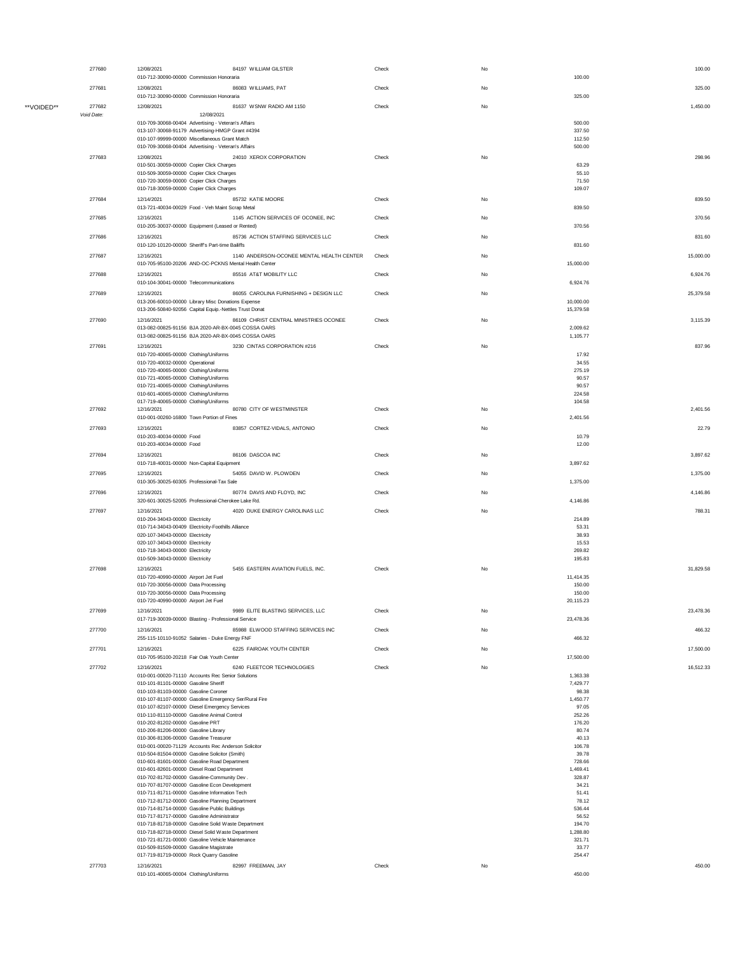|            | 277680     | 12/08/2021<br>010-712-30090-00000 Commission Honoraria                                                       | 84197 WILLIAM GILSTER                     | Check | No | 100.00                 | 100.00    |
|------------|------------|--------------------------------------------------------------------------------------------------------------|-------------------------------------------|-------|----|------------------------|-----------|
|            | 277681     | 12/08/2021                                                                                                   | 86083 WILLIAMS, PAT                       | Check | No |                        | 325.00    |
| **VOIDED** | 277682     | 010-712-30090-00000 Commission Honoraria<br>12/08/2021                                                       | 81637 WSNW RADIO AM 1150                  | Check | No | 325.00                 | 1,450.00  |
|            | Void Date: | 12/08/2021                                                                                                   |                                           |       |    | 500.00                 |           |
|            |            | 010-709-30068-00404 Advertising - Veteran's Affairs<br>013-107-30068-91179 Advertising-HMGP Grant #4394      |                                           |       |    | 337.50                 |           |
|            |            | 010-107-99999-00000 Miscellaneous Grant Match<br>010-709-30068-00404 Advertising - Veteran's Affairs         |                                           |       |    | 112.50<br>500.00       |           |
|            | 277683     | 12/08/2021<br>010-501-30059-00000 Copier Click Charges                                                       | 24010 XEROX CORPORATION                   | Check | No | 63.29                  | 298.96    |
|            |            | 010-509-30059-00000 Copier Click Charges                                                                     |                                           |       |    | 55.10                  |           |
|            |            | 010-720-30059-00000 Copier Click Charges<br>010-718-30059-00000 Copier Click Charges                         |                                           |       |    | 71.50<br>109.07        |           |
|            | 277684     | 12/14/2021<br>013-721-40034-00029 Food - Veh Maint Scrap Metal                                               | 85732 KATIE MOORE                         | Check | No | 839.50                 | 839.50    |
|            | 277685     | 12/16/2021                                                                                                   | 1145 ACTION SERVICES OF OCONEE, INC       | Check | No |                        | 370.56    |
|            | 277686     | 010-205-30037-00000 Equipment (Leased or Rented)<br>12/16/2021                                               | 85736 ACTION STAFFING SERVICES LLC        | Check | No | 370.56                 | 831.60    |
|            |            | 010-120-10120-00000 Sheriff's Part-time Bailiffs                                                             |                                           |       |    | 831.60                 |           |
|            | 277687     | 12/16/2021<br>010-705-95100-20206 AND-OC-PCKNS Mental Health Center                                          | 1140 ANDERSON-OCONEE MENTAL HEALTH CENTER | Check | No | 15,000.00              | 15,000.00 |
|            | 277688     | 12/16/2021                                                                                                   | 85516 AT&T MOBILITY LLC                   | Check | No |                        | 6,924.76  |
|            | 277689     | 010-104-30041-00000 Telecommunications<br>12/16/2021                                                         | 86055 CAROLINA FURNISHING + DESIGN LLC    | Check | No | 6,924.76               | 25,379.58 |
|            |            | 013-206-60010-00000 Library Misc Donations Expense<br>013-206-50840-92056 Capital Equip.-Nettles Trust Donat |                                           |       |    | 10,000.00<br>15,379.58 |           |
|            | 277690     | 12/16/2021                                                                                                   | 86109 CHRIST CENTRAL MINISTRIES OCONEE    | Check | No |                        | 3,115.39  |
|            |            | 013-082-00825-91156 BJA 2020-AR-BX-0045 COSSA OARS<br>013-082-00825-91156 BJA 2020-AR-BX-0045 COSSA OARS     |                                           |       |    | 2,009.62<br>1,105.77   |           |
|            | 277691     | 12/16/2021                                                                                                   | 3230 CINTAS CORPORATION #216              | Check | No |                        | 837.96    |
|            |            | 010-720-40065-00000 Clothing/Uniforms<br>010-720-40032-00000 Operational                                     |                                           |       |    | 17.92<br>34.55         |           |
|            |            | 010-720-40065-00000 Clothing/Uniforms<br>010-721-40065-00000 Clothing/Uniforms                               |                                           |       |    | 275.19<br>90.57        |           |
|            |            | 010-721-40065-00000 Clothing/Uniforms<br>010-601-40065-00000 Clothing/Uniforms                               |                                           |       |    | 90.57<br>224.58        |           |
|            | 277692     | 017-719-40065-00000 Clothing/Uniforms<br>12/16/2021                                                          | 80780 CITY OF WESTMINSTER                 | Check | No | 104.58                 | 2,401.56  |
|            |            | 010-001-00260-16800 Town Portion of Fines                                                                    |                                           |       |    | 2,401.56               |           |
|            | 277693     | 12/16/2021<br>010-203-40034-00000 Food                                                                       | 83857 CORTEZ-VIDALS, ANTONIO              | Check | No | 10.79                  | 22.79     |
|            |            | 010-203-40034-00000 Food                                                                                     |                                           |       |    | 12.00                  |           |
|            | 277694     | 12/16/2021<br>010-718-40031-00000 Non-Capital Equipment                                                      | 86106 DASCOA INC                          | Check | No | 3,897.62               | 3,897.62  |
|            | 277695     | 12/16/2021                                                                                                   | 54055 DAVID W. PLOWDEN                    | Check | No |                        | 1,375.00  |
|            | 277696     | 010-305-30025-60305 Professional-Tax Sale<br>12/16/2021                                                      | 80774 DAVIS AND FLOYD, INC                | Check | No | 1,375.00               | 4,146.86  |
|            |            | 320-601-30025-52005 Professional-Cherokee Lake Rd.                                                           |                                           |       |    | 4,146.86               |           |
|            | 277697     | 12/16/2021<br>010-204-34043-00000 Electricity                                                                | 4020 DUKE ENERGY CAROLINAS LLC            | Check | No | 214.89                 | 788.31    |
|            |            | 010-714-34043-00409 Electricity-Foothills Alliance<br>020-107-34043-00000 Electricity                        |                                           |       |    | 53.31<br>38.93         |           |
|            |            | 020-107-34043-00000 Electricity<br>010-718-34043-00000 Electricity                                           |                                           |       |    | 15.53<br>269.82        |           |
|            |            | 010-509-34043-00000 Electricity                                                                              |                                           |       |    | 195.83                 |           |
|            | 277698     | 12/16/2021<br>010-720-40990-00000 Airport Jet Fuel                                                           | 5455 EASTERN AVIATION FUELS, INC.         | Check | No | 11,414.35              | 31,829.58 |
|            |            | 010-720-30056-00000 Data Processing<br>010-720-30056-00000 Data Processing                                   |                                           |       |    | 150.00<br>150.00       |           |
|            |            | 010-720-40990-00000 Airport Jet Fuel                                                                         |                                           |       |    | 20,115.23              |           |
|            | 277699     | 12/16/2021<br>017-719-30039-00000 Blasting - Professional Service                                            | 9989 ELITE BLASTING SERVICES, LLC         | Check | No | 23,478.36              | 23,478.36 |
|            | 277700     | 12/16/2021                                                                                                   | 85988 ELWOOD STAFFING SERVICES INC        | Check | No |                        | 466.32    |
|            | 277701     | 255-115-10110-91052 Salaries - Duke Energy FNF<br>12/16/2021                                                 | 6225 FAIROAK YOUTH CENTER                 | Check | No | 466.32                 | 17,500.00 |
|            |            | 010-705-95100-20218 Fair Oak Youth Center                                                                    |                                           |       |    | 17,500.00              |           |
|            | 277702     | 12/16/2021<br>010-001-00020-71110 Accounts Rec Senior Solutions                                              | 6240 FLEETCOR TECHNOLOGIES                | Check | No | 1,363.38               | 16,512.33 |
|            |            | 010-101-81101-00000 Gasoline Sheriff<br>010-103-81103-00000 Gasoline Coroner                                 |                                           |       |    | 7,429.77<br>98.38      |           |
|            |            | 010-107-81107-00000 Gasoline Emergency Ser/Rural Fire                                                        |                                           |       |    | 1,450.77               |           |
|            |            | 010-107-82107-00000 Diesel Emergency Services<br>010-110-81110-00000 Gasoline Animal Control                 |                                           |       |    | 97.05<br>252.26        |           |
|            |            | 010-202-81202-00000 Gasoline PRT                                                                             |                                           |       |    | 176.20                 |           |
|            |            | 010-206-81206-00000 Gasoline Library<br>010-306-81306-00000 Gasoline Treasurer                               |                                           |       |    | 80.74<br>40.13         |           |
|            |            | 010-001-00020-71129 Accounts Rec Anderson Solicitor                                                          |                                           |       |    | 106.78                 |           |
|            |            | 010-504-81504-00000 Gasoline Solicitor (Smith)<br>010-601-81601-00000 Gasoline Road Department               |                                           |       |    | 39.78<br>728.66        |           |
|            |            | 010-601-82601-00000 Diesel Road Department                                                                   |                                           |       |    | 1,469.41               |           |
|            |            | 010-702-81702-00000 Gasoline-Community Dev.<br>010-707-81707-00000 Gasoline Econ Development                 |                                           |       |    | 328.87<br>34.21        |           |
|            |            | 010-711-81711-00000 Gasoline Information Tech                                                                |                                           |       |    | 51.41                  |           |
|            |            | 010-712-81712-00000 Gasoline Planning Department                                                             |                                           |       |    | 78.12                  |           |
|            |            | 010-714-81714-00000 Gasoline Public Buildings<br>010-717-81717-00000 Gasoline Administrator                  |                                           |       |    | 536.44<br>56.52        |           |
|            |            | 010-718-81718-00000 Gasoline Solid Waste Department                                                          |                                           |       |    | 194.70                 |           |
|            |            | 010-718-82718-00000 Diesel Solid Waste Department<br>010-721-81721-00000 Gasoline Vehicle Maintenance        |                                           |       |    | 1,288.80<br>321.71     |           |
|            |            | 010-509-81509-00000 Gasoline Magistrate                                                                      |                                           |       |    | 33.77                  |           |
|            |            | 017-719-81719-00000 Rock Quarry Gasoline                                                                     |                                           |       |    | 254.47                 |           |
|            | 277703     | 12/16/2021<br>010-101-40065-00004 Clothing/Uniforms                                                          | 82997 FREEMAN, JAY                        | Check | No | 450.00                 | 450.00    |
|            |            |                                                                                                              |                                           |       |    |                        |           |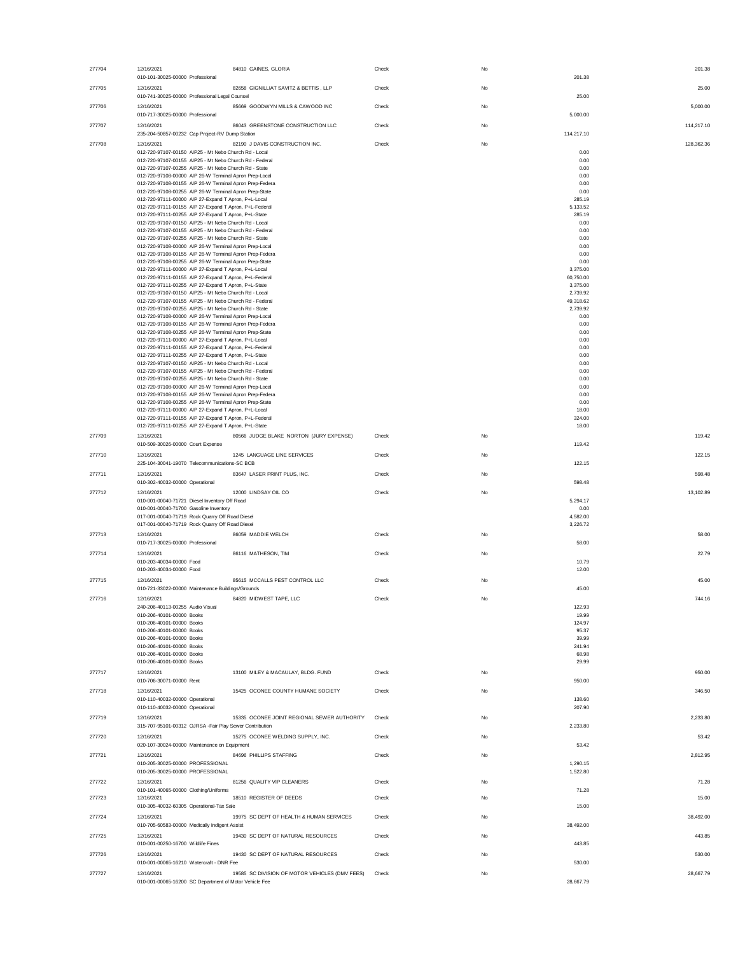| 277704 | 12/16/2021<br>84810 GAINES, GLORIA<br>010-101-30025-00000 Professional                                            | Check | No | 201.38                | 201.38     |
|--------|-------------------------------------------------------------------------------------------------------------------|-------|----|-----------------------|------------|
| 277705 | 12/16/2021<br>82658 GIGNILLIAT SAVITZ & BETTIS, LLP<br>010-741-30025-00000 Professional Legal Counsel             | Check | No | 25.00                 | 25.00      |
| 277706 | 12/16/2021<br>85669 GOODWYN MILLS & CAWOOD INC<br>010-717-30025-00000 Professional                                | Check | No | 5,000.00              | 5.000.00   |
| 277707 | 12/16/2021<br>86043 GREENSTONE CONSTRUCTION LLC                                                                   | Check | No |                       | 114,217.10 |
| 277708 | 235-204-50857-00232 Cap Project-RV Dump Station<br>82190 J DAVIS CONSTRUCTION INC.<br>12/16/2021                  | Check | No | 114,217.10            | 128,362.36 |
|        | 012-720-97107-00150 AIP25 - Mt Nebo Church Rd - Local<br>012-720-97107-00155 AIP25 - Mt Nebo Church Rd - Federal  |       |    | 0.00<br>0.00          |            |
|        | 012-720-97107-00255 AIP25 - Mt Nebo Church Rd - State                                                             |       |    | 0.00                  |            |
|        | 012-720-97108-00000 AIP 26-W Terminal Apron Prep-Local                                                            |       |    | 0.00                  |            |
|        | 012-720-97108-00155 AIP 26-W Terminal Apron Prep-Federa<br>012-720-97108-00255 AIP 26-W Terminal Apron Prep-State |       |    | 0.00<br>0.00          |            |
|        | 012-720-97111-00000 AIP 27-Expand T Apron, P+L-Local                                                              |       |    | 285.19                |            |
|        | 012-720-97111-00155 AIP 27-Expand T Apron, P+L-Federal<br>012-720-97111-00255 AIP 27-Expand T Apron, P+L-State    |       |    | 5,133.52<br>285.19    |            |
|        | 012-720-97107-00150 AIP25 - Mt Nebo Church Rd - Local                                                             |       |    | 0.00                  |            |
|        | 012-720-97107-00155 AIP25 - Mt Nebo Church Rd - Federal<br>012-720-97107-00255 AIP25 - Mt Nebo Church Rd - State  |       |    | 0.00<br>0.00          |            |
|        | 012-720-97108-00000 AIP 26-W Terminal Apron Prep-Local                                                            |       |    | 0.00                  |            |
|        | 012-720-97108-00155 AIP 26-W Terminal Apron Prep-Federa<br>012-720-97108-00255 AIP 26-W Terminal Apron Prep-State |       |    | 0.00<br>0.00          |            |
|        | 012-720-97111-00000 AIP 27-Expand T Apron, P+L-Local                                                              |       |    | 3,375.00              |            |
|        | 012-720-97111-00155 AIP 27-Expand T Apron, P+L-Federal<br>012-720-97111-00255 AIP 27-Expand T Apron, P+L-State    |       |    | 60,750.00<br>3,375.00 |            |
|        | 012-720-97107-00150 AIP25 - Mt Nebo Church Rd - Local                                                             |       |    | 2,739.92              |            |
|        | 012-720-97107-00155 AIP25 - Mt Nebo Church Rd - Federal<br>012-720-97107-00255 AIP25 - Mt Nebo Church Rd - State  |       |    | 49,318.62<br>2,739.92 |            |
|        | 012-720-97108-00000 AIP 26-W Terminal Apron Prep-Local                                                            |       |    | 0.00                  |            |
|        | 012-720-97108-00155 AIP 26-W Terminal Apron Prep-Federa<br>012-720-97108-00255 AIP 26-W Terminal Apron Prep-State |       |    | 0.00<br>0.00          |            |
|        | 012-720-97111-00000 AIP 27-Expand T Apron, P+L-Local                                                              |       |    | 0.00                  |            |
|        | 012-720-97111-00155 AIP 27-Expand T Apron, P+L-Federal<br>012-720-97111-00255 AIP 27-Expand T Apron, P+L-State    |       |    | 0.00<br>0.00          |            |
|        | 012-720-97107-00150 AIP25 - Mt Nebo Church Rd - Local                                                             |       |    | 0.00                  |            |
|        | 012-720-97107-00155 AIP25 - Mt Nebo Church Rd - Federal<br>012-720-97107-00255 AIP25 - Mt Nebo Church Rd - State  |       |    | 0.00<br>0.00          |            |
|        | 012-720-97108-00000 AIP 26-W Terminal Apron Prep-Local                                                            |       |    | 0.00                  |            |
|        | 012-720-97108-00155 AIP 26-W Terminal Apron Prep-Federa<br>012-720-97108-00255 AIP 26-W Terminal Apron Prep-State |       |    | 0.00<br>0.00          |            |
|        | 012-720-97111-00000 AIP 27-Expand T Apron, P+L-Local                                                              |       |    | 18.00                 |            |
|        | 012-720-97111-00155 AIP 27-Expand T Apron, P+L-Federal<br>012-720-97111-00255 AIP 27-Expand T Apron, P+L-State    |       |    | 324.00<br>18.00       |            |
| 277709 | 12/16/2021<br>80566 JUDGE BLAKE NORTON (JURY EXPENSE)                                                             | Check | No |                       | 119.42     |
|        | 010-509-30026-00000 Court Expense                                                                                 |       |    | 119.42                |            |
| 277710 | 1245 LANGUAGE LINE SERVICES<br>12/16/2021                                                                         | Check | No |                       | 122.15     |
| 277711 | 225-104-30041-19070 Telecommunications-SC BCB<br>83647 LASER PRINT PLUS, INC.<br>12/16/2021                       | Check | No | 122.15                | 598.48     |
|        | 010-302-40032-00000 Operational                                                                                   |       |    | 598.48                |            |
| 277712 | 12/16/2021<br>12000 LINDSAY OIL CO                                                                                | Check | No |                       | 13,102.89  |
|        | 010-001-00040-71721 Diesel Inventory Off Road<br>010-001-00040-71700 Gasoline Inventory                           |       |    | 5,294.17<br>0.00      |            |
|        | 017-001-00040-71719 Rock Quarry Off Road Diesel                                                                   |       |    | 4,582.00              |            |
|        | 017-001-00040-71719 Rock Quarry Off Road Diesel                                                                   |       |    | 3,226.72              |            |
| 277713 | 86059 MADDIE WELCH<br>12/16/2021<br>010-717-30025-00000 Professional                                              | Check | No | 58.00                 | 58.00      |
| 277714 | 12/16/2021<br>86116 MATHESON, TIM                                                                                 | Check | No |                       | 22.79      |
|        | 010-203-40034-00000 Food                                                                                          |       |    | 10.79                 |            |
|        | 010-203-40034-00000 Food<br>85615 MCCALLS PEST CONTROL LLC                                                        |       |    | 12.00                 | 45.00      |
| 277715 | 12/16/2021<br>010-721-33022-00000 Maintenance Buildings/Grounds                                                   | Check | No | 45.00                 |            |
| 277716 | 12/16/2021<br>84820 MIDWEST TAPE, LLC                                                                             | Check | No |                       | 744.16     |
|        | 240-206-40113-00255 Audio Visual<br>010-206-40101-00000 Books                                                     |       |    | 122.93<br>19.99       |            |
|        | 010-206-40101-00000 Books                                                                                         |       |    | 124.97                |            |
|        | 010-206-40101-00000 Books<br>010-206-40101-00000 Books                                                            |       |    | 95.37<br>39.99        |            |
|        | 010-206-40101-00000 Books                                                                                         |       |    | 241.94                |            |
|        | 010-206-40101-00000 Books<br>010-206-40101-00000 Books                                                            |       |    | 68.98<br>29.99        |            |
| 277717 | 12/16/2021<br>13100 MILEY & MACAULAY, BLDG. FUND                                                                  | Check | No |                       | 950.00     |
|        | 010-706-30071-00000 Rent                                                                                          |       |    | 950.00                |            |
| 277718 | 12/16/2021<br>15425 OCONEE COUNTY HUMANE SOCIETY                                                                  | Check | No |                       | 346.50     |
|        | 010-110-40032-00000 Operational<br>010-110-40032-00000 Operational                                                |       |    | 138.60<br>207.90      |            |
| 277719 | 15335 OCONEE JOINT REGIONAL SEWER AUTHORITY<br>12/16/2021                                                         | Check | No |                       | 2,233.80   |
|        | 315-707-95101-00312 OJRSA -Fair Play Sewer Contribution                                                           |       |    | 2,233.80              |            |
| 277720 | 12/16/2021<br>15275 OCONEE WELDING SUPPLY, INC.<br>020-107-30024-00000 Maintenance on Equipment                   | Check | No | 53.42                 | 53.42      |
| 277721 | 12/16/2021<br>84696 PHILLIPS STAFFING                                                                             | Check | No |                       | 2.812.95   |
|        | 010-205-30025-00000 PROFESSIONAL                                                                                  |       |    | 1,290.15              |            |
|        | 010-205-30025-00000 PROFESSIONAL                                                                                  |       |    | 1,522.80              |            |
| 277722 | 81256 QUALITY VIP CLEANERS<br>12/16/2021<br>010-101-40065-00000 Clothing/Uniforms                                 | Check | No | 71.28                 | 71.28      |
| 277723 | 12/16/2021<br>18510 REGISTER OF DEEDS                                                                             | Check | No |                       | 15.00      |
|        | 010-305-40032-60305 Operational-Tax Sale                                                                          |       |    | 15.00                 |            |
| 277724 | 19975 SC DEPT OF HEALTH & HUMAN SERVICES<br>12/16/2021<br>010-705-60583-00000 Medically Indigent Assist           | Check | No | 38,492.00             | 38,492.00  |
| 277725 | 19430 SC DEPT OF NATURAL RESOURCES<br>12/16/2021                                                                  | Check | No |                       | 443.85     |
|        | 010-001-00250-16700 Wildlife Fines                                                                                |       |    | 443.85                |            |
| 277726 | 19430 SC DEPT OF NATURAL RESOURCES<br>12/16/2021<br>010-001-00065-16210 Watercraft - DNR Fee                      | Check | No | 530.00                | 530.00     |
| 277727 | 19585 SC DIVISION OF MOTOR VEHICLES (DMV FEES)<br>12/16/2021                                                      | Check | No |                       | 28,667.79  |
|        | 010-001-00065-16200 SC Department of Motor Vehicle Fee                                                            |       |    | 28,667.79             |            |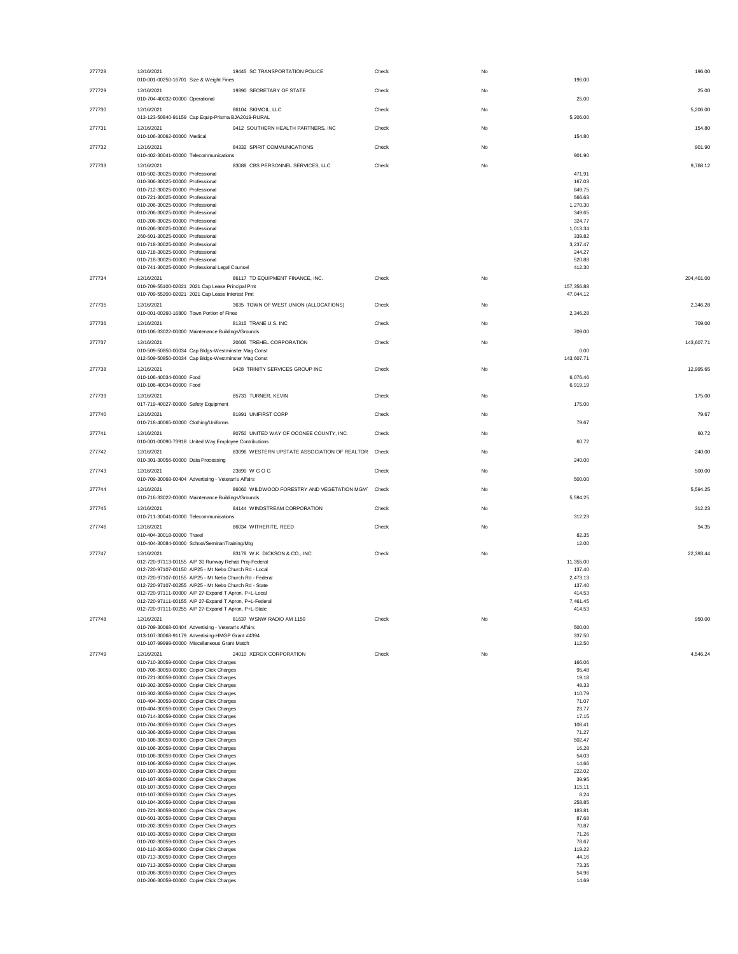| 277728 | 12/16/2021<br>19445 SC TRANSPORTATION POLICE<br>010-001-00250-16701 Size & Weight Fines                             | Check | No | 196.00<br>196.00        |
|--------|---------------------------------------------------------------------------------------------------------------------|-------|----|-------------------------|
| 277729 | 19390 SECRETARY OF STATE<br>12/16/2021<br>010-704-40032-00000 Operational                                           | Check | No | 25.00<br>25.00          |
| 277730 | 86104 SKIMOIL, LLC<br>12/16/2021                                                                                    | Check | No | 5,206.00                |
| 277731 | 013-123-50840-91159 Cap Equip-Prisma BJA2019-RURAL<br>12/16/2021<br>9412 SOUTHERN HEALTH PARTNERS. INC              | Check | No | 5,206.00<br>154.80      |
| 277732 | 010-106-30062-00000 Medical<br>84332 SPIRIT COMMUNICATIONS<br>12/16/2021                                            | Check | No | 154.80<br>901.90        |
|        | 010-402-30041-00000 Telecommunications                                                                              |       |    | 901.90                  |
| 277733 | 12/16/2021<br>83088 CBS PERSONNEL SERVICES, LLC<br>010-502-30025-00000 Professional                                 | Check | No | 9,768.12<br>471.91      |
|        | 010-306-30025-00000 Professional<br>010-712-30025-00000 Professional                                                |       |    | 167.03<br>849.75        |
|        | 010-721-30025-00000 Professional                                                                                    |       |    | 566.63                  |
|        | 010-206-30025-00000 Professional<br>010-206-30025-00000 Professional                                                |       |    | 1,270.30<br>349.65      |
|        | 010-206-30025-00000 Professional                                                                                    |       |    | 324.77                  |
|        | 010-206-30025-00000 Professional<br>260-601-30025-00000 Professional                                                |       |    | 1,013.34<br>339.82      |
|        | 010-718-30025-00000 Professional                                                                                    |       |    | 3,237.47                |
|        | 010-718-30025-00000 Professional<br>010-718-30025-00000 Professional                                                |       |    | 244.27<br>520.88        |
|        | 010-741-30025-00000 Professional Legal Counsel                                                                      |       |    | 412.30                  |
| 277734 | 86117 TD EQUIPMENT FINANCE, INC.<br>12/16/2021                                                                      | Check | No | 204,401.00              |
|        | 010-709-55100-02021 2021 Cap Lease Principal Pmt<br>010-709-55200-02021 2021 Cap Lease Interest Pmt                 |       |    | 157,356.88<br>47,044.12 |
| 277735 | 3635 TOWN OF WEST UNION (ALLOCATIONS)<br>12/16/2021                                                                 | Check | No | 2,346.28                |
|        | 010-001-00260-16800 Town Portion of Fines                                                                           |       |    | 2,346.28                |
| 277736 | 12/16/2021<br>81315 TRANE U.S. INC<br>010-106-33022-00000 Maintenance Buildings/Grounds                             | Check | No | 709.00<br>709.00        |
| 277737 | 12/16/2021<br>20605 TREHEL CORPORATION                                                                              | Check | No | 143,607.71              |
|        | 010-509-50850-00034 Cap Bldgs-Westminster Mag Const                                                                 |       |    | 0.00                    |
|        | 012-509-50850-00034 Cap Bldgs-Westminster Mag Const                                                                 |       |    | 143,607.71              |
| 277738 | 9428 TRINITY SERVICES GROUP INC<br>12/16/2021<br>010-106-40034-00000 Food                                           | Check | No | 12,995.65<br>6,076.46   |
|        | 010-106-40034-00000 Food                                                                                            |       |    | 6,919.19                |
| 277739 | 12/16/2021<br>85733 TURNER, KEVIN                                                                                   | Check | No | 175.00                  |
| 277740 | 017-719-40027-00000 Safety Equipment<br>12/16/2021<br>81991 UNIFIRST CORP                                           | Check | No | 175.00<br>79.67         |
|        | 010-718-40065-00000 Clothing/Uniforms                                                                               |       |    | 79.67                   |
| 277741 | 12/16/2021<br>80750 UNITED WAY OF OCONEE COUNTY, INC.<br>010-001-00090-73918 United Way Employee Contributions      | Check | No | 60.72<br>60.72          |
| 277742 | 83096 WESTERN UPSTATE ASSOCIATION OF REALTOR Check<br>12/16/2021                                                    |       | No | 240.00                  |
| 277743 | 010-301-30056-00000 Data Processing<br>12/16/2021<br>23890 W G O G                                                  | Check | No | 240.00<br>500.00        |
|        | 010-709-30068-00404 Advertising - Veteran's Affairs                                                                 |       |    | 500.00                  |
| 277744 | 12/16/2021<br>86060 WILDWOOD FORESTRY AND VEGETATION MGM Check<br>010-716-33022-00000 Maintenance Buildings/Grounds |       | No | 5,594.25<br>5,594.25    |
| 277745 | 84144 WINDSTREAM CORPORATION<br>12/16/2021                                                                          | Check | No | 312.23                  |
|        | 010-711-30041-00000 Telecommunications                                                                              |       |    | 312.23                  |
| 277746 | 12/16/2021<br>86034 WITHERITE, REED<br>010-404-30018-00000 Travel                                                   | Check | No | 94.35<br>82.35          |
|        | 010-404-30084-00000 School/Seminar/Training/Mtg                                                                     |       |    | 12.00                   |
| 277747 | 83178 W.K. DICKSON & CO., INC.<br>12/16/2021<br>012-720-97113-00155 AIP 30 Runway Rehab Proj-Federal                | Check | No | 22,393.44<br>11,355.00  |
|        | 012-720-97107-00150 AIP25 - Mt Nebo Church Rd - Local                                                               |       |    | 137.40                  |
|        | 012-720-97107-00155 AIP25 - Mt Nebo Church Rd - Federal<br>012-720-97107-00255 AIP25 - Mt Nebo Church Rd - State    |       |    | 2,473.13<br>137.40      |
|        | 012-720-97111-00000 AIP 27-Expand T Apron, P+L-Local                                                                |       |    | 414.53                  |
|        | 012-720-97111-00155 AIP 27-Expand T Apron, P+L-Federal                                                              |       |    | 7,461.45                |
| 277748 | 012-720-97111-00255 AIP 27-Expand T Apron, P+L-State<br>12/16/2021<br>81637 WSNW RADIO AM 1150                      | Check | No | 414.53<br>950.00        |
|        | 010-709-30068-00404 Advertising - Veteran's Affairs                                                                 |       |    | 500.00                  |
|        | 013-107-30068-91179 Advertising-HMGP Grant #4394<br>010-107-99999-00000 Miscellaneous Grant Match                   |       |    | 337.50<br>112.50        |
| 277749 | 24010 XEROX CORPORATION<br>12/16/2021                                                                               | Check | No | 4,546.24                |
|        | 010-710-30059-00000 Copier Click Charges                                                                            |       |    | 166.06                  |
|        | 010-706-30059-00000 Copier Click Charges<br>010-721-30059-00000 Copier Click Charges                                |       |    | 95.48<br>19.18          |
|        | 010-302-30059-00000 Copier Click Charges                                                                            |       |    | 48.33                   |
|        | 010-302-30059-00000 Copier Click Charges                                                                            |       |    | 110.79                  |
|        | 010-404-30059-00000 Copier Click Charges<br>010-404-30059-00000 Copier Click Charges                                |       |    | 71.07<br>23.77          |
|        | 010-714-30059-00000 Copier Click Charges                                                                            |       |    | 17.15                   |
|        | 010-704-30059-00000 Copier Click Charges<br>010-306-30059-00000 Copier Click Charges                                |       |    | 108.41<br>71.27         |
|        | 010-106-30059-00000 Copier Click Charges                                                                            |       |    | 502.47                  |
|        | 010-106-30059-00000 Copier Click Charges<br>010-106-30059-00000 Copier Click Charges                                |       |    | 16.28<br>54.03          |
|        | 010-106-30059-00000 Copier Click Charges                                                                            |       |    | 14.66                   |
|        | 010-107-30059-00000 Copier Click Charges<br>010-107-30059-00000 Copier Click Charges                                |       |    | 222.02<br>39.95         |
|        | 010-107-30059-00000 Copier Click Charges                                                                            |       |    | 115.11                  |
|        | 010-107-30059-00000 Copier Click Charges                                                                            |       |    | 8.24<br>258.85          |
|        | 010-104-30059-00000 Copier Click Charges<br>010-721-30059-00000 Copier Click Charges                                |       |    | 183.81                  |
|        | 010-601-30059-00000 Copier Click Charges                                                                            |       |    | 87.68                   |
|        | 010-202-30059-00000 Copier Click Charges<br>010-103-30059-00000 Copier Click Charges                                |       |    | 70.87<br>71.26          |
|        | 010-702-30059-00000 Copier Click Charges                                                                            |       |    | 78.67                   |
|        |                                                                                                                     |       |    |                         |
|        | 010-110-30059-00000 Copier Click Charges                                                                            |       |    | 119.22                  |
|        | 010-713-30059-00000 Copier Click Charges<br>010-713-30059-00000 Copier Click Charges                                |       |    | 44.16<br>73.35          |
|        | 010-206-30059-00000 Copier Click Charges<br>010-206-30059-00000 Copier Click Charges                                |       |    | 54.96<br>14.69          |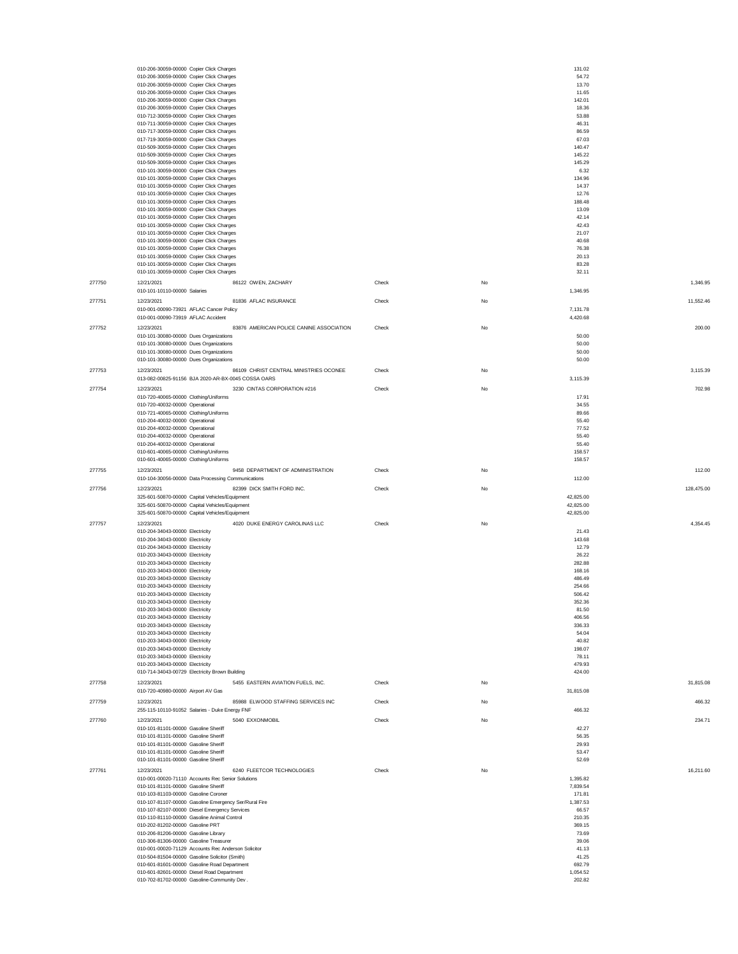|        | 010-206-30059-00000 Copier Click Charges                                         |       |    | 131.02         |            |
|--------|----------------------------------------------------------------------------------|-------|----|----------------|------------|
|        | 010-206-30059-00000 Copier Click Charges                                         |       |    | 54.72          |            |
|        | 010-206-30059-00000 Copier Click Charges                                         |       |    | 13.70          |            |
|        | 010-206-30059-00000 Copier Click Charges                                         |       |    | 11.65          |            |
|        | 010-206-30059-00000 Copier Click Charges                                         |       |    | 142.01         |            |
|        | 010-206-30059-00000 Copier Click Charges                                         |       |    | 18.36          |            |
|        | 010-712-30059-00000 Copier Click Charges                                         |       |    | 53.88          |            |
|        | 010-711-30059-00000 Copier Click Charges                                         |       |    | 46.31          |            |
|        | 010-717-30059-00000 Copier Click Charges                                         |       |    | 86.59          |            |
|        | 017-719-30059-00000 Copier Click Charges                                         |       |    | 67.03          |            |
|        | 010-509-30059-00000 Copier Click Charges                                         |       |    | 140.47         |            |
|        |                                                                                  |       |    |                |            |
|        | 010-509-30059-00000 Copier Click Charges                                         |       |    | 145.22         |            |
|        | 010-509-30059-00000 Copier Click Charges                                         |       |    | 145.29         |            |
|        | 010-101-30059-00000 Copier Click Charges                                         |       |    | 6.32           |            |
|        | 010-101-30059-00000 Copier Click Charges                                         |       |    | 134.96         |            |
|        | 010-101-30059-00000 Copier Click Charges                                         |       |    | 14.37          |            |
|        | 010-101-30059-00000 Copier Click Charges                                         |       |    | 12.76          |            |
|        | 010-101-30059-00000 Copier Click Charges                                         |       |    | 188.48         |            |
|        | 010-101-30059-00000 Copier Click Charges                                         |       |    | 13.09          |            |
|        | 010-101-30059-00000 Copier Click Charges                                         |       |    | 42.14          |            |
|        | 010-101-30059-00000 Copier Click Charges                                         |       |    | 42.43          |            |
|        | 010-101-30059-00000 Copier Click Charges                                         |       |    | 21.07          |            |
|        | 010-101-30059-00000 Copier Click Charges                                         |       |    | 40.68          |            |
|        | 010-101-30059-00000 Copier Click Charges                                         |       |    | 76.38          |            |
|        |                                                                                  |       |    | 20.13          |            |
|        | 010-101-30059-00000 Copier Click Charges                                         |       |    |                |            |
|        | 010-101-30059-00000 Copier Click Charges                                         |       |    | 83.28          |            |
|        | 010-101-30059-00000 Copier Click Charges                                         |       |    | 32.11          |            |
| 277750 | 12/21/2021<br>86122 OWEN, ZACHARY                                                | Check | No |                | 1,346.95   |
|        | 010-101-10110-00000 Salaries                                                     |       |    | 1,346.95       |            |
|        |                                                                                  |       |    |                |            |
| 277751 | 81836 AFLAC INSURANCE<br>12/23/2021                                              | Check | No |                | 11,552.46  |
|        | 010-001-00090-73921 AFLAC Cancer Policy                                          |       |    | 7,131.78       |            |
|        | 010-001-00090-73919 AFLAC Accident                                               |       |    | 4,420.68       |            |
| 277752 | 12/23/2021<br>83876 AMERICAN POLICE CANINE ASSOCIATION                           | Check | No |                | 200.00     |
|        |                                                                                  |       |    |                |            |
|        | 010-101-30080-00000 Dues Organizations<br>010-101-30080-00000 Dues Organizations |       |    | 50.00<br>50.00 |            |
|        |                                                                                  |       |    |                |            |
|        | 010-101-30080-00000 Dues Organizations                                           |       |    | 50.00          |            |
|        | 010-101-30080-00000 Dues Organizations                                           |       |    | 50.00          |            |
| 277753 | 86109 CHRIST CENTRAL MINISTRIES OCONEE<br>12/23/2021                             | Check | No |                | 3,115.39   |
|        | 013-082-00825-91156 BJA 2020-AR-BX-0045 COSSA OARS                               |       |    | 3,115.39       |            |
|        |                                                                                  |       |    |                |            |
| 277754 | 12/23/2021<br>3230 CINTAS CORPORATION #216                                       | Check | No |                | 702.98     |
|        | 010-720-40065-00000 Clothing/Uniforms                                            |       |    | 17.91          |            |
|        | 010-720-40032-00000 Operational                                                  |       |    | 34.55          |            |
|        | 010-721-40065-00000 Clothing/Uniforms                                            |       |    | 89.66          |            |
|        | 010-204-40032-00000 Operational                                                  |       |    | 55.40          |            |
|        | 010-204-40032-00000 Operational                                                  |       |    | 77.52          |            |
|        | 010-204-40032-00000 Operational                                                  |       |    | 55.40          |            |
|        | 010-204-40032-00000 Operational                                                  |       |    | 55.40          |            |
|        | 010-601-40065-00000 Clothing/Uniforms                                            |       |    | 158.57         |            |
|        | 010-601-40065-00000 Clothing/Uniforms                                            |       |    | 158.57         |            |
|        |                                                                                  |       |    |                |            |
| 277755 | 12/23/2021<br>9458 DEPARTMENT OF ADMINISTRATION                                  | Check | No |                | 112.00     |
|        | 010-104-30056-00000 Data Processing Communications                               |       |    | 112.00         |            |
|        |                                                                                  |       |    |                |            |
| 277756 | 12/23/2021<br>82399 DICK SMITH FORD INC.                                         | Check | No |                | 128,475.00 |
|        | 325-601-50870-00000 Capital Vehicles/Equipment                                   |       |    | 42,825.00      |            |
|        |                                                                                  |       |    |                |            |
|        | 325-601-50870-00000 Capital Vehicles/Equipment                                   |       |    | 42,825.00      |            |
|        | 325-601-50870-00000 Capital Vehicles/Equipment                                   |       |    | 42,825.00      |            |
|        |                                                                                  |       |    |                |            |
| 277757 | 12/23/2021<br>4020 DUKE ENERGY CAROLINAS LLC                                     | Check | No |                | 4,354.45   |
|        | 010-204-34043-00000 Electricity                                                  |       |    | 21.43          |            |
|        | 010-204-34043-00000 Electricity                                                  |       |    | 143.68         |            |
|        | 010-204-34043-00000 Electricity                                                  |       |    | 12.79          |            |
|        | 010-203-34043-00000 Electricity                                                  |       |    | 26.22          |            |
|        | 010-203-34043-00000 Electricity                                                  |       |    | 282.88         |            |
|        | 010-203-34043-00000 Electricity                                                  |       |    | 168.16         |            |
|        | 010-203-34043-00000 Electricity                                                  |       |    | 486.49         |            |
|        | 010-203-34043-00000 Electricity                                                  |       |    | 254.66         |            |
|        | 010-203-34043-00000 Electricity                                                  |       |    | 506.42         |            |
|        |                                                                                  |       |    |                |            |
|        | 010-203-34043-00000 Electricity                                                  |       |    | 352.36         |            |
|        | 010-203-34043-00000 Electricity                                                  |       |    | 81.50          |            |
|        | 010-203-34043-00000 Electricity                                                  |       |    | 406.56         |            |
|        | 010-203-34043-00000 Electricity                                                  |       |    | 336.33         |            |
|        | 010-203-34043-00000 Electricity                                                  |       |    | 54.04          |            |
|        | 010-203-34043-00000 Electricity                                                  |       |    | 40.82          |            |
|        | 010-203-34043-00000 Electricity                                                  |       |    | 198.07         |            |
|        | 010-203-34043-00000 Electricity                                                  |       |    | 78.11          |            |
|        | 010-203-34043-00000 Electricity                                                  |       |    | 479.93         |            |
|        | 010-714-34043-00729 Electricity Brown Building                                   |       |    | 424.00         |            |
|        |                                                                                  |       |    |                |            |
| 277758 | 5455 EASTERN AVIATION FUELS, INC.<br>12/23/2021                                  | Check | No |                | 31,815.08  |
|        | 010-720-40980-00000 Airport AV Gas                                               |       |    | 31,815.08      |            |
| 277759 | 12/23/2021<br>85988 ELWOOD STAFFING SERVICES INC                                 | Check | No |                | 466.32     |
|        |                                                                                  |       |    |                |            |
|        | 255-115-10110-91052 Salaries - Duke Energy FNF                                   |       |    | 466.32         |            |
| 277760 | 5040 EXXONMOBIL<br>12/23/2021                                                    | Check | No |                | 234.71     |
|        | 010-101-81101-00000 Gasoline Sheriff                                             |       |    | 42.27          |            |
|        | 010-101-81101-00000 Gasoline Sheriff                                             |       |    | 56.35          |            |
|        | 010-101-81101-00000 Gasoline Sheriff                                             |       |    | 29.93          |            |
|        | 010-101-81101-00000 Gasoline Sheriff                                             |       |    | 53.47          |            |
|        | 010-101-81101-00000 Gasoline Sheriff                                             |       |    | 52.69          |            |
|        |                                                                                  |       |    |                |            |
| 277761 | 12/23/2021<br>6240 FLEETCOR TECHNOLOGIES                                         | Check | No |                | 16,211.60  |
|        | 010-001-00020-71110 Accounts Rec Senior Solutions                                |       |    | 1,395.82       |            |
|        | 010-101-81101-00000 Gasoline Sheriff                                             |       |    | 7,839.54       |            |
|        | 010-103-81103-00000 Gasoline Coroner                                             |       |    | 171.81         |            |
|        | 010-107-81107-00000 Gasoline Emergency Ser/Rural Fire                            |       |    | 1,387.53       |            |
|        | 010-107-82107-00000 Diesel Emergency Services                                    |       |    | 66.57          |            |
|        | 010-110-81110-00000 Gasoline Animal Control                                      |       |    | 210.35         |            |
|        |                                                                                  |       |    |                |            |
|        | 010-202-81202-00000 Gasoline PRT                                                 |       |    | 369.15         |            |
|        | 010-206-81206-00000 Gasoline Library                                             |       |    | 73.69          |            |
|        | 010-306-81306-00000 Gasoline Treasurer                                           |       |    | 39.06          |            |
|        | 010-001-00020-71129 Accounts Rec Anderson Solicitor                              |       |    | 41.13          |            |
|        | 010-504-81504-00000 Gasoline Solicitor (Smith)                                   |       |    | 41.25          |            |
|        | 010-601-81601-00000 Gasoline Road Department                                     |       |    | 692.79         |            |
|        | 010-601-82601-00000 Diesel Road Department                                       |       |    | 1,054.52       |            |
|        | 010-702-81702-00000 Gasoline-Community Dev                                       |       |    | 202.82         |            |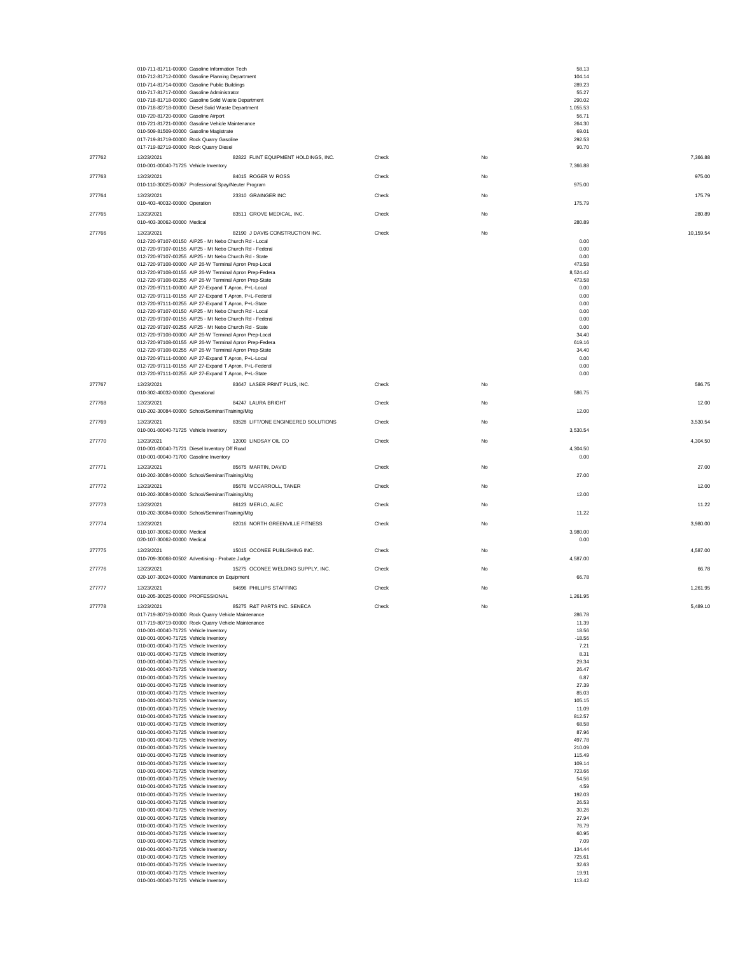|        | 010-711-81711-00000 Gasoline Information Tech                                                                   |                                      |       |    | 58.13            |           |
|--------|-----------------------------------------------------------------------------------------------------------------|--------------------------------------|-------|----|------------------|-----------|
|        | 010-712-81712-00000 Gasoline Planning Department<br>010-714-81714-00000 Gasoline Public Buildings               |                                      |       |    | 104.14<br>289.23 |           |
|        | 010-717-81717-00000 Gasoline Administrator                                                                      |                                      |       |    | 55.27<br>290.02  |           |
|        | 010-718-81718-00000 Gasoline Solid Waste Department<br>010-718-82718-00000 Diesel Solid Waste Department        |                                      |       |    | 1,055.53         |           |
|        | 010-720-81720-00000 Gasoline Airport                                                                            |                                      |       |    | 56.71            |           |
|        | 010-721-81721-00000 Gasoline Vehicle Maintenance<br>010-509-81509-00000 Gasoline Magistrate                     |                                      |       |    | 264.30<br>69.01  |           |
|        | 017-719-81719-00000 Rock Quarry Gasoline                                                                        |                                      |       |    | 292.53           |           |
| 277762 | 017-719-82719-00000 Rock Quarry Diesel<br>12/23/2021                                                            | 82822 FLINT EQUIPMENT HOLDINGS, INC. | Check | No | 90.70            | 7,366.88  |
|        | 010-001-00040-71725 Vehicle Inventory                                                                           |                                      |       |    | 7,366.88         |           |
| 277763 | 12/23/2021                                                                                                      | 84015 ROGER W ROSS                   | Check | No |                  | 975.00    |
|        | 010-110-30025-00067 Professional Spay/Neuter Program                                                            |                                      |       |    | 975.00           |           |
| 277764 | 12/23/2021<br>010-403-40032-00000 Operation                                                                     | 23310 GRAINGER INC                   | Check | No | 175.79           | 175.79    |
| 277765 | 12/23/2021                                                                                                      | 83511 GROVE MEDICAL, INC.            | Check | No |                  | 280.89    |
|        | 010-403-30062-00000 Medical                                                                                     |                                      |       |    | 280.89           |           |
| 277766 | 12/23/2021<br>012-720-97107-00150 AIP25 - Mt Nebo Church Rd - Local                                             | 82190 J DAVIS CONSTRUCTION INC.      | Check | No | 0.00             | 10,159.54 |
|        | 012-720-97107-00155 AIP25 - Mt Nebo Church Rd - Federal                                                         |                                      |       |    | 0.00             |           |
|        | 012-720-97107-00255 AIP25 - Mt Nebo Church Rd - State<br>012-720-97108-00000 AIP 26-W Terminal Apron Prep-Local |                                      |       |    | 0.00<br>473.58   |           |
|        | 012-720-97108-00155 AIP 26-W Terminal Apron Prep-Federa                                                         |                                      |       |    | 8,524.42         |           |
|        | 012-720-97108-00255 AIP 26-W Terminal Apron Prep-State<br>012-720-97111-00000 AIP 27-Expand T Apron, P+L-Local  |                                      |       |    | 473.58<br>0.00   |           |
|        | 012-720-97111-00155 AIP 27-Expand T Apron, P+L-Federal                                                          |                                      |       |    | 0.00             |           |
|        | 012-720-97111-00255 AIP 27-Expand T Apron, P+L-State<br>012-720-97107-00150 AIP25 - Mt Nebo Church Rd - Local   |                                      |       |    | 0.00<br>0.00     |           |
|        | 012-720-97107-00155 AIP25 - Mt Nebo Church Rd - Federal                                                         |                                      |       |    | 0.00             |           |
|        | 012-720-97107-00255 AIP25 - Mt Nebo Church Rd - State<br>012-720-97108-00000 AIP 26-W Terminal Apron Prep-Local |                                      |       |    | 0.00<br>34.40    |           |
|        | 012-720-97108-00155 AIP 26-W Terminal Apron Prep-Federa                                                         |                                      |       |    | 619.16           |           |
|        | 012-720-97108-00255 AIP 26-W Terminal Apron Prep-State<br>012-720-97111-00000 AIP 27-Expand T Apron, P+L-Local  |                                      |       |    | 34.40<br>0.00    |           |
|        | 012-720-97111-00155 AIP 27-Expand T Apron, P+L-Federal                                                          |                                      |       |    | 0.00             |           |
|        | 012-720-97111-00255 AIP 27-Expand T Apron, P+L-State                                                            |                                      |       |    | 0.00             |           |
| 277767 | 12/23/2021<br>010-302-40032-00000 Operational                                                                   | 83647 LASER PRINT PLUS, INC.         | Check | No | 586.75           | 586.75    |
| 277768 | 12/23/2021                                                                                                      | 84247 LAURA BRIGHT                   | Check | No |                  | 12.00     |
|        | 010-202-30084-00000 School/Seminar/Training/Mtg                                                                 |                                      |       |    | 12.00            |           |
| 277769 | 12/23/2021<br>010-001-00040-71725 Vehicle Inventory                                                             | 83528 LIFT/ONE ENGINEERED SOLUTIONS  | Check | No | 3,530.54         | 3,530.54  |
| 277770 | 12/23/2021                                                                                                      | 12000 LINDSAY OIL CO                 | Check | No |                  | 4,304.50  |
|        | 010-001-00040-71721 Diesel Inventory Off Road                                                                   |                                      |       |    | 4,304.50         |           |
|        | 010-001-00040-71700 Gasoline Inventory                                                                          |                                      |       |    | 0.00             |           |
| 277771 | 12/23/2021<br>010-202-30084-00000 School/Seminar/Training/Mtg                                                   | 85675 MARTIN, DAVID                  | Check | No | 27.00            | 27.00     |
| 277772 | 12/23/2021                                                                                                      | 85676 MCCARROLL, TANER               | Check | No |                  | 12.00     |
|        | 010-202-30084-00000 School/Seminar/Training/Mtg                                                                 |                                      |       |    | 12.00            |           |
| 277773 | 12/23/2021<br>010-202-30084-00000 School/Seminar/Training/Mtg                                                   | 86123 MERLO, ALEC                    | Check | No | 11.22            | 11.22     |
| 277774 | 12/23/2021                                                                                                      | 82016 NORTH GREENVILLE FITNESS       | Check | No |                  | 3,980.00  |
|        | 010-107-30062-00000 Medical                                                                                     |                                      |       |    | 3,980.00         |           |
|        | 020-107-30062-00000 Medical                                                                                     |                                      |       |    | 0.00             |           |
| 277775 | 12/23/2021<br>010-709-30068-00502 Advertising - Probate Judge                                                   | 15015 OCONEE PUBLISHING INC.         | Check | No | 4,587.00         | 4,587.00  |
| 277776 | 12/23/2021                                                                                                      | 15275 OCONEE WELDING SUPPLY, INC.    | Check | No |                  | 66.78     |
|        | 020-107-30024-00000 Maintenance on Equipment                                                                    |                                      |       |    | 66.78            |           |
| 277777 | 12/23/2021<br>010-205-30025-00000 PROFESSIONAL                                                                  | 84696 PHILLIPS STAFFING              | Check | No | 1,261.95         | 1,261.95  |
| 277778 | 12/23/2021                                                                                                      | 85275 R&T PARTS INC. SENECA          | Check |    |                  | 5.489.10  |
|        | 017-719-80719-00000 Rock Quarry Vehicle Maintenance                                                             |                                      |       |    | 286.78           |           |
|        | 017-719-80719-00000 Rock Quarry Vehicle Maintenance<br>010-001-00040-71725 Vehicle Inventory                    |                                      |       |    | 11.39<br>18.56   |           |
|        | 010-001-00040-71725 Vehicle Inventory                                                                           |                                      |       |    | $-18.56$         |           |
|        | 010-001-00040-71725 Vehicle Inventory<br>010-001-00040-71725 Vehicle Inventory                                  |                                      |       |    | 7.21<br>8.31     |           |
|        | 010-001-00040-71725 Vehicle Inventory                                                                           |                                      |       |    | 29.34            |           |
|        | 010-001-00040-71725 Vehicle Inventory<br>010-001-00040-71725 Vehicle Inventory                                  |                                      |       |    | 26.47<br>6.87    |           |
|        | 010-001-00040-71725 Vehicle Inventory<br>010-001-00040-71725 Vehicle Inventory                                  |                                      |       |    | 27.39            |           |
|        | 010-001-00040-71725 Vehicle Inventory                                                                           |                                      |       |    | 85.03<br>105.15  |           |
|        | 010-001-00040-71725 Vehicle Inventory<br>010-001-00040-71725 Vehicle Inventory                                  |                                      |       |    | 11.09<br>812.57  |           |
|        | 010-001-00040-71725 Vehicle Inventory                                                                           |                                      |       |    | 68.58            |           |
|        | 010-001-00040-71725 Vehicle Inventory<br>010-001-00040-71725 Vehicle Inventory                                  |                                      |       |    | 87.96<br>497.78  |           |
|        | 010-001-00040-71725 Vehicle Inventory                                                                           |                                      |       |    | 210.09           |           |
|        | 010-001-00040-71725 Vehicle Inventory<br>010-001-00040-71725 Vehicle Inventory                                  |                                      |       |    | 115.49<br>109.14 |           |
|        | 010-001-00040-71725 Vehicle Inventory                                                                           |                                      |       |    | 723.66           |           |
|        | 010-001-00040-71725 Vehicle Inventory<br>010-001-00040-71725 Vehicle Inventory                                  |                                      |       |    | 54.56<br>4.59    |           |
|        | 010-001-00040-71725 Vehicle Inventory                                                                           |                                      |       |    | 192.03           |           |
|        | 010-001-00040-71725 Vehicle Inventory<br>010-001-00040-71725 Vehicle Inventory                                  |                                      |       |    | 26.53<br>30.26   |           |
|        | 010-001-00040-71725 Vehicle Inventory                                                                           |                                      |       |    | 27.94            |           |
|        | 010-001-00040-71725 Vehicle Inventory<br>010-001-00040-71725 Vehicle Inventory                                  |                                      |       |    | 76.79<br>60.95   |           |
|        | 010-001-00040-71725 Vehicle Inventory                                                                           |                                      |       |    | 7.09             |           |
|        | 010-001-00040-71725 Vehicle Inventory<br>010-001-00040-71725 Vehicle Inventory                                  |                                      |       |    | 134.44<br>725.61 |           |
|        | 010-001-00040-71725 Vehicle Inventory                                                                           |                                      |       |    | 32.63            |           |
|        | 010-001-00040-71725 Vehicle Inventory<br>010-001-00040-71725 Vehicle Inventory                                  |                                      |       |    | 19.91<br>113.42  |           |
|        |                                                                                                                 |                                      |       |    |                  |           |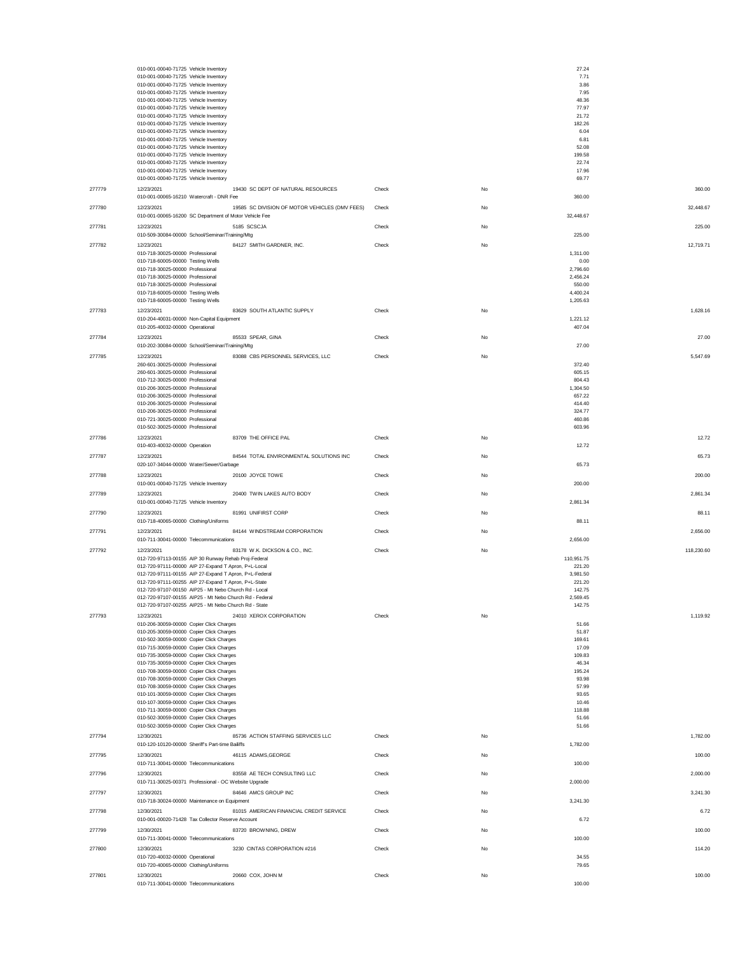|        | 010-001-00040-71725 Vehicle Inventory<br>010-001-00040-71725 Vehicle Inventory                                         |       |    | 27.24<br>7.71        |
|--------|------------------------------------------------------------------------------------------------------------------------|-------|----|----------------------|
|        | 010-001-00040-71725 Vehicle Inventory                                                                                  |       |    | 3.86                 |
|        | 010-001-00040-71725 Vehicle Inventory                                                                                  |       |    | 7.95                 |
|        | 010-001-00040-71725 Vehicle Inventory<br>010-001-00040-71725 Vehicle Inventory                                         |       |    | 48.36<br>77.97       |
|        | 010-001-00040-71725 Vehicle Inventory                                                                                  |       |    | 21.72                |
|        | 010-001-00040-71725 Vehicle Inventory<br>010-001-00040-71725 Vehicle Inventory                                         |       |    | 182.26<br>6.04       |
|        | 010-001-00040-71725 Vehicle Inventory                                                                                  |       |    | 6.81                 |
|        | 010-001-00040-71725 Vehicle Inventory<br>010-001-00040-71725 Vehicle Inventory                                         |       |    | 52.08<br>199.58      |
|        | 010-001-00040-71725 Vehicle Inventory                                                                                  |       |    | 22.74                |
|        | 010-001-00040-71725 Vehicle Inventory<br>010-001-00040-71725 Vehicle Inventory                                         |       |    | 17.96<br>69.77       |
| 277779 | 12/23/2021<br>19430 SC DEPT OF NATURAL RESOURCES                                                                       | Check | No | 360.00               |
|        | 010-001-00065-16210 Watercraft - DNR Fee                                                                               |       |    | 360.00               |
| 277780 | 12/23/2021<br>19585 SC DIVISION OF MOTOR VEHICLES (DMV FEES)<br>010-001-00065-16200 SC Department of Motor Vehicle Fee | Check | No | 32,448.67            |
| 277781 | 12/23/2021<br>5185 SCSCJA                                                                                              | Check | No | 32,448.67<br>225.00  |
|        | 010-509-30084-00000 School/Seminar/Training/Mtg                                                                        |       |    | 225.00               |
| 277782 | 12/23/2021<br>84127 SMITH GARDNER, INC.                                                                                | Check | No | 12,719.71            |
|        | 010-718-30025-00000 Professional<br>010-718-60005-00000 Testing Wells                                                  |       |    | 1,311.00<br>0.00     |
|        | 010-718-30025-00000 Professional                                                                                       |       |    | 2,796.60             |
|        | 010-718-30025-00000 Professional<br>010-718-30025-00000 Professional                                                   |       |    | 2,456.24<br>550.00   |
|        | 010-718-60005-00000 Testing Wells                                                                                      |       |    | 4,400.24             |
|        | 010-718-60005-00000 Testing Wells                                                                                      |       |    | 1,205.63             |
| 277783 | 83629 SOUTH ATLANTIC SUPPLY<br>12/23/2021<br>010-204-40031-00000 Non-Capital Equipment                                 | Check | No | 1.628.16<br>1,221.12 |
|        | 010-205-40032-00000 Operational                                                                                        |       |    | 407.04               |
| 277784 | 12/23/2021<br>85533 SPEAR, GINA                                                                                        | Check | No | 27.00                |
|        | 010-202-30084-00000 School/Seminar/Training/Mtg                                                                        |       |    | 27.00                |
| 277785 | 83088 CBS PERSONNEL SERVICES, LLC<br>12/23/2021<br>260-601-30025-00000 Professional                                    | Check | No | 5,547.69<br>372.40   |
|        | 260-601-30025-00000 Professional                                                                                       |       |    | 605.15               |
|        | 010-712-30025-00000 Professional                                                                                       |       |    | 804.43               |
|        | 010-206-30025-00000 Professional<br>010-206-30025-00000 Professional                                                   |       |    | 1,304.50<br>657.22   |
|        | 010-206-30025-00000 Professional                                                                                       |       |    | 414.40               |
|        | 010-206-30025-00000 Professional<br>010-721-30025-00000 Professional                                                   |       |    | 324.77<br>460.86     |
|        | 010-502-30025-00000 Professional                                                                                       |       |    | 603.96               |
| 277786 | 83709 THE OFFICE PAL<br>12/23/2021                                                                                     | Check | No | 12.72                |
|        | 010-403-40032-00000 Operation                                                                                          |       |    | 12.72                |
| 277787 | 12/23/2021<br>84544 TOTAL ENVIRONMENTAL SOLUTIONS INC<br>020-107-34044-00000 Water/Sewer/Garbage                       | Check | No | 65.73<br>65.73       |
| 277788 | 12/23/2021<br>20100 JOYCE TOWE                                                                                         | Check | No | 200.00               |
|        | 010-001-00040-71725 Vehicle Inventory                                                                                  |       |    | 200.00               |
| 277789 | 20400 TWIN LAKES AUTO BODY<br>12/23/2021                                                                               | Check | No | 2,861.34             |
|        | 010-001-00040-71725 Vehicle Inventory                                                                                  |       |    | 2,861.34             |
| 277790 | 12/23/2021<br>81991 UNIFIRST CORP<br>010-718-40065-00000 Clothing/Uniforms                                             | Check | No | 88.11<br>88.11       |
| 277791 | 12/23/2021<br>84144 WINDSTREAM CORPORATION                                                                             | Check | No | 2,656.00             |
|        | 010-711-30041-00000 Telecommunications                                                                                 |       |    | 2,656.00             |
| 277792 | 83178 W.K. DICKSON & CO., INC.<br>12/23/2021                                                                           | Check | No | 118,230.60           |
|        | 012-720-97113-00155 AIP 30 Runway Rehab Proj-Federal<br>012-720-97111-00000 AIP 27-Expand T Apron, P+L-Local           |       |    | 110,951.75<br>221.20 |
|        | 012-720-97111-00155 AIP 27-Expand T Apron, P+L-Federal                                                                 |       |    | 3,981.50             |
|        | 012-720-97111-00255 AIP 27-Expand T Apron, P+L-State<br>012-720-97107-00150 AIP25 - Mt Nebo Church Rd - Local          |       |    | 221.20<br>142.75     |
|        | 012-720-97107-00155 AIP25 - Mt Nebo Church Rd - Federal                                                                |       |    | 2,569.45             |
|        | 012-720-97107-00255 AIP25 - Mt Nebo Church Rd - State                                                                  |       |    | 142.75               |
| 277793 | 12/23/2021<br>24010 XEROX CORPORATION<br>010-206-30059-00000 Copier Click Charges                                      | Check | No | 1,119.92<br>51.66    |
|        | 010-205-30059-00000 Copier Click Charges                                                                               |       |    | 51.87                |
|        | 010-502-30059-00000 Copier Click Charges                                                                               |       |    | 169.61               |
|        | 010-715-30059-00000 Copier Click Charges<br>010-735-30059-00000 Copier Click Charges                                   |       |    | 17.09<br>109.83      |
|        | 010-735-30059-00000 Copier Click Charges                                                                               |       |    | 46.34                |
|        | 010-708-30059-00000 Copier Click Charges<br>010-708-30059-00000 Copier Click Charges                                   |       |    | 195.24<br>93.98      |
|        | 010-708-30059-00000 Copier Click Charges                                                                               |       |    | 57.99                |
|        | 010-101-30059-00000 Copier Click Charges                                                                               |       |    | 93.65                |
|        | 010-107-30059-00000 Copier Click Charges<br>010-711-30059-00000 Copier Click Charges                                   |       |    | 10.46<br>118.88      |
|        | 010-502-30059-00000 Copier Click Charges                                                                               |       |    | 51.66                |
|        | 010-502-30059-00000 Copier Click Charges                                                                               |       |    | 51.66                |
| 277794 | 85736 ACTION STAFFING SERVICES LLC<br>12/30/2021<br>010-120-10120-00000 Sheriff's Part-time Bailiffs                   | Check | No | 1,782.00<br>1,782.00 |
| 277795 | 12/30/2021<br>46115 ADAMS.GEORGE                                                                                       | Check | No | 100.00               |
|        | 010-711-30041-00000 Telecommunications                                                                                 |       |    | 100.00               |
| 277796 | 12/30/2021<br>83558 AE TECH CONSULTING LLC                                                                             | Check | No | 2,000.00             |
| 277797 | 010-711-30025-00371 Professional - OC Website Upgrade<br>12/30/2021<br>84646 AMCS GROUP INC                            |       |    | 2,000.00<br>3,241.30 |
|        | 010-718-30024-00000 Maintenance on Equipment                                                                           | Check | No | 3,241.30             |
| 277798 | 81015 AMERICAN FINANCIAL CREDIT SERVICE<br>12/30/2021                                                                  | Check | No | 6.72                 |
|        | 010-001-00020-71428 Tax Collector Reserve Account                                                                      |       |    | 6.72                 |
| 277799 | 83720 BROWNING, DREW<br>12/30/2021<br>010-711-30041-00000 Telecommunications                                           | Check | No | 100.00<br>100.00     |
| 277800 | 12/30/2021<br>3230 CINTAS CORPORATION #216                                                                             | Check | No | 114.20               |
|        | 010-720-40032-00000 Operational                                                                                        |       |    | 34.55                |
|        | 010-720-40065-00000 Clothing/Uniforms                                                                                  |       |    | 79.65                |
| 277801 | 12/30/2021<br>20660 COX, JOHN M<br>010-711-30041-00000 Telecommunications                                              | Check | No | 100.00<br>100.00     |
|        |                                                                                                                        |       |    |                      |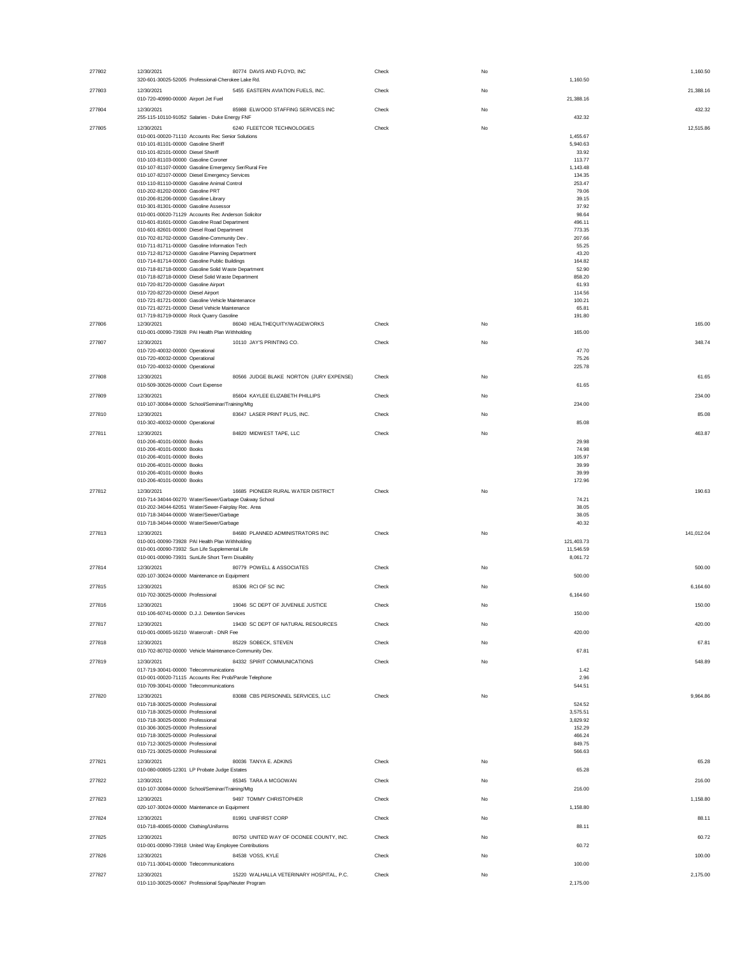| 277802 | 12/30/2021                                                                                             | 80774 DAVIS AND FLOYD, INC               | Check | No        | 1,160.50                 |
|--------|--------------------------------------------------------------------------------------------------------|------------------------------------------|-------|-----------|--------------------------|
| 277803 | 320-601-30025-52005 Professional-Cherokee Lake Rd.<br>12/30/2021                                       | 5455 EASTERN AVIATION FUELS, INC.        | Check | No        | 1,160.50<br>21,388.16    |
|        | 010-720-40990-00000 Airport Jet Fuel                                                                   |                                          |       |           | 21,388.16                |
| 277804 | 12/30/2021<br>255-115-10110-91052 Salaries - Duke Energy FNF                                           | 85988 ELWOOD STAFFING SERVICES INC       | Check | No        | 432.32<br>432.32         |
| 277805 | 12/30/2021                                                                                             | 6240 FLEETCOR TECHNOLOGIES               | Check | No        | 12,515.86                |
|        | 010-001-00020-71110 Accounts Rec Senior Solutions                                                      |                                          |       |           | 1,455.67                 |
|        | 010-101-81101-00000 Gasoline Sheriff<br>010-101-82101-00000 Diesel Sheriff                             |                                          |       |           | 5,940.63<br>33.92        |
|        | 010-103-81103-00000 Gasoline Coroner                                                                   |                                          |       |           | 113.77                   |
|        | 010-107-81107-00000 Gasoline Emergency Ser/Rural Fire<br>010-107-82107-00000 Diesel Emergency Services |                                          |       |           | 1,143.48<br>134.35       |
|        | 010-110-81110-00000 Gasoline Animal Control                                                            |                                          |       |           | 253.47                   |
|        | 010-202-81202-00000 Gasoline PRT                                                                       |                                          |       |           | 79.06                    |
|        | 010-206-81206-00000 Gasoline Library<br>010-301-81301-00000 Gasoline Assessor                          |                                          |       |           | 39.15<br>37.92           |
|        | 010-001-00020-71129 Accounts Rec Anderson Solicitor                                                    |                                          |       |           | 98.64                    |
|        | 010-601-81601-00000 Gasoline Road Department                                                           |                                          |       |           | 496.11                   |
|        | 010-601-82601-00000 Diesel Road Department<br>010-702-81702-00000 Gasoline-Community Dev               |                                          |       |           | 773.35<br>207.66         |
|        | 010-711-81711-00000 Gasoline Information Tech                                                          |                                          |       |           | 55.25                    |
|        | 010-712-81712-00000 Gasoline Planning Department<br>010-714-81714-00000 Gasoline Public Buildings      |                                          |       |           | 43.20<br>164.82          |
|        | 010-718-81718-00000 Gasoline Solid Waste Department                                                    |                                          |       |           | 52.90                    |
|        | 010-718-82718-00000 Diesel Solid Waste Department                                                      |                                          |       |           | 858.20<br>61.93          |
|        | 010-720-81720-00000 Gasoline Airport<br>010-720-82720-00000 Diesel Airport                             |                                          |       |           | 114.56                   |
|        | 010-721-81721-00000 Gasoline Vehicle Maintenance                                                       |                                          |       |           | 100.21                   |
|        | 010-721-82721-00000 Diesel Vehicle Maintenance<br>017-719-81719-00000 Rock Quarry Gasoline             |                                          |       |           | 65.81<br>191.80          |
| 277806 | 12/30/2021                                                                                             | 86040 HEALTHEQUITY/WAGEWORKS             | Check | No        | 165.00                   |
|        | 010-001-00090-73928 PAI Health Plan Withholding                                                        |                                          |       |           | 165.00                   |
| 277807 | 12/30/2021<br>010-720-40032-00000 Operational                                                          | 10110 JAY'S PRINTING CO.                 | Check | No        | 348.74                   |
|        | 010-720-40032-00000 Operational                                                                        |                                          |       |           | 47.70<br>75.26           |
|        | 010-720-40032-00000 Operational                                                                        |                                          |       |           | 225.78                   |
| 277808 | 12/30/2021                                                                                             | 80566 JUDGE BLAKE NORTON (JURY EXPENSE)  | Check | No        | 61.65                    |
|        | 010-509-30026-00000 Court Expense                                                                      |                                          |       |           | 61.65                    |
| 277809 | 12/30/2021<br>010-107-30084-00000 School/Seminar/Training/Mtg                                          | 85604 KAYLEE ELIZABETH PHILLIPS          | Check | No        | 234.00<br>234.00         |
| 277810 | 12/30/2021                                                                                             | 83647 LASER PRINT PLUS, INC.             | Check | No        | 85.08                    |
|        | 010-302-40032-00000 Operational                                                                        |                                          |       |           | 85.08                    |
| 277811 | 12/30/2021                                                                                             | 84820 MIDWEST TAPE, LLC                  | Check | No        | 463.87                   |
|        | 010-206-40101-00000 Books                                                                              |                                          |       |           | 29.98                    |
|        | 010-206-40101-00000 Books<br>010-206-40101-00000 Books                                                 |                                          |       |           | 74.98<br>105.97          |
|        | 010-206-40101-00000 Books                                                                              |                                          |       |           | 39.99                    |
|        | 010-206-40101-00000 Books<br>010-206-40101-00000 Books                                                 |                                          |       |           | 39.99<br>172.96          |
| 277812 | 12/30/2021                                                                                             | 16685 PIONEER RURAL WATER DISTRICT       | Check | No        | 190.63                   |
|        | 010-714-34044-00270 Water/Sewer/Garbage Oakway School                                                  |                                          |       |           |                          |
|        |                                                                                                        |                                          |       |           | 74.21                    |
|        | 010-202-34044-62051 Water/Sewer-Fairplay Rec. Area                                                     |                                          |       |           | 38.05                    |
|        | 010-718-34044-00000 Water/Sewer/Garbage                                                                |                                          |       |           | 38.05                    |
|        | 010-718-34044-00000 Water/Sewer/Garbage<br>12/30/2021                                                  |                                          |       |           | 40.32                    |
| 277813 | 010-001-00090-73928 PAI Health Plan Withholding                                                        | 84680 PLANNED ADMINISTRATORS INC         | Check | No        | 141,012.04<br>121,403.73 |
|        | 010-001-00090-73932 Sun Life Supplemental Life                                                         |                                          |       |           | 11,546.59                |
|        | 010-001-00090-73931 SunLife Short Term Disability                                                      |                                          |       |           | 8,061.72                 |
| 277814 | 12/30/2021<br>020-107-30024-00000 Maintenance on Equipment                                             | 80779 POWELL & ASSOCIATES                | Check | No        | 500.00<br>500.00         |
| 277815 | 12/30/2021                                                                                             | 85306 RCI OF SC INC                      | Check | No        | 6.164.60                 |
|        | 010-702-30025-00000 Professional                                                                       |                                          |       |           | 6,164.60                 |
| 277816 | 12/30/2021                                                                                             | 19046 SC DEPT OF JUVENILE JUSTICE        | Check | <b>No</b> | 150.00                   |
|        | 010-106-60741-00000 D.J.J. Detention Services                                                          |                                          |       |           | 150.00                   |
| 277817 | 12/30/2021                                                                                             | 19430 SC DEPT OF NATURAL RESOURCES       | Check | No        | 420.00                   |
|        | 010-001-00065-16210 Watercraft - DNR Fee                                                               |                                          |       |           | 420.00                   |
| 277818 | 12/30/2021<br>010-702-80702-00000 Vehicle Maintenance-Community Dev.                                   | 85229 SOBECK, STEVEN                     | Check | No        | 67.81<br>67.81           |
| 277819 | 12/30/2021                                                                                             | 84332 SPIRIT COMMUNICATIONS              | Check | No        | 548.89                   |
|        | 017-719-30041-00000 Telecommunications                                                                 |                                          |       |           | 1.42                     |
|        | 010-001-00020-71115 Accounts Rec Prob/Parole Telephone<br>010-709-30041-00000 Telecommunications       |                                          |       |           | 2.96<br>544.51           |
| 277820 | 12/30/2021                                                                                             | 83088 CBS PERSONNEL SERVICES, LLC        | Check | No        | 9,964.86                 |
|        | 010-718-30025-00000 Professional                                                                       |                                          |       |           | 524.52                   |
|        | 010-718-30025-00000 Professional                                                                       |                                          |       |           | 3,575.51<br>3,829.92     |
|        | 010-718-30025-00000 Professional<br>010-306-30025-00000 Professional                                   |                                          |       |           | 152.29                   |
|        | 010-718-30025-00000 Professional                                                                       |                                          |       |           | 466.24                   |
|        | 010-712-30025-00000 Professional<br>010-721-30025-00000 Professional                                   |                                          |       |           | 849.75<br>566.63         |
| 277821 | 12/30/2021                                                                                             | 80036 TANYA E. ADKINS                    | Check | No        | 65.28                    |
|        | 010-080-00805-12301 LP Probate Judge Estates                                                           |                                          |       |           | 65.28                    |
| 277822 | 12/30/2021                                                                                             | 85345 TARA A MCGOWAN                     | Check | No        | 216.00                   |
|        | 010-107-30084-00000 School/Seminar/Training/Mtg                                                        |                                          |       |           | 216.00                   |
| 277823 | 12/30/2021<br>020-107-30024-00000 Maintenance on Equipment                                             | 9497 TOMMY CHRISTOPHER                   | Check | No        | 1,158.80<br>1,158.80     |
| 277824 | 12/30/2021                                                                                             | 81991 UNIFIRST CORP                      | Check | No        | 88.11                    |
|        | 010-718-40065-00000 Clothing/Uniforms                                                                  |                                          |       |           | 88.11                    |
| 277825 | 12/30/2021                                                                                             | 80750 UNITED WAY OF OCONEE COUNTY, INC.  | Check | No        | 60.72                    |
|        | 010-001-00090-73918 United Way Employee Contributions                                                  |                                          |       |           | 60.72                    |
| 277826 | 12/30/2021<br>010-711-30041-00000 Telecommunications                                                   | 84538 VOSS, KYLE                         | Check | No        | 100.00<br>100.00         |
| 277827 | 12/30/2021                                                                                             | 15220 WALHALLA VETERINARY HOSPITAL, P.C. | Check | No        | 2,175.00                 |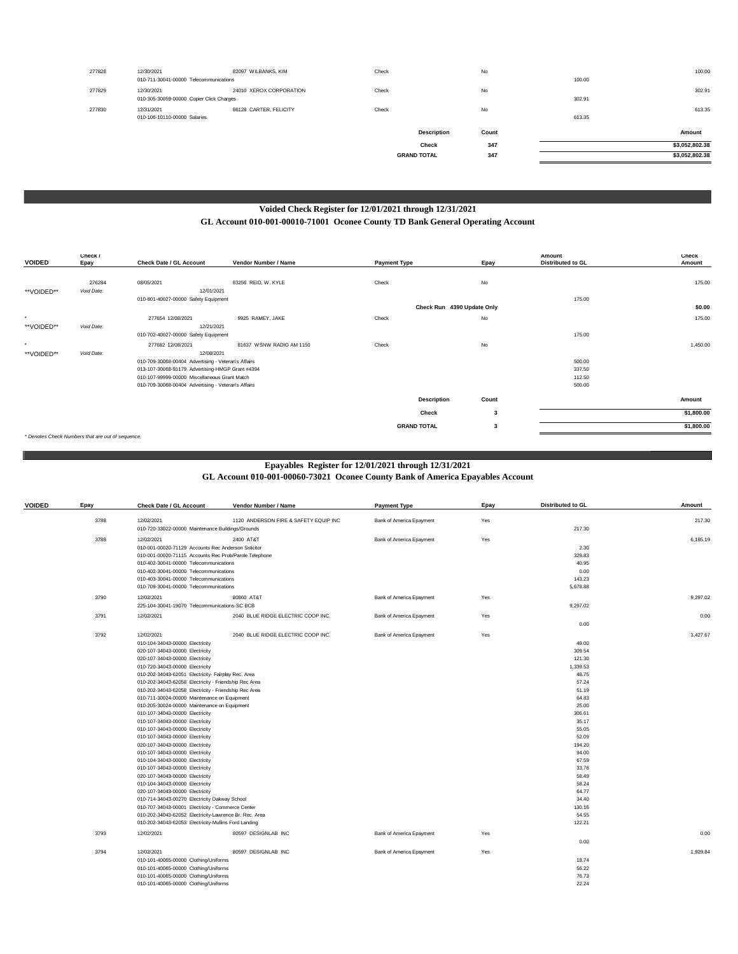| 277828 | 12/30/2021<br>010-711-30041-00000 Telecommunications   | 82097 WILBANKS, KIM     | Check              | No    | 100.00 | 100.00         |
|--------|--------------------------------------------------------|-------------------------|--------------------|-------|--------|----------------|
| 277829 | 12/30/2021<br>010-305-30059-00000 Copier Click Charges | 24010 XEROX CORPORATION | Check              | No    | 302.91 | 302.91         |
| 277830 | 12/31/2021<br>010-106-10110-00000 Salaries             | 86128 CARTER, FELICITY  | Check              | No    | 613.35 | 613.35         |
|        |                                                        |                         | <b>Description</b> | Count |        | Amount         |
|        |                                                        |                         | Check              | 347   |        | \$3,052,802.38 |
|        |                                                        |                         | <b>GRAND TOTAL</b> | 347   |        | \$3,052,802.38 |
|        |                                                        |                         |                    |       |        |                |

# **Voided Check Register for 12/01/2021 through 12/31/2021 GL Account 010-001-00010-71001 Oconee County TD Bank General Operating Account**

| <b>VOIDED</b> | Check /<br>Epay                                   | Check Date / GL Account                             | Vendor Number / Name     | <b>Payment Type</b> | Epay                       | Amount<br>Distributed to GL | <b>Check</b><br>Amount |
|---------------|---------------------------------------------------|-----------------------------------------------------|--------------------------|---------------------|----------------------------|-----------------------------|------------------------|
|               |                                                   |                                                     |                          |                     |                            |                             |                        |
|               | 276284                                            | 08/05/2021                                          | 83256 REID, W. KYLE      | Check               | No                         |                             | 175.00                 |
| **VOIDED**    | Void Date:                                        | 12/01/2021                                          |                          |                     |                            |                             |                        |
|               |                                                   | 010-601-40027-00000 Safety Equipment                |                          |                     |                            | 175.00                      |                        |
|               |                                                   |                                                     |                          |                     | Check Run 4390 Update Only |                             | \$0.00                 |
| $\sim$        |                                                   | 277654 12/08/2021                                   | 9925 RAMEY, JAKE         | Check               | No                         |                             | 175.00                 |
| **VOIDED**    | Void Date:                                        | 12/21/2021                                          |                          |                     |                            |                             |                        |
|               |                                                   | 010-702-40027-00000 Safety Equipment                |                          |                     |                            | 175.00                      |                        |
| $\sim$        |                                                   | 277682 12/08/2021                                   | 81637 WSNW RADIO AM 1150 | Check               | No                         |                             | 1,450.00               |
| **VOIDED**    | Void Date:                                        | 12/08/2021                                          |                          |                     |                            |                             |                        |
|               |                                                   | 010-709-30068-00404 Advertising - Veteran's Affairs |                          |                     |                            | 500.00                      |                        |
|               |                                                   | 013-107-30068-91179 Advertising-HMGP Grant #4394    |                          |                     |                            | 337.50                      |                        |
|               |                                                   | 010-107-99999-00000 Miscellaneous Grant Match       |                          |                     |                            | 112.50                      |                        |
|               |                                                   | 010-709-30068-00404 Advertising - Veteran's Affairs |                          |                     |                            | 500.00                      |                        |
|               |                                                   |                                                     |                          | <b>Description</b>  | Count                      |                             | Amount                 |
|               |                                                   |                                                     |                          | Check               | 3                          |                             | \$1,800.00             |
|               |                                                   |                                                     |                          | <b>GRAND TOTAL</b>  | 3                          |                             | \$1,800.00             |
|               | * Denotes Check Numbers that are out of sequence. |                                                     |                          |                     |                            |                             |                        |

*\* Denotes Check Numbers that are out of sequence.*

## **Epayables Register for 12/01/2021 through 12/31/2021**

**GL Account 010-001-00060-73021 Oconee County Bank of America Epayables Account**

| <b>VOIDED</b> | Epay | <b>Check Date / GL Account</b>                         | Vendor Number / Name                  | <b>Payment Type</b>      | Epay  | <b>Distributed to GL</b> | Amount   |
|---------------|------|--------------------------------------------------------|---------------------------------------|--------------------------|-------|--------------------------|----------|
|               | 3788 | 12/02/2021                                             | 1120 ANDERSON FIRE & SAFETY EQUIP INC | Bank of America Epayment | Yes   |                          | 217.30   |
|               |      | 010-720-33022-00000 Maintenance Buildings/Grounds      |                                       |                          |       | 217.30                   |          |
|               | 3789 | 12/02/2021                                             | 2400 AT&T                             | Bank of America Epayment | Yes   |                          | 6.195.19 |
|               |      | 010-001-00020-71129 Accounts Rec Anderson Solicitor    |                                       |                          |       | 2.30                     |          |
|               |      | 010-001-00020-71115 Accounts Rec Prob/Parole Telephone |                                       |                          |       | 329.83                   |          |
|               |      | 010-402-30041-00000 Telecommunications                 |                                       |                          |       | 40.95                    |          |
|               |      | 010-402-30041-00000 Telecommunications                 |                                       |                          |       | 0.00                     |          |
|               |      | 010-403-30041-00000 Telecommunications                 |                                       |                          |       | 143.23                   |          |
|               |      | 010-709-30041-00000 Telecommunications                 |                                       |                          |       | 5,678.88                 |          |
|               | 3790 | 12/02/2021                                             | 80860 AT&T                            | Bank of America Epayment | Yes   |                          | 9.297.02 |
|               |      | 225-104-30041-19070 Telecommunications-SC BCB          |                                       |                          |       | 9,297.02                 |          |
|               | 3791 | 12/02/2021                                             | 2040 BLUE RIDGE ELECTRIC COOP INC.    | Bank of America Epayment | Yes   |                          | 0.00     |
|               |      |                                                        |                                       |                          |       | 0.00                     |          |
|               | 3792 | 12/02/2021                                             | 2040 BLUE RIDGE ELECTRIC COOP INC.    | Bank of America Epayment | Yes   |                          | 3.427.67 |
|               |      | 010-104-34043-00000 Electricity                        |                                       |                          |       | 49.00                    |          |
|               |      | 020-107-34043-00000 Electricity                        |                                       |                          |       | 309.54                   |          |
|               |      | 020-107-34043-00000 Electricity                        |                                       |                          |       | 121.30                   |          |
|               |      | 010-720-34043-00000 Electricity                        |                                       |                          |       | 1,339.53                 |          |
|               |      | 010-202-34043-62051 Electricity- Fairplay Rec. Area    |                                       |                          |       | 48.75                    |          |
|               |      | 010-202-34043-62058 Electricity - Friendship Rec Area  |                                       |                          |       | 57.24                    |          |
|               |      | 010-202-34043-62058 Electricity - Friendship Rec Area  |                                       |                          |       | 51.19                    |          |
|               |      | 010-711-30024-00000 Maintenance on Equipment           |                                       |                          | 64.83 |                          |          |
|               |      | 010-205-30024-00000 Maintenance on Equipment           |                                       |                          |       | 25.00                    |          |
|               |      | 010-107-34043-00000 Electricity                        |                                       |                          |       | 306.61                   |          |
|               |      | 010-107-34043-00000 Electricity                        |                                       |                          |       | 35.17                    |          |
|               |      | 010-107-34043-00000 Electricity                        |                                       |                          |       | 55.05                    |          |
|               |      | 010-107-34043-00000 Electricity                        |                                       |                          |       | 52.09                    |          |
|               |      | 020-107-34043-00000 Electricity                        |                                       |                          |       | 194.20                   |          |
|               |      | 010-107-34043-00000 Electricity                        |                                       |                          |       | 94.00                    |          |
|               |      | 010-104-34043-00000 Electricity                        |                                       |                          |       | 67.59                    |          |
|               |      | 010-107-34043-00000 Electricity                        |                                       |                          |       | 33.76                    |          |
|               |      | 020-107-34043-00000 Electricity                        |                                       |                          |       | 58.49                    |          |
|               |      | 010-104-34043-00000 Electricity                        |                                       |                          |       | 58.24                    |          |
|               |      | 020-107-34043-00000 Electricity                        |                                       |                          |       | 64.77                    |          |
|               |      | 010-714-34043-00270 Electricity Oakway School          |                                       |                          |       | 34.40                    |          |
|               |      | 010-707-34043-00001 Electricity - Commerce Center      |                                       |                          |       | 130.16                   |          |
|               |      | 010-202-34043-62052 Electricity-Lawrence Br. Rec. Area |                                       |                          |       | 54.55                    |          |
|               |      | 010-202-34043-62053 Electricity-Mullins Ford Landing   |                                       |                          |       | 122.21                   |          |
|               | 3793 | 12/02/2021                                             | 80597 DESIGNLAB INC                   | Bank of America Epayment | Yes   |                          | 0.00     |
|               |      |                                                        |                                       |                          |       | 0.00                     |          |
|               | 3794 | 12/02/2021                                             | 80597 DESIGNLAB INC                   | Bank of America Epayment | Yes   |                          | 1,929.84 |
|               |      | 010-101-40065-00000 Clothing/Uniforms                  |                                       |                          |       | 18.74                    |          |
|               |      | 010-101-40065-00000 Clothing/Uniforms                  |                                       |                          |       | 56.22                    |          |
|               |      | 010-101-40065-00000 Clothing/Uniforms                  |                                       |                          |       | 76.73                    |          |
|               |      | 010-101-40065-00000 Clothing/Uniforms                  |                                       |                          |       | 22.24                    |          |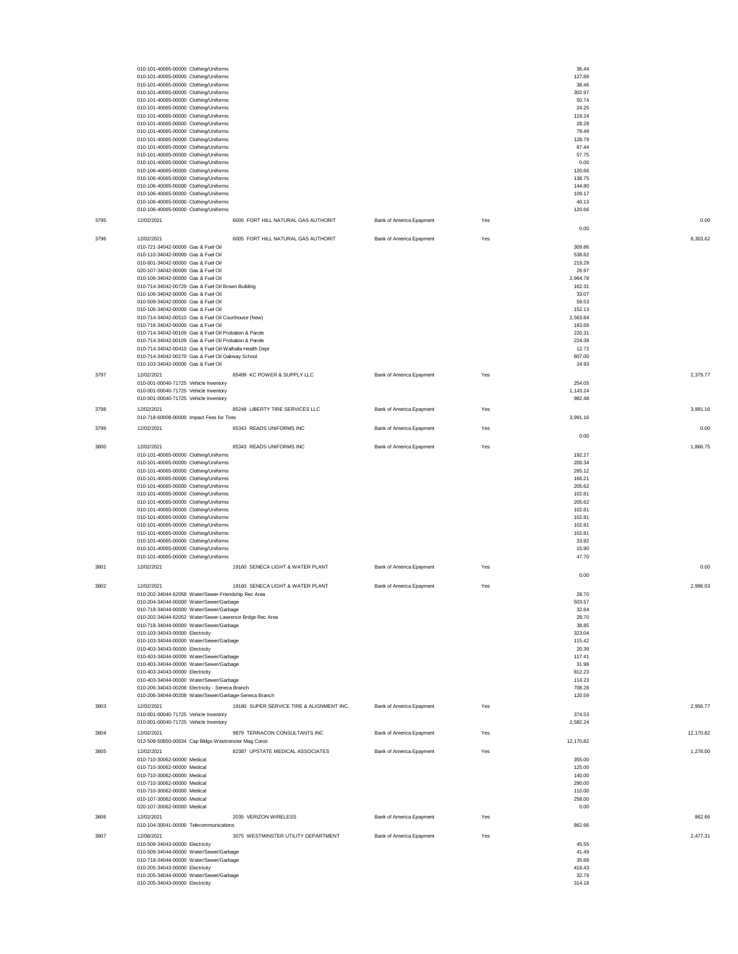|      | 010-101-40065-00000 Clothing/Uniforms<br>010-101-40065-00000 Clothing/Uniforms<br>010-101-40065-00000 Clothing/Uniforms<br>010-101-40065-00000 Clothing/Uniforms<br>010-101-40065-00000 Clothing/Uniforms<br>010-101-40065-00000 Clothing/Uniforms<br>010-101-40065-00000 Clothing/Uniforms<br>010-101-40065-00000 Clothing/Uniforms<br>010-101-40065-00000 Clothing/Uniforms<br>010-101-40065-00000 Clothing/Uniforms<br>010-101-40065-00000 Clothing/Uniforms<br>010-101-40065-00000 Clothing/Uniforms<br>010-101-40065-00000 Clothing/Uniforms<br>010-106-40065-00000 Clothing/Uniforms<br>010-106-40065-00000 Clothing/Uniforms<br>010-106-40065-00000 Clothing/Uniforms<br>010-106-40065-00000 Clothing/Uniforms<br>010-106-40065-00000 Clothing/Uniforms<br>010-106-40065-00000 Clothing/Uniforms |                                           |                          |     | 36.44<br>127.89<br>38.46<br>302.97<br>50.74<br>24.25<br>119.24<br>28.28<br>79.49<br>128.79<br>87.44<br>57.75<br>0.00<br>120.66<br>138.75<br>144.80<br>109.17<br>40.13<br>120.66 |           |
|------|---------------------------------------------------------------------------------------------------------------------------------------------------------------------------------------------------------------------------------------------------------------------------------------------------------------------------------------------------------------------------------------------------------------------------------------------------------------------------------------------------------------------------------------------------------------------------------------------------------------------------------------------------------------------------------------------------------------------------------------------------------------------------------------------------------|-------------------------------------------|--------------------------|-----|---------------------------------------------------------------------------------------------------------------------------------------------------------------------------------|-----------|
| 3795 | 12/02/2021                                                                                                                                                                                                                                                                                                                                                                                                                                                                                                                                                                                                                                                                                                                                                                                              | 6005 FORT HILL NATURAL GAS AUTHORIT       | Bank of America Epayment | Yes | 0.00                                                                                                                                                                            | 0.00      |
| 3796 | 12/02/2021<br>010-721-34042-00000 Gas & Fuel Oil<br>010-110-34042-00000 Gas & Fuel Oil<br>010-601-34042-00000 Gas & Fuel Oil<br>020-107-34042-00000 Gas & Fuel Oil<br>010-106-34042-00000 Gas & Fuel Oil<br>010-714-34042-00729 Gas & Fuel Oil Brown Building<br>010-106-34042-00000 Gas & Fuel Oil<br>010-509-34042-00000 Gas & Fuel Oil<br>010-106-34042-00000 Gas & Fuel Oil<br>010-714-34042-00510 Gas & Fuel Oil Courthouse (New)<br>010-716-34042-00000 Gas & Fuel Oil<br>010-714-34042-00109 Gas & Fuel Oil Probation & Parole<br>010-714-34042-00109 Gas & Fuel Oil Probation & Parole<br>010-714-34042-00410 Gas & Fuel Oil-Walhalla Health Dept<br>010-714-34042-00270 Gas & Fuel Oil Oakway School<br>010-103-34042-00000 Gas & Fuel Oil                                                     | 6005 FORT HILL NATURAL GAS AUTHORIT       | Bank of America Epayment | Yes | 309.86<br>538.82<br>219.29<br>26.97<br>2,964.78<br>162.31<br>33.07<br>59.53<br>152.13<br>2,563.84<br>183.68<br>220.31<br>224.38<br>12.72<br>607.00<br>24.93                     | 8,303.62  |
| 3797 | 12/02/2021                                                                                                                                                                                                                                                                                                                                                                                                                                                                                                                                                                                                                                                                                                                                                                                              | 85499 KC POWER & SUPPLY LLC               | Bank of America Epayment | Yes |                                                                                                                                                                                 | 2,379.77  |
|      | 010-001-00040-71725 Vehicle Inventory<br>010-001-00040-71725 Vehicle Inventory                                                                                                                                                                                                                                                                                                                                                                                                                                                                                                                                                                                                                                                                                                                          |                                           |                          |     | 254.05<br>1,143.24                                                                                                                                                              |           |
|      | 010-001-00040-71725 Vehicle Inventory                                                                                                                                                                                                                                                                                                                                                                                                                                                                                                                                                                                                                                                                                                                                                                   |                                           |                          |     | 982.48                                                                                                                                                                          |           |
| 3798 | 12/02/2021<br>010-718-60008-00000 Impact Fees for Tires                                                                                                                                                                                                                                                                                                                                                                                                                                                                                                                                                                                                                                                                                                                                                 | 85248 LIBERTY TIRE SERVICES LLC           | Bank of America Epayment | Yes | 3,991.16                                                                                                                                                                        | 3,991.16  |
| 3799 | 12/02/2021                                                                                                                                                                                                                                                                                                                                                                                                                                                                                                                                                                                                                                                                                                                                                                                              | 85343 READS UNIFORMS INC                  | Bank of America Epayment | Yes |                                                                                                                                                                                 | 0.00      |
| 3800 | 12/02/2021                                                                                                                                                                                                                                                                                                                                                                                                                                                                                                                                                                                                                                                                                                                                                                                              | 85343 READS UNIFORMS INC                  | Bank of America Epayment | Yes | 0.00                                                                                                                                                                            | 1,866.75  |
|      | 010-101-40065-00000 Clothing/Uniforms<br>010-101-40065-00000 Clothing/Uniforms<br>010-101-40065-00000 Clothing/Uniforms<br>010-101-40065-00000 Clothing/Uniforms<br>010-101-40065-00000 Clothing/Uniforms<br>010-101-40065-00000 Clothing/Uniforms<br>010-101-40065-00000 Clothing/Uniforms<br>010-101-40065-00000 Clothing/Uniforms<br>010-101-40065-00000 Clothing/Uniforms<br>010-101-40065-00000 Clothing/Uniforms<br>010-101-40065-00000 Clothing/Uniforms<br>010-101-40065-00000 Clothing/Uniforms<br>010-101-40065-00000 Clothing/Uniforms<br>010-101-40065-00000 Clothing/Uniforms                                                                                                                                                                                                              |                                           |                          |     | 192.27<br>200.34<br>285.12<br>166.21<br>205.62<br>102.81<br>205.62<br>102.81<br>102.81<br>102.81<br>102.81<br>33.92<br>15.90<br>47.70                                           |           |
| 3801 | 12/02/2021                                                                                                                                                                                                                                                                                                                                                                                                                                                                                                                                                                                                                                                                                                                                                                                              | 19160 SENECA LIGHT & WATER PLANT          | Bank of America Epayment | Yes |                                                                                                                                                                                 | 0.00      |
| 3802 | 12/02/2021<br>010-202-34044-62058 Water/Sewer-Friendship Rec Area<br>010-204-34044-00000 Water/Sewer/Garhanr<br>010-718-34044-00000 Water/Sewer/Garbage<br>010-202-34044-62052 Water/Sewer-Lawrence Brdge Rec Area<br>010-718-34044-00000 Water/Sewer/Garbage<br>010-103-34043-00000 Electricity<br>010-103-34044-00000 Water/Sewer/Garbage<br>010-403-34043-00000 Electricity<br>010-403-34044-00000 Water/Sewer/Garbage<br>010-403-34044-00000 Water/Sewer/Garbage<br>010-403-34043-00000 Electricity<br>010-403-34044-00000 Water/Sewer/Garbage<br>010-206-34043-00208 Electricity - Seneca Branch<br>010-206-34044-00208 Water/Sewer/Garbage-Seneca Branch                                                                                                                                          | 19160 SENECA LIGHT & WATER PLANT          | Bank of America Epayment | Yes | 0.00<br>28.70<br>503.57<br>32.64<br>28.70<br>38.85<br>323.04<br>115.42<br>20.39<br>117.41<br>31.98<br>812.23<br>114.23<br>708.28<br>120.59                                      | 2,996.03  |
| 3803 | 12/02/2021                                                                                                                                                                                                                                                                                                                                                                                                                                                                                                                                                                                                                                                                                                                                                                                              | 19180 SUPER SERVICE TIRE & ALIGNMENT INC. | Bank of America Epayment | Yes |                                                                                                                                                                                 | 2,956.77  |
|      | 010-001-00040-71725 Vehicle Inventory<br>010-001-00040-71725 Vehicle Inventory                                                                                                                                                                                                                                                                                                                                                                                                                                                                                                                                                                                                                                                                                                                          |                                           |                          |     | 374.53<br>2,582.24                                                                                                                                                              |           |
| 3804 | 12/02/2021                                                                                                                                                                                                                                                                                                                                                                                                                                                                                                                                                                                                                                                                                                                                                                                              | 9879 TERRACON CONSULTANTS INC             | Bank of America Epayment | Yes |                                                                                                                                                                                 | 12,170.82 |
| 3805 | 012-509-50850-00034 Cap Bldgs-Westminster Mag Const<br>12/02/2021                                                                                                                                                                                                                                                                                                                                                                                                                                                                                                                                                                                                                                                                                                                                       | 82387 UPSTATE MEDICAL ASSOCIATES          | Bank of America Epayment | Yes | 12,170.82                                                                                                                                                                       | 1,278.00  |
|      | 010-710-30062-00000 Medical<br>010-710-30062-00000 Medical<br>010-710-30062-00000 Medical<br>010-710-30062-00000 Medical<br>010-710-30062-00000 Medical<br>010-107-30062-00000 Medical<br>020-107-30062-00000 Medical                                                                                                                                                                                                                                                                                                                                                                                                                                                                                                                                                                                   |                                           |                          |     | 355.00<br>125.00<br>140.00<br>290.00<br>110.00<br>258.00<br>0.00                                                                                                                |           |
| 3806 | 12/02/2021                                                                                                                                                                                                                                                                                                                                                                                                                                                                                                                                                                                                                                                                                                                                                                                              | 2035 VERIZON WIRELESS                     | Bank of America Epayment | Yes |                                                                                                                                                                                 | 862.66    |
| 3807 | 010-104-30041-00000 Telecommunications<br>12/08/2021<br>010-509-34043-00000 Electricity<br>010-509-34044-00000 Water/Sewer/Garbage<br>010-718-34044-00000 Water/Sewer/Garbage<br>010-205-34043-00000 Electricity<br>010-205-34044-00000 Water/Sewer/Garbage<br>010-205-34043-00000 Electricity                                                                                                                                                                                                                                                                                                                                                                                                                                                                                                          | 3075 WESTMINSTER UTILITY DEPARTMENT       | Bank of America Epayment | Yes | 862.66<br>45.55<br>41.49<br>35.68<br>418.43<br>32.79<br>314.18                                                                                                                  | 2,477.31  |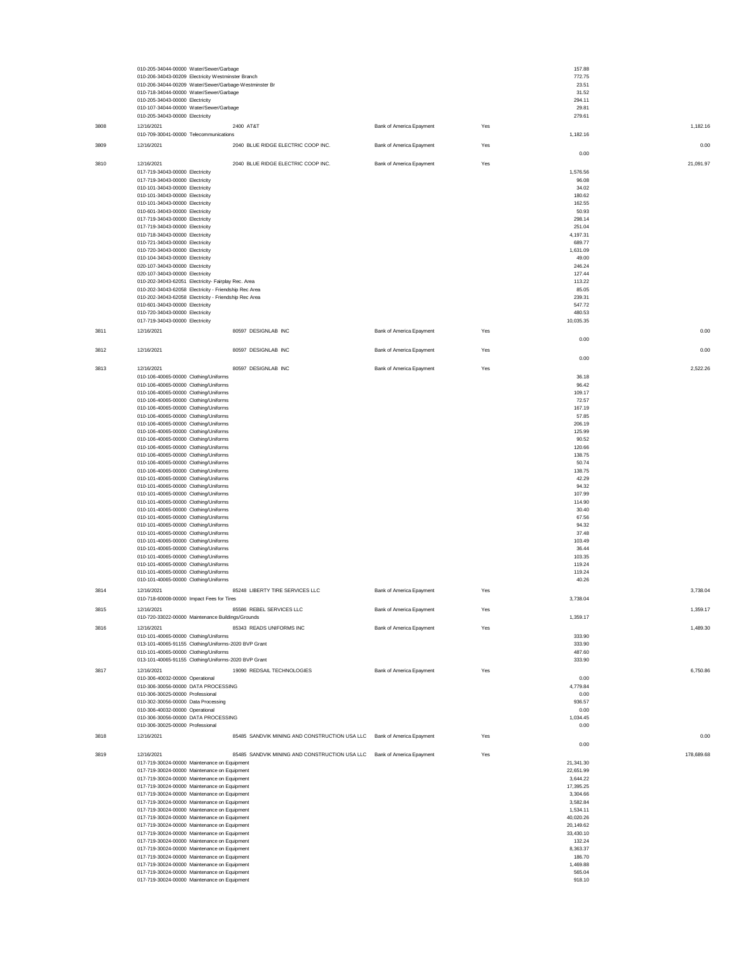|      | 010-205-34044-00000 Water/Sewer/Garbage<br>010-206-34043-00209 Electricity Westminster Branch |                                                                        |                          |     | 157.88<br>772.75       |            |
|------|-----------------------------------------------------------------------------------------------|------------------------------------------------------------------------|--------------------------|-----|------------------------|------------|
|      | 010-206-34044-00209 Water/Sewer/Garbage-Westminster Br                                        |                                                                        |                          |     | 23.51                  |            |
|      | 010-718-34044-00000 Water/Sewer/Garbage                                                       |                                                                        |                          |     | 31.52                  |            |
|      | 010-205-34043-00000 Electricity<br>010-107-34044-00000 Water/Sewer/Garbage                    |                                                                        |                          |     | 294.11<br>29.81        |            |
|      | 010-205-34043-00000 Electricity                                                               |                                                                        |                          |     | 279.61                 |            |
| 3808 | 12/16/2021<br>010-709-30041-00000 Telecommunications                                          | 2400 AT&T                                                              | Bank of America Epayment | Yes | 1,182.16               | 1,182.16   |
| 3809 | 12/16/2021                                                                                    | 2040 BLUE RIDGE ELECTRIC COOP INC.                                     | Bank of America Epayment | Yes |                        | 0.00       |
|      |                                                                                               |                                                                        |                          |     | 0.00                   |            |
| 3810 | 12/16/2021                                                                                    | 2040 BLUE RIDGE ELECTRIC COOP INC.                                     | Bank of America Epayment | Yes |                        | 21,091.97  |
|      | 017-719-34043-00000 Electricity<br>017-719-34043-00000 Electricity                            |                                                                        |                          |     | 1,576.56<br>96.08      |            |
|      | 010-101-34043-00000 Electricity                                                               |                                                                        |                          |     | 34.02                  |            |
|      | 010-101-34043-00000 Electricity                                                               |                                                                        |                          |     | 180.62<br>162.55       |            |
|      | 010-101-34043-00000 Electricity<br>010-601-34043-00000 Electricity                            |                                                                        |                          |     | 50.93                  |            |
|      | 017-719-34043-00000 Electricity                                                               |                                                                        |                          |     | 298.14                 |            |
|      | 017-719-34043-00000 Electricity<br>010-718-34043-00000 Electricity                            |                                                                        |                          |     | 251.04<br>4,197.31     |            |
|      | 010-721-34043-00000 Electricity                                                               |                                                                        |                          |     | 689.77                 |            |
|      | 010-720-34043-00000 Electricity<br>010-104-34043-00000 Electricity                            |                                                                        |                          |     | 1,631.09<br>49.00      |            |
|      | 020-107-34043-00000 Electricity                                                               |                                                                        |                          |     | 246.24                 |            |
|      | 020-107-34043-00000 Electricity<br>010-202-34043-62051 Electricity- Fairplay Rec. Area        |                                                                        |                          |     | 127.44<br>113.22       |            |
|      | 010-202-34043-62058 Electricity - Friendship Rec Area                                         |                                                                        |                          |     | 85.05                  |            |
|      | 010-202-34043-62058 Electricity - Friendship Rec Area<br>010-601-34043-00000 Electricity      |                                                                        |                          |     | 239.31<br>547.72       |            |
|      | 010-720-34043-00000 Electricity                                                               |                                                                        |                          |     | 480.53                 |            |
|      | 017-719-34043-00000 Electricity                                                               |                                                                        |                          |     | 10.035.35              |            |
| 3811 | 12/16/2021                                                                                    | 80597 DESIGNLAB INC                                                    | Bank of America Epayment | Yes | 0.00                   | 0.00       |
| 3812 | 12/16/2021                                                                                    | 80597 DESIGNLAB INC                                                    | Bank of America Epayment | Yes |                        | 0.00       |
|      |                                                                                               |                                                                        |                          |     | 0.00                   |            |
| 3813 | 12/16/2021                                                                                    | 80597 DESIGNLAB INC                                                    | Bank of America Epayment | Yes |                        | 2,522.26   |
|      | 010-106-40065-00000 Clothing/Uniforms<br>010-106-40065-00000 Clothing/Uniforms                |                                                                        |                          |     | 36.18<br>96.42         |            |
|      | 010-106-40065-00000 Clothing/Uniforms                                                         |                                                                        |                          |     | 109.17                 |            |
|      | 010-106-40065-00000 Clothing/Uniforms                                                         |                                                                        |                          |     | 72.57                  |            |
|      | 010-106-40065-00000 Clothing/Uniforms<br>010-106-40065-00000 Clothing/Uniforms                |                                                                        |                          |     | 167.19<br>57.85        |            |
|      | 010-106-40065-00000 Clothing/Uniforms                                                         |                                                                        |                          |     | 206.19                 |            |
|      | 010-106-40065-00000 Clothing/Uniforms<br>010-106-40065-00000 Clothing/Uniforms                |                                                                        |                          |     | 125.99<br>90.52        |            |
|      | 010-106-40065-00000 Clothing/Uniforms                                                         |                                                                        |                          |     | 120.66                 |            |
|      | 010-106-40065-00000 Clothing/Uniforms<br>010-106-40065-00000 Clothing/Uniforms                |                                                                        |                          |     | 138.75<br>50.74        |            |
|      | 010-106-40065-00000 Clothing/Uniforms                                                         |                                                                        |                          |     | 138.75                 |            |
|      | 010-101-40065-00000 Clothing/Uniforms<br>010-101-40065-00000 Clothing/Uniforms                |                                                                        |                          |     | 42.29<br>94.32         |            |
|      | 010-101-40065-00000 Clothing/Uniforms                                                         |                                                                        |                          |     | 107.99                 |            |
|      | 010-101-40065-00000 Clothing/Uniforms<br>010-101-40065-00000 Clothing/Uniforms                |                                                                        |                          |     | 114.90<br>30.40        |            |
|      | 010-101-40065-00000 Clothing/Uniforms                                                         |                                                                        |                          |     | 67.56                  |            |
|      | 010-101-40065-00000 Clothing/Uniforms<br>010-101-40065-00000 Clothing/Uniforms                |                                                                        |                          |     | 94.32<br>37.48         |            |
|      | 010-101-40065-00000 Clothing/Uniforms                                                         |                                                                        |                          |     | 103.49                 |            |
|      | 010-101-40065-00000 Clothing/Uniforms                                                         |                                                                        |                          |     | 36.44                  |            |
|      | 010-101-40065-00000 Clothing/Uniforms<br>010-101-40065-00000 Clothing/Uniforms                |                                                                        |                          |     | 103.35<br>119.24       |            |
|      | 010-101-40065-00000 Clothing/Uniforms                                                         |                                                                        |                          |     | 119.24                 |            |
|      | 010-101-40065-00000 Clothing/Uniforms                                                         | 85248 LIBERTY TIRE SERVICES LLC                                        |                          |     | 40.26                  | 3,738.04   |
| 3814 | 12/16/2021<br>010-718-60008-00000 Impact Fees for Tires                                       |                                                                        | Bank of America Epayment | Yes | 3,738.04               |            |
| 3815 | 12/16/2021                                                                                    | 85586 REBEL SERVICES LLC                                               | Bank of America Epayment | Yes |                        | 1,359.17   |
|      | 010-720-33022-00000 Maintenance Buildings/Grounds                                             |                                                                        |                          |     | 1,359.17               |            |
| 3816 | 12/16/2021<br>010-101-40065-00000 Clothing/Uniforms                                           | 85343 READS UNIFORMS INC                                               | Bank of America Epayment | Yes | 333.90                 | 1,489.30   |
|      | 013-101-40065-91155 Clothing/Uniforms-2020 BVP Grant                                          |                                                                        |                          |     | 333.90                 |            |
|      | 010-101-40065-00000 Clothing/Uniforms                                                         |                                                                        |                          |     | 487.60                 |            |
| 3817 | 013-101-40065-91155 Clothing/Uniforms-2020 BVP Grant<br>12/16/2021                            | 19090 REDSAIL TECHNOLOGIES                                             | Bank of America Epayment | Yes | 333.90                 | 6,750.86   |
|      | 010-306-40032-00000 Operational                                                               |                                                                        |                          |     | 0.00                   |            |
|      | 010-306-30056-00000 DATA PROCESSING                                                           |                                                                        |                          |     | 4,779.84               |            |
|      | 010-306-30025-00000 Professional<br>010-302-30056-00000 Data Processing                       |                                                                        |                          |     | 0.00<br>936.57         |            |
|      | 010-306-40032-00000 Operational                                                               |                                                                        |                          |     | 0.00                   |            |
|      | 010-306-30056-00000 DATA PROCESSING<br>010-306-30025-00000 Professional                       |                                                                        |                          |     | 1,034.45<br>0.00       |            |
| 3818 | 12/16/2021                                                                                    | 85485 SANDVIK MINING AND CONSTRUCTION USA LLC Bank of America Epayment |                          | Yes |                        | 0.00       |
|      |                                                                                               |                                                                        |                          |     | 0.00                   |            |
| 3819 | 12/16/2021                                                                                    | 85485 SANDVIK MINING AND CONSTRUCTION USA LLC Bank of America Epayment |                          | Yes |                        | 178,689.68 |
|      | 017-719-30024-00000 Maintenance on Equipment<br>017-719-30024-00000 Maintenance on Equipment  |                                                                        |                          |     | 21,341.30<br>22,651.99 |            |
|      | 017-719-30024-00000 Maintenance on Equipment                                                  |                                                                        |                          |     | 3,644.22               |            |
|      | 017-719-30024-00000 Maintenance on Equipment<br>017-719-30024-00000 Maintenance on Equipment  |                                                                        |                          |     | 17,395.25<br>3,304.66  |            |
|      | 017-719-30024-00000 Maintenance on Equipment                                                  |                                                                        |                          |     | 3,582.84               |            |
|      | 017-719-30024-00000 Maintenance on Equipment                                                  |                                                                        |                          |     | 1,534.11<br>40,020.26  |            |
|      | 017-719-30024-00000 Maintenance on Equipment<br>017-719-30024-00000 Maintenance on Equipment  |                                                                        |                          |     | 20,149.62              |            |
|      | 017-719-30024-00000 Maintenance on Equipment                                                  |                                                                        |                          |     | 33,430.10              |            |
|      | 017-719-30024-00000 Maintenance on Equipment<br>017-719-30024-00000 Maintenance on Equipment  |                                                                        |                          |     | 132.24<br>8,363.37     |            |
|      | 017-719-30024-00000 Maintenance on Equipment                                                  |                                                                        |                          |     | 186.70                 |            |
|      | 017-719-30024-00000 Maintenance on Equipment<br>017-719-30024-00000 Maintenance on Equipment  |                                                                        |                          |     | 1,469.88<br>565.04     |            |
|      | 017-719-30024-00000 Maintenance on Equipment                                                  |                                                                        |                          |     | 918.10                 |            |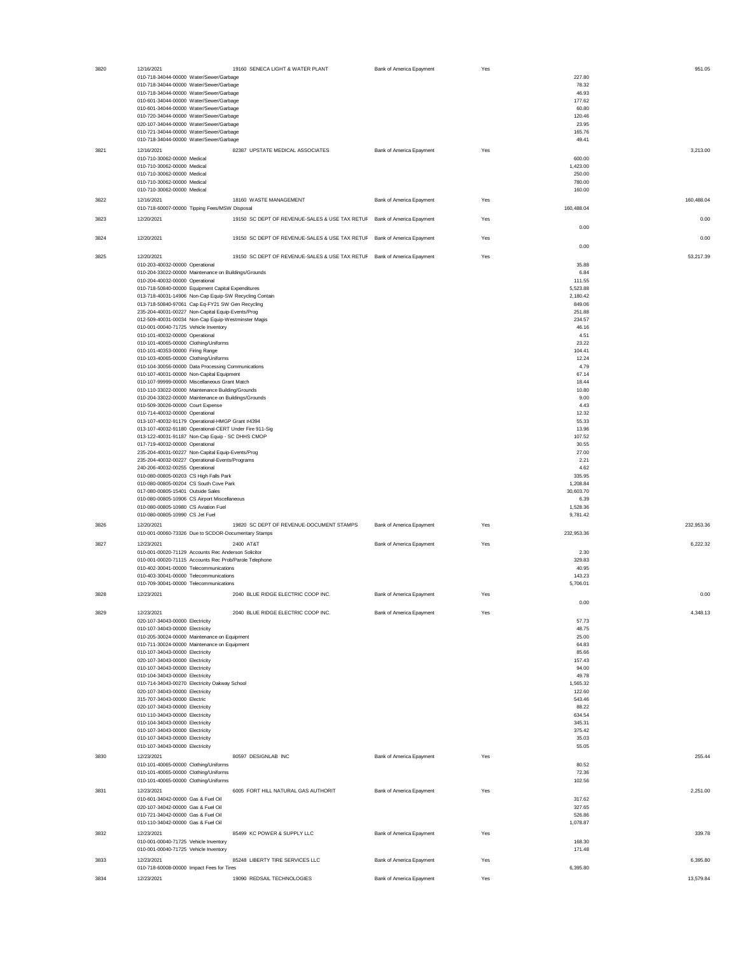| 3820 | 12/16/2021                                                                                                    | 19160 SENECA LIGHT & WATER PLANT                                        | Bank of America Epayment | Yes |                    | 951.05     |
|------|---------------------------------------------------------------------------------------------------------------|-------------------------------------------------------------------------|--------------------------|-----|--------------------|------------|
|      | 010-718-34044-00000 Water/Sewer/Garbage                                                                       |                                                                         |                          |     | 227.80             |            |
|      | 010-718-34044-00000 Water/Sewer/Garbage<br>010-718-34044-00000 Water/Sewer/Garbage                            |                                                                         |                          |     | 78.32<br>46.93     |            |
|      | 010-601-34044-00000 Water/Sewer/Garbage                                                                       |                                                                         |                          |     | 177.62             |            |
|      | 010-601-34044-00000 Water/Sewer/Garbage<br>010-720-34044-00000 Water/Sewer/Garbage                            |                                                                         |                          |     | 60.80<br>120.46    |            |
|      | 020-107-34044-00000 Water/Sewer/Garbage                                                                       |                                                                         |                          |     | 23.95              |            |
|      | 010-721-34044-00000 Water/Sewer/Garbage                                                                       |                                                                         |                          |     | 165.76             |            |
|      | 010-718-34044-00000 Water/Sewer/Garbage                                                                       |                                                                         | Bank of America Epayment |     | 49.41              | 3,213.00   |
| 3821 | 12/16/2021<br>010-710-30062-00000 Medical                                                                     | 82387 UPSTATE MEDICAL ASSOCIATES                                        |                          | Yes | 600.00             |            |
|      | 010-710-30062-00000 Medical                                                                                   |                                                                         |                          |     | 1,423.00           |            |
|      | 010-710-30062-00000 Medical<br>010-710-30062-00000 Medical                                                    |                                                                         |                          |     | 250.00<br>780.00   |            |
|      | 010-710-30062-00000 Medical                                                                                   |                                                                         |                          |     | 160.00             |            |
| 3822 | 12/16/2021                                                                                                    | 18160 WASTE MANAGEMENT                                                  | Bank of America Epayment | Yes |                    | 160,488.04 |
|      | 010-718-60007-00000 Tipping Fees/MSW Disposal                                                                 |                                                                         |                          |     | 160.488.04         |            |
| 3823 | 12/20/2021                                                                                                    | 19150 SC DEPT OF REVENUE-SALES & USE TAX RETUF Bank of America Epayment |                          | Yes |                    | 0.00       |
|      | 12/20/2021                                                                                                    | 19150 SC DEPT OF REVENUE-SALES & USE TAX RETUF Bank of America Epayment |                          |     | 0.00               | 0.00       |
| 3824 |                                                                                                               |                                                                         |                          | Yes | 0.00               |            |
| 3825 | 12/20/2021                                                                                                    | 19150 SC DEPT OF REVENUE-SALES & USE TAX RETUF Bank of America Epayment |                          | Yes |                    | 53,217.39  |
|      | 010-203-40032-00000 Operational                                                                               |                                                                         |                          |     | 35.88              |            |
|      | 010-204-33022-00000 Maintenance on Buildings/Grounds<br>010-204-40032-00000 Operational                       |                                                                         |                          |     | 6.84<br>111.55     |            |
|      | 010-718-50840-00000 Equipment Capital Expenditures                                                            |                                                                         |                          |     | 5,523.88           |            |
|      | 013-718-40031-14906 Non-Cap Equip-SW Recycling Contain                                                        |                                                                         |                          |     | 2,180.42           |            |
|      | 013-718-50840-97061 Cap Eq-FY21 SW Gen Recycling<br>235-204-40031-00227 Non-Capital Equip-Events/Prog         |                                                                         |                          |     | 849.06<br>251.88   |            |
|      | 012-509-40031-00034 Non-Cap Equip-Westminster Magis                                                           |                                                                         |                          |     | 234.57             |            |
|      | 010-001-00040-71725 Vehicle Inventory<br>010-101-40032-00000 Operational                                      |                                                                         |                          |     | 46.16<br>4.51      |            |
|      | 010-101-40065-00000 Clothing/Uniforms                                                                         |                                                                         |                          |     | 23.22              |            |
|      | 010-101-40353-00000 Firing Range                                                                              |                                                                         |                          |     | 104.41             |            |
|      | 010-103-40065-00000 Clothing/Uniforms<br>010-104-30056-00000 Data Processing Communications                   |                                                                         |                          |     | 12.24<br>4.79      |            |
|      | 010-107-40031-00000 Non-Capital Equipment                                                                     |                                                                         |                          |     | 67.14              |            |
|      | 010-107-99999-00000 Miscellaneous Grant Match                                                                 |                                                                         |                          |     | 18.44              |            |
|      | 010-110-33022-00000 Maintenance Building/Grounds<br>010-204-33022-00000 Maintenance on Buildings/Grounds      |                                                                         |                          |     | 10.80<br>9.00      |            |
|      | 010-509-30026-00000 Court Expense                                                                             |                                                                         |                          |     | 4.43               |            |
|      | 010-714-40032-00000 Operational<br>013-107-40032-91179 Operational-HMGP Grant #4394                           |                                                                         |                          |     | 12.32<br>55.33     |            |
|      | 013-107-40032-91180 Operational-CERT Under Fire 911-Sig                                                       |                                                                         |                          |     | 13.96              |            |
|      | 013-122-40031-91187 Non-Cap Equip - SC DHHS CMOP                                                              |                                                                         |                          |     | 107.52             |            |
|      | 017-719-40032-00000 Operational<br>235-204-40031-00227 Non-Capital Equip-Events/Prog                          |                                                                         |                          |     | 30.55<br>27.00     |            |
|      | 235-204-40032-00227 Operational-Events/Programs                                                               |                                                                         |                          |     | 2.21               |            |
|      | 240-206-40032-00255 Operational                                                                               |                                                                         |                          |     | 4.62               |            |
|      | 010-080-00805-00203 CS High Falls Park<br>010-080-00805-00204 CS South Cove Park                              |                                                                         |                          |     | 335.95<br>1,208.84 |            |
|      | 017-080-00805-15401 Outside Sales                                                                             |                                                                         |                          |     | 30,603.70          |            |
|      | 010-080-00805-10906 CS Airport Miscellaneous<br>010-080-00805-10980 CS Aviation Fuel                          |                                                                         |                          |     | 6.39<br>1,528.36   |            |
|      | 010-080-00805-10990 CS Jet Fuel                                                                               |                                                                         |                          |     | 9,781.42           |            |
| 3826 | 12/20/2021                                                                                                    | 19820 SC DEPT OF REVENUE-DOCUMENT STAMPS                                | Bank of America Epayment | Yes |                    | 232,953.36 |
|      | 010-001-00060-73326 Due to SCDOR-Documentary Stamps                                                           |                                                                         |                          |     | 232,953.36         |            |
| 3827 | 12/23/2021                                                                                                    | 2400 AT&T                                                               | Bank of America Epayment | Yes |                    | 6,222.32   |
|      | 010-001-00020-71129 Accounts Rec Anderson Solicitor<br>010-001-00020-71115 Accounts Rec Prob/Parole Telephone |                                                                         |                          |     | 2.30<br>329.83     |            |
|      | 010-402-30041-00000 Telecommunications                                                                        |                                                                         |                          |     | 40.95              |            |
|      | 010-403-30041-00000 Telecommunications<br>010-709-30041-00000 Telecommunications                              |                                                                         |                          |     | 143.23             |            |
|      | 12/23/2021                                                                                                    | 2040 BLUE RIDGE ELECTRIC COOP INC.                                      | Bank of America Epayment |     | 5,706.01           | 0.00       |
| 3828 |                                                                                                               |                                                                         |                          | Yes | 0.00               |            |
| 3829 | 12/23/2021                                                                                                    | 2040 BLUE RIDGE ELECTRIC COOP INC.                                      | Bank of America Epayment | Yes |                    | 4,348.13   |
|      | 020-107-34043-00000 Electricity                                                                               |                                                                         |                          |     | 57.73              |            |
|      | 010-107-34043-00000 Electricity<br>010-205-30024-00000 Maintenance on Equipment                               |                                                                         |                          |     | 48.75<br>25.00     |            |
|      | 010-711-30024-00000 Maintenance on Equipment                                                                  |                                                                         |                          |     | 64.83              |            |
|      | 010-107-34043-00000 Electricity                                                                               |                                                                         |                          |     | 85.66              |            |
|      | 020-107-34043-00000 Electricity<br>010-107-34043-00000 Electricity                                            |                                                                         |                          |     | 157.43<br>94.00    |            |
|      | 010-104-34043-00000 Electricity                                                                               |                                                                         |                          |     | 49.78              |            |
|      | 010-714-34043-00270 Electricity Oakway School<br>020-107-34043-00000 Electricity                              |                                                                         |                          |     | 1,565.32<br>122.60 |            |
|      | 315-707-34043-00000 Electric                                                                                  |                                                                         |                          |     | 543.46             |            |
|      | 020-107-34043-00000 Electricity                                                                               |                                                                         |                          |     | 88.22              |            |
|      | 010-110-34043-00000 Electricity<br>010-104-34043-00000 Electricity                                            |                                                                         |                          |     | 634.54<br>345.31   |            |
|      | 010-107-34043-00000 Electricity                                                                               |                                                                         |                          |     | 375.42             |            |
|      | 010-107-34043-00000 Electricity<br>010-107-34043-00000 Electricity                                            |                                                                         |                          |     | 35.03<br>55.05     |            |
| 3830 | 12/23/2021                                                                                                    | 80597 DESIGNLAB INC                                                     | Bank of America Epayment | Yes |                    | 255.44     |
|      | 010-101-40065-00000 Clothing/Uniforms                                                                         |                                                                         |                          |     | 80.52              |            |
|      | 010-101-40065-00000 Clothing/Uniforms                                                                         |                                                                         |                          |     | 72.36              |            |
|      | 010-101-40065-00000 Clothing/Uniforms<br>12/23/2021                                                           | 6005 FORT HILL NATURAL GAS AUTHORIT                                     |                          |     | 102.56             | 2,251.00   |
| 3831 | 010-601-34042-00000 Gas & Fuel Oil                                                                            |                                                                         | Bank of America Epayment | Yes | 317.62             |            |
|      | 020-107-34042-00000 Gas & Fuel Oil                                                                            |                                                                         |                          |     | 327.65             |            |
|      | 010-721-34042-00000 Gas & Fuel Oil<br>010-110-34042-00000 Gas & Fuel Oil                                      |                                                                         |                          |     | 526.86<br>1,078.87 |            |
| 3832 | 12/23/2021                                                                                                    | 85499 KC POWER & SUPPLY LLC                                             | Bank of America Epayment | Yes |                    | 339.78     |
|      | 010-001-00040-71725 Vehicle Inventory                                                                         |                                                                         |                          |     | 168.30             |            |
|      | 010-001-00040-71725 Vehicle Inventory                                                                         |                                                                         |                          |     | 171.48             |            |
| 3833 | 12/23/2021                                                                                                    | 85248 LIBERTY TIRE SERVICES LLC                                         | Bank of America Epayment | Yes |                    | 6,395.80   |
|      | 010-718-60008-00000 Impact Fees for Tires                                                                     |                                                                         |                          |     | 6,395.80           |            |
| 3834 | 12/23/2021                                                                                                    | 19090 REDSAIL TECHNOLOGIES                                              | Bank of America Epayment | Yes |                    | 13,579.84  |